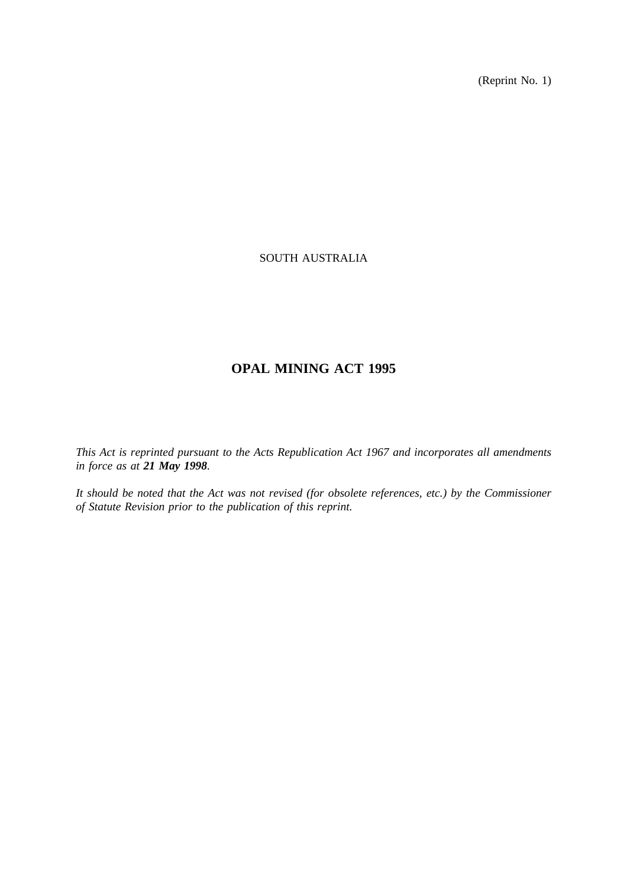(Reprint No. 1)

## SOUTH AUSTRALIA

# **OPAL MINING ACT 1995**

*This Act is reprinted pursuant to the Acts Republication Act 1967 and incorporates all amendments in force as at 21 May 1998.*

*It should be noted that the Act was not revised (for obsolete references, etc.) by the Commissioner of Statute Revision prior to the publication of this reprint.*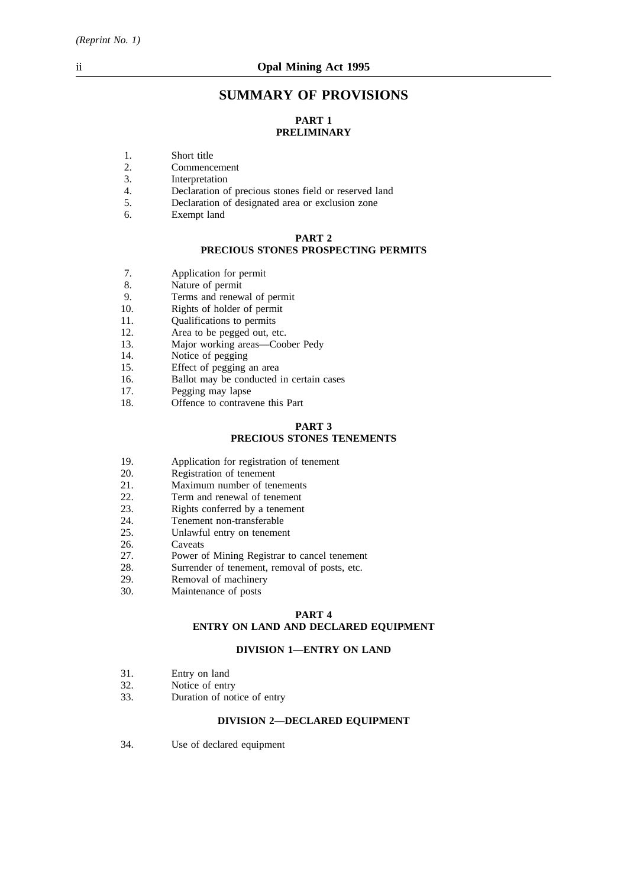# **SUMMARY OF PROVISIONS**

## **PART 1 PRELIMINARY**

- 1. Short title<br>2. Commence
- 2. Commencement<br>3. Interpretation
- 3. Interpretation<br>4. Declaration of
- 4. Declaration of precious stones field or reserved land<br>5. Declaration of designated area or exclusion zone
- 5. Declaration of designated area or exclusion zone
- 6. Exempt land

### **PART 2**

# **PRECIOUS STONES PROSPECTING PERMITS**

- 7. Application for permit<br>8 Nature of permit
- Nature of permit
- 9. Terms and renewal of permit
- 10. Rights of holder of permit
- 11. Qualifications to permits
- 12. Area to be pegged out, etc.
- 13. Major working areas—Coober Pedy<br>14. Notice of pegging
- 14. Notice of pegging<br>15. Effect of pegging
- 15. Effect of pegging an area<br>16. Ballot may be conducted i
- 16. Ballot may be conducted in certain cases 17.
- Pegging may lapse
- 18. Offence to contravene this Part

### **PART 3 PRECIOUS STONES TENEMENTS**

- 19. Application for registration of tenement
- 20. Registration of tenement<br>21. Maximum number of ten
- 
- 21. Maximum number of tenements<br>22. Term and renewal of tenement Term and renewal of tenement
- 23. Rights conferred by a tenement
- 24. Tenement non-transferable
- 25. Unlawful entry on tenement
- 26. Caveats
- 
- 27. Power of Mining Registrar to cancel tenement<br>28. Surrender of tenement, removal of posts, etc. Surrender of tenement, removal of posts, etc.
- 29. Removal of machinery
- 30. Maintenance of posts

### **PART 4 ENTRY ON LAND AND DECLARED EQUIPMENT**

### **DIVISION 1—ENTRY ON LAND**

- 
- 31. Entry on land<br>32. Notice of entr 32. Notice of entry<br>33. Duration of not
- Duration of notice of entry

## **DIVISION 2—DECLARED EQUIPMENT**

34. Use of declared equipment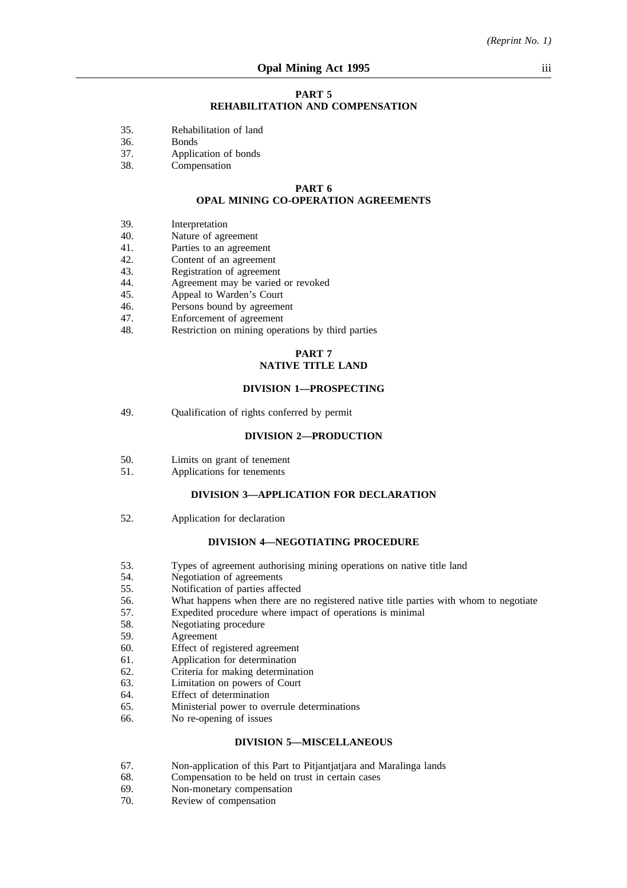#### **PART 5 REHABILITATION AND COMPENSATION**

- 35. Rehabilitation of land
- 36. Bonds
- 37. Application of bonds
- 38. Compensation

#### **PART 6 OPAL MINING CO-OPERATION AGREEMENTS**

- 39. Interpretation
- 40. Nature of agreement
- 41. Parties to an agreement
- 42. Content of an agreement<br>43. Registration of agreemen
- 43. Registration of agreement<br>44. Agreement may be varied
- 44. Agreement may be varied or revoked<br>45. Appeal to Warden's Court
- 45. Appeal to Warden's Court<br>46. Persons bound by agreeme
- Persons bound by agreement
- 47. Enforcement of agreement
- 48. Restriction on mining operations by third parties

### **PART 7 NATIVE TITLE LAND**

#### **DIVISION 1—PROSPECTING**

49. Qualification of rights conferred by permit

#### **DIVISION 2—PRODUCTION**

- 50. Limits on grant of tenement
- 51. Applications for tenements

### **DIVISION 3—APPLICATION FOR DECLARATION**

52. Application for declaration

#### **DIVISION 4—NEGOTIATING PROCEDURE**

- 53. Types of agreement authorising mining operations on native title land
- 54. Negotiation of agreements<br>55. Notification of parties affe
- 55. Notification of parties affected
- 56. What happens when there are no registered native title parties with whom to negotiate
- 57. Expedited procedure where impact of operations is minimal
- 58. Negotiating procedure
- 59. Agreement
- 60. Effect of registered agreement
- 61. Application for determination
- 62. Criteria for making determination
- 63. Limitation on powers of Court
- 64. Effect of determination
- 65. Ministerial power to overrule determinations
- 66. No re-opening of issues

#### **DIVISION 5—MISCELLANEOUS**

- 67. Non-application of this Part to Pitjantjatjara and Maralinga lands
- 68. Compensation to be held on trust in certain cases 69. Non-monetary compensation
- 69. Non-monetary compensation<br>70. Review of compensation
- Review of compensation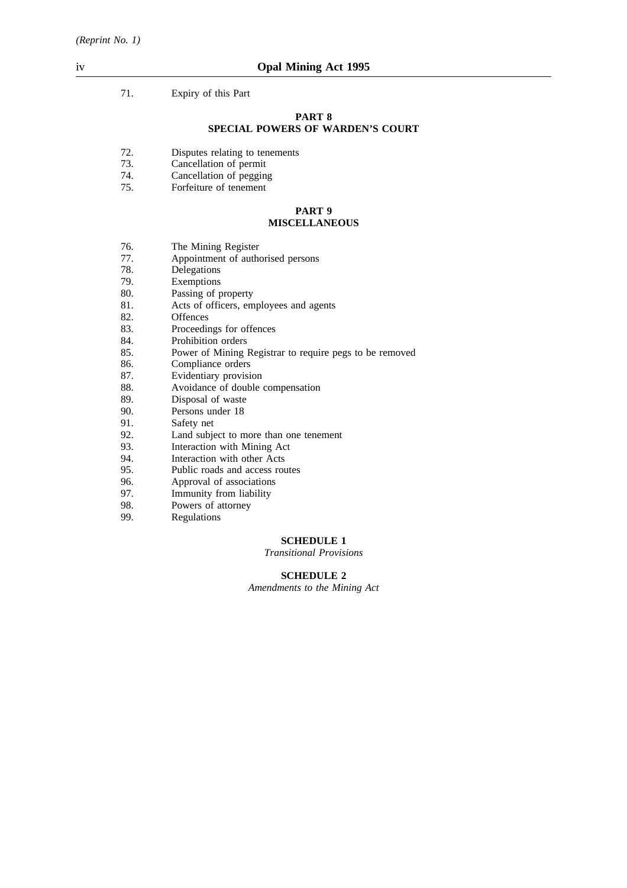71. Expiry of this Part

#### **PART 8 SPECIAL POWERS OF WARDEN'S COURT**

- 72. Disputes relating to tenements
- 73. Cancellation of permit
- 74. Cancellation of pegging
- 75. Forfeiture of tenement

#### **PART 9 MISCELLANEOUS**

- 76. The Mining Register
- 77. Appointment of authorised persons
- 78. Delegations
- 79. Exemptions<br>80. Passing of p
- 80. Passing of property<br>81. Acts of officers. em
- 81. Acts of officers, employees and agents 82.
- 82. Offences<br>83. Proceedin
- 83. Proceedings for offences<br>84. Prohibition orders
- 84. Prohibition orders<br>85. Power of Mining
- Power of Mining Registrar to require pegs to be removed
- 86. Compliance orders
- 87. Evidentiary provision
- 88. Avoidance of double compensation
- 89. Disposal of waste<br>90. Persons under 18
- 90. Persons under 18<br>91. Safety net
- 91. Safety net<br>92. Land subject
- 92. Land subject to more than one tenement<br>93. Interaction with Mining Act
- Interaction with Mining Act
- 94. Interaction with other Acts
- 95. Public roads and access routes
- 96. Approval of associations
- 97. Immunity from liability
- 98. Powers of attorney<br>99. Regulations
- **Regulations**

## **SCHEDULE 1**

*Transitional Provisions*

#### **SCHEDULE 2**

*Amendments to the Mining Act*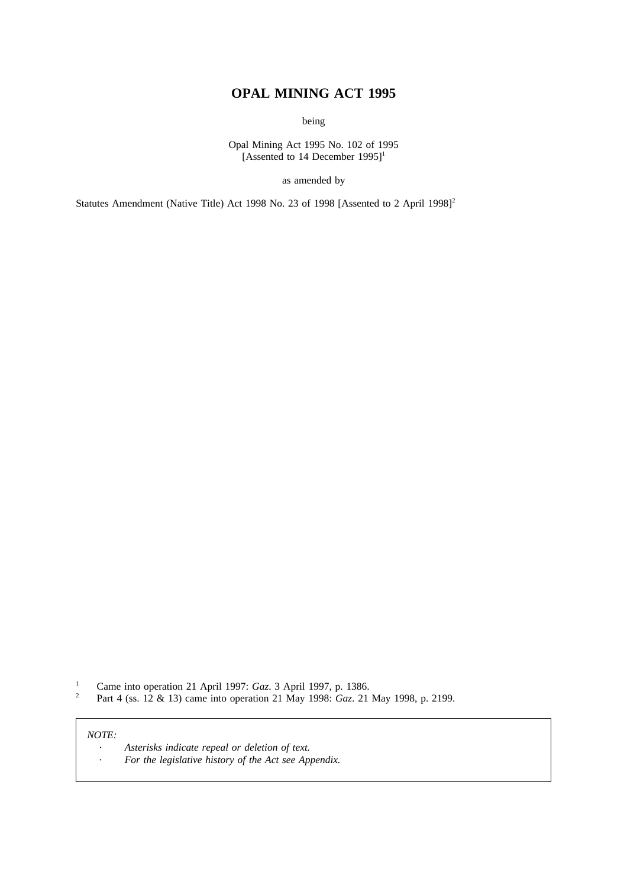# **OPAL MINING ACT 1995**

being

Opal Mining Act 1995 No. 102 of 1995 [Assented to 14 December 1995]<sup>1</sup>

as amended by

Statutes Amendment (Native Title) Act 1998 No. 23 of 1998 [Assented to 2 April 1998]<sup>2</sup>

<sup>1</sup> Came into operation 21 April 1997: *Gaz*. 3 April 1997, p. 1386.<br><sup>2</sup> Part *A* (ss. 12 & 13) came into operation 21 May 1998: *Gaz*. 21

<sup>2</sup> Part 4 (ss. 12 & 13) came into operation 21 May 1998: *Gaz*. 21 May 1998, p. 2199.

#### *NOTE:*

*Asterisks indicate repeal or deletion of text.*  $\bullet$ *For the legislative history of the Act see Appendix.* $\ddot{\phantom{a}}$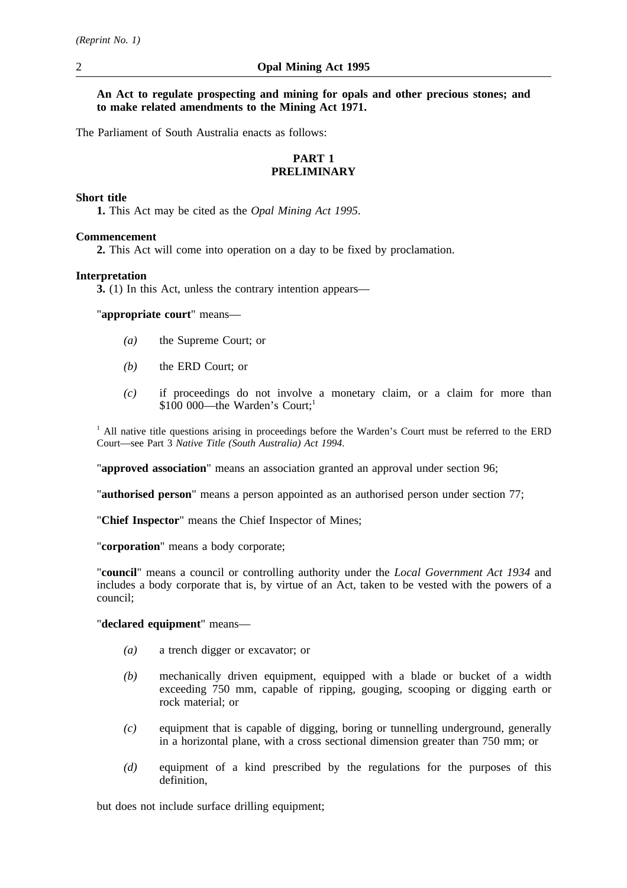**An Act to regulate prospecting and mining for opals and other precious stones; and to make related amendments to the Mining Act 1971.**

The Parliament of South Australia enacts as follows:

## **PART 1 PRELIMINARY**

### **Short title**

**1.** This Act may be cited as the *Opal Mining Act 1995*.

## **Commencement**

**2.** This Act will come into operation on a day to be fixed by proclamation.

## **Interpretation**

**3.** (1) In this Act, unless the contrary intention appears—

"**appropriate court**" means—

- *(a)* the Supreme Court; or
- *(b)* the ERD Court; or
- *(c)* if proceedings do not involve a monetary claim, or a claim for more than \$100 000—the Warden's Court;<sup>1</sup>

 $<sup>1</sup>$  All native title questions arising in proceedings before the Warden's Court must be referred to the ERD</sup> Court—see Part 3 *Native Title (South Australia) Act 1994*.

"**approved association**" means an association granted an approval under section 96;

"**authorised person**" means a person appointed as an authorised person under section 77;

"**Chief Inspector**" means the Chief Inspector of Mines;

"**corporation**" means a body corporate;

"**council**" means a council or controlling authority under the *Local Government Act 1934* and includes a body corporate that is, by virtue of an Act, taken to be vested with the powers of a council;

### "**declared equipment**" means—

- *(a)* a trench digger or excavator; or
- *(b)* mechanically driven equipment, equipped with a blade or bucket of a width exceeding 750 mm, capable of ripping, gouging, scooping or digging earth or rock material; or
- *(c)* equipment that is capable of digging, boring or tunnelling underground, generally in a horizontal plane, with a cross sectional dimension greater than 750 mm; or
- *(d)* equipment of a kind prescribed by the regulations for the purposes of this definition,

but does not include surface drilling equipment: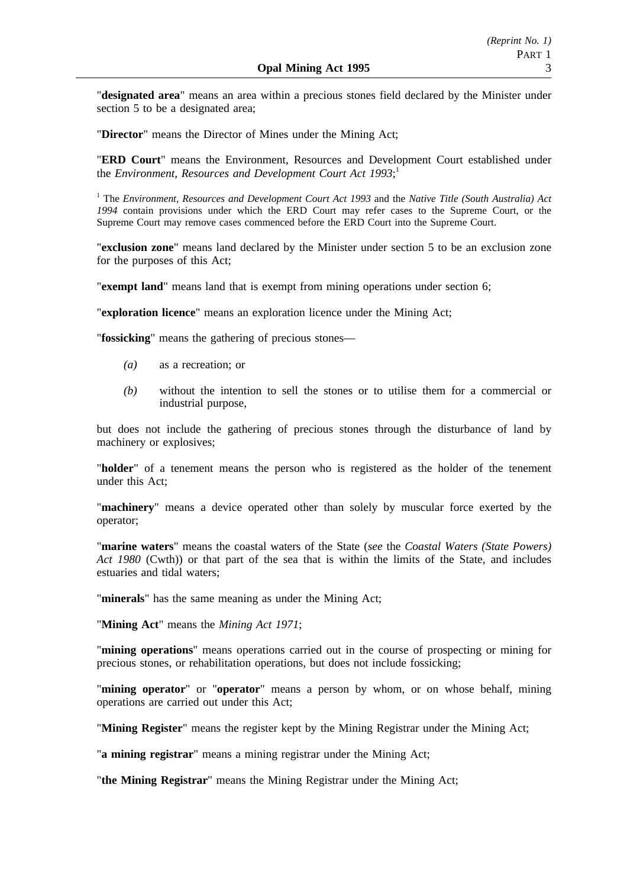"**designated area**" means an area within a precious stones field declared by the Minister under section 5 to be a designated area;

"**Director**" means the Director of Mines under the Mining Act;

"**ERD Court**" means the Environment, Resources and Development Court established under the *Environment, Resources and Development Court Act 1993*; 1

<sup>1</sup> The *Environment, Resources and Development Court Act 1993* and the *Native Title (South Australia) Act 1994* contain provisions under which the ERD Court may refer cases to the Supreme Court, or the Supreme Court may remove cases commenced before the ERD Court into the Supreme Court.

"**exclusion zone**" means land declared by the Minister under section 5 to be an exclusion zone for the purposes of this Act;

"**exempt land**" means land that is exempt from mining operations under section 6;

"**exploration licence**" means an exploration licence under the Mining Act;

"**fossicking**" means the gathering of precious stones—

- *(a)* as a recreation; or
- *(b)* without the intention to sell the stones or to utilise them for a commercial or industrial purpose,

but does not include the gathering of precious stones through the disturbance of land by machinery or explosives;

"**holder**" of a tenement means the person who is registered as the holder of the tenement under this Act;

"**machinery**" means a device operated other than solely by muscular force exerted by the operator;

"**marine waters**" means the coastal waters of the State (*see* the *Coastal Waters (State Powers) Act 1980* (Cwth)) or that part of the sea that is within the limits of the State, and includes estuaries and tidal waters;

"**minerals**" has the same meaning as under the Mining Act;

"**Mining Act**" means the *Mining Act 1971*;

"**mining operations**" means operations carried out in the course of prospecting or mining for precious stones, or rehabilitation operations, but does not include fossicking;

"**mining operator**" or "**operator**" means a person by whom, or on whose behalf, mining operations are carried out under this Act;

"**Mining Register**" means the register kept by the Mining Registrar under the Mining Act;

"**a mining registrar**" means a mining registrar under the Mining Act;

"**the Mining Registrar**" means the Mining Registrar under the Mining Act;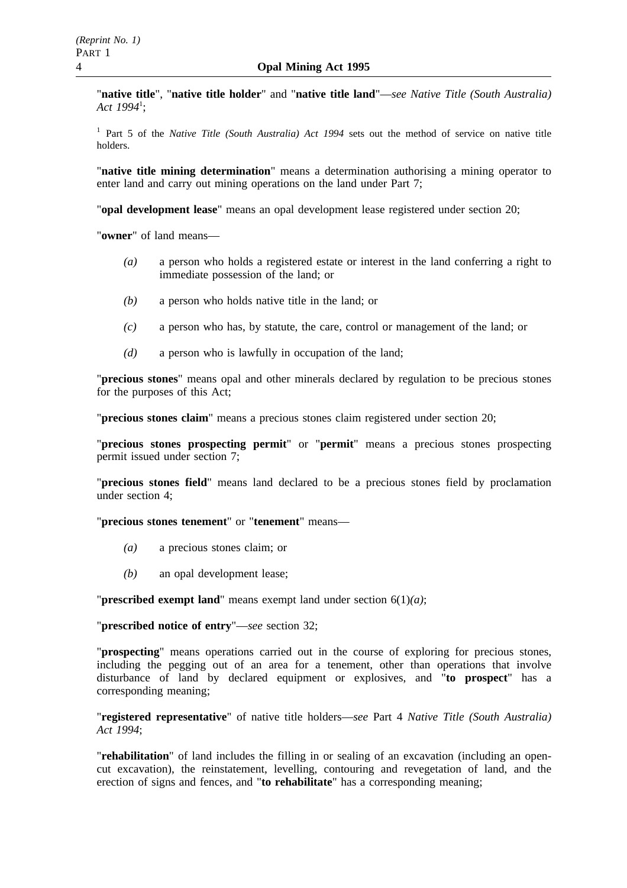"**native title**", "**native title holder**" and "**native title land**"—*see Native Title (South Australia) Act 1994*<sup>1</sup> ;

<sup>1</sup> Part 5 of the *Native Title (South Australia) Act 1994* sets out the method of service on native title holders.

"**native title mining determination**" means a determination authorising a mining operator to enter land and carry out mining operations on the land under Part 7;

"**opal development lease**" means an opal development lease registered under section 20;

"**owner**" of land means—

- *(a)* a person who holds a registered estate or interest in the land conferring a right to immediate possession of the land; or
- *(b)* a person who holds native title in the land; or
- *(c)* a person who has, by statute, the care, control or management of the land; or
- *(d)* a person who is lawfully in occupation of the land;

"**precious stones**" means opal and other minerals declared by regulation to be precious stones for the purposes of this Act;

"**precious stones claim**" means a precious stones claim registered under section 20;

"**precious stones prospecting permit**" or "**permit**" means a precious stones prospecting permit issued under section 7;

"**precious stones field**" means land declared to be a precious stones field by proclamation under section 4;

"**precious stones tenement**" or "**tenement**" means—

- *(a)* a precious stones claim; or
- *(b)* an opal development lease;

"**prescribed exempt land**" means exempt land under section 6(1)*(a)*;

"**prescribed notice of entry**"—*see* section 32;

"**prospecting**" means operations carried out in the course of exploring for precious stones, including the pegging out of an area for a tenement, other than operations that involve disturbance of land by declared equipment or explosives, and "**to prospect**" has a corresponding meaning;

"**registered representative**" of native title holders—*see* Part 4 *Native Title (South Australia) Act 1994*;

"**rehabilitation**" of land includes the filling in or sealing of an excavation (including an opencut excavation), the reinstatement, levelling, contouring and revegetation of land, and the erection of signs and fences, and "**to rehabilitate**" has a corresponding meaning;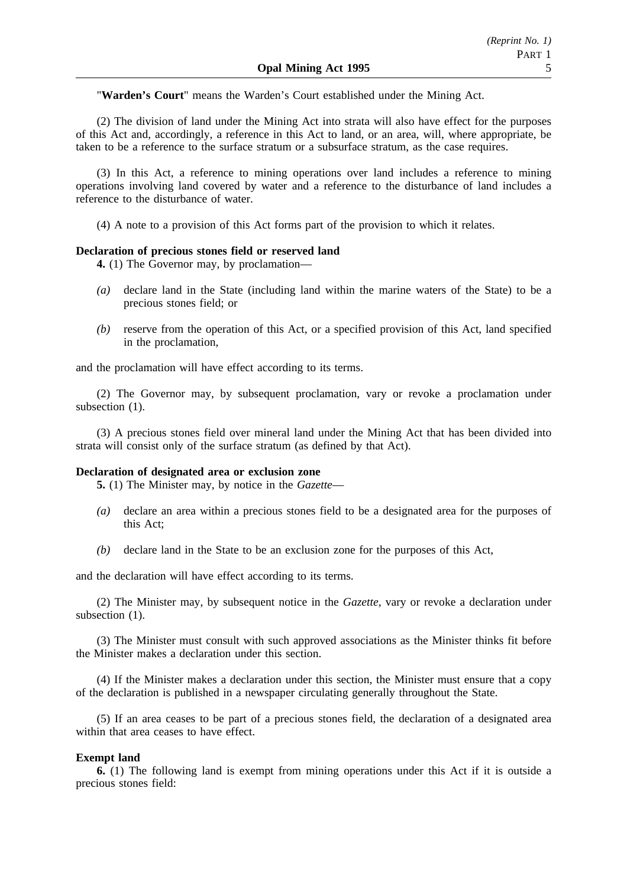"**Warden's Court**" means the Warden's Court established under the Mining Act.

(2) The division of land under the Mining Act into strata will also have effect for the purposes of this Act and, accordingly, a reference in this Act to land, or an area, will, where appropriate, be taken to be a reference to the surface stratum or a subsurface stratum, as the case requires.

(3) In this Act, a reference to mining operations over land includes a reference to mining operations involving land covered by water and a reference to the disturbance of land includes a reference to the disturbance of water.

(4) A note to a provision of this Act forms part of the provision to which it relates.

### **Declaration of precious stones field or reserved land**

**4.** (1) The Governor may, by proclamation—

- *(a)* declare land in the State (including land within the marine waters of the State) to be a precious stones field; or
- *(b)* reserve from the operation of this Act, or a specified provision of this Act, land specified in the proclamation,

and the proclamation will have effect according to its terms.

(2) The Governor may, by subsequent proclamation, vary or revoke a proclamation under subsection  $(1)$ .

(3) A precious stones field over mineral land under the Mining Act that has been divided into strata will consist only of the surface stratum (as defined by that Act).

### **Declaration of designated area or exclusion zone**

**5.** (1) The Minister may, by notice in the *Gazette*—

- *(a)* declare an area within a precious stones field to be a designated area for the purposes of this Act;
- *(b)* declare land in the State to be an exclusion zone for the purposes of this Act,

and the declaration will have effect according to its terms.

(2) The Minister may, by subsequent notice in the *Gazette*, vary or revoke a declaration under subsection  $(1)$ .

(3) The Minister must consult with such approved associations as the Minister thinks fit before the Minister makes a declaration under this section.

(4) If the Minister makes a declaration under this section, the Minister must ensure that a copy of the declaration is published in a newspaper circulating generally throughout the State.

(5) If an area ceases to be part of a precious stones field, the declaration of a designated area within that area ceases to have effect.

### **Exempt land**

**6.** (1) The following land is exempt from mining operations under this Act if it is outside a precious stones field: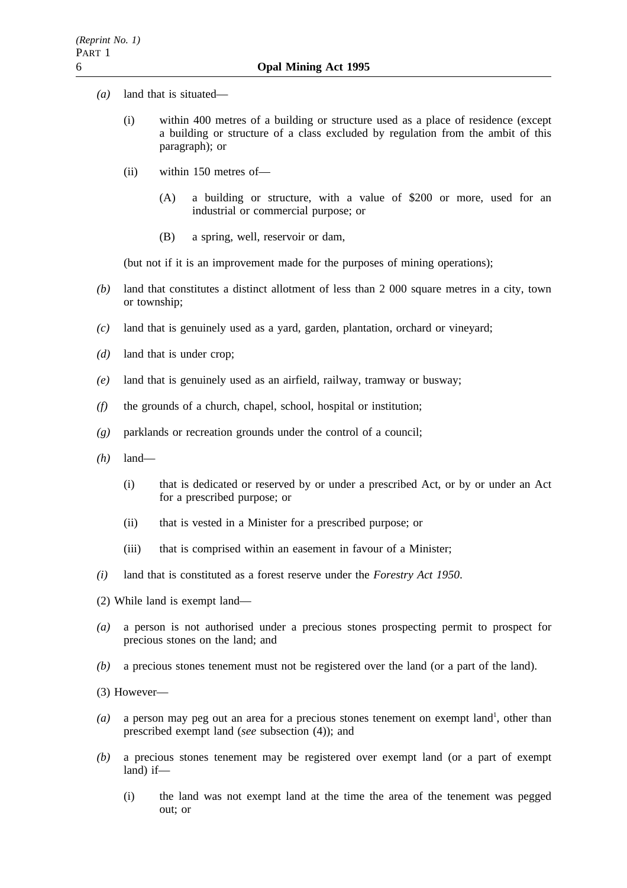- *(a)* land that is situated—
	- (i) within 400 metres of a building or structure used as a place of residence (except a building or structure of a class excluded by regulation from the ambit of this paragraph); or
	- (ii) within 150 metres of—
		- (A) a building or structure, with a value of \$200 or more, used for an industrial or commercial purpose; or
		- (B) a spring, well, reservoir or dam,

(but not if it is an improvement made for the purposes of mining operations);

- *(b)* land that constitutes a distinct allotment of less than 2 000 square metres in a city, town or township;
- *(c)* land that is genuinely used as a yard, garden, plantation, orchard or vineyard;
- *(d)* land that is under crop;
- *(e)* land that is genuinely used as an airfield, railway, tramway or busway;
- *(f)* the grounds of a church, chapel, school, hospital or institution;
- *(g)* parklands or recreation grounds under the control of a council;
- *(h)* land—
	- (i) that is dedicated or reserved by or under a prescribed Act, or by or under an Act for a prescribed purpose; or
	- (ii) that is vested in a Minister for a prescribed purpose; or
	- (iii) that is comprised within an easement in favour of a Minister;
- *(i)* land that is constituted as a forest reserve under the *Forestry Act 1950*.
- (2) While land is exempt land—
- *(a)* a person is not authorised under a precious stones prospecting permit to prospect for precious stones on the land; and
- *(b)* a precious stones tenement must not be registered over the land (or a part of the land).

(3) However—

- $(a)$  a person may peg out an area for a precious stones tenement on exempt land<sup>1</sup>, other than prescribed exempt land (*see* subsection (4)); and
- *(b)* a precious stones tenement may be registered over exempt land (or a part of exempt land) if—
	- (i) the land was not exempt land at the time the area of the tenement was pegged out; or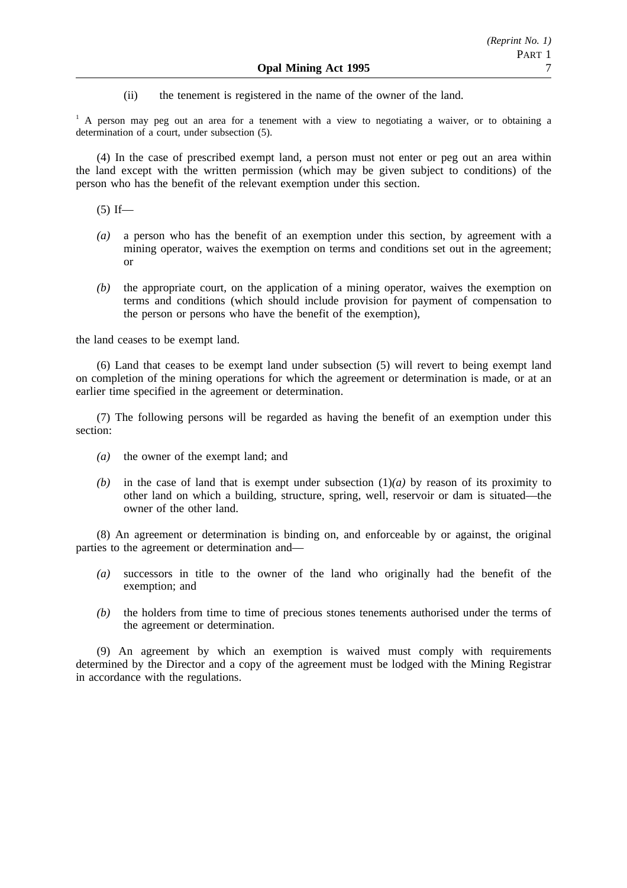(ii) the tenement is registered in the name of the owner of the land.

<sup>1</sup> A person may peg out an area for a tenement with a view to negotiating a waiver, or to obtaining a determination of a court, under subsection (5).

(4) In the case of prescribed exempt land, a person must not enter or peg out an area within the land except with the written permission (which may be given subject to conditions) of the person who has the benefit of the relevant exemption under this section.

 $(5)$  If—

- *(a)* a person who has the benefit of an exemption under this section, by agreement with a mining operator, waives the exemption on terms and conditions set out in the agreement; or
- *(b)* the appropriate court, on the application of a mining operator, waives the exemption on terms and conditions (which should include provision for payment of compensation to the person or persons who have the benefit of the exemption),

the land ceases to be exempt land.

(6) Land that ceases to be exempt land under subsection (5) will revert to being exempt land on completion of the mining operations for which the agreement or determination is made, or at an earlier time specified in the agreement or determination.

(7) The following persons will be regarded as having the benefit of an exemption under this section:

- *(a)* the owner of the exempt land; and
- *(b)* in the case of land that is exempt under subsection  $(1)(a)$  by reason of its proximity to other land on which a building, structure, spring, well, reservoir or dam is situated—the owner of the other land.

(8) An agreement or determination is binding on, and enforceable by or against, the original parties to the agreement or determination and—

- *(a)* successors in title to the owner of the land who originally had the benefit of the exemption; and
- *(b)* the holders from time to time of precious stones tenements authorised under the terms of the agreement or determination.

(9) An agreement by which an exemption is waived must comply with requirements determined by the Director and a copy of the agreement must be lodged with the Mining Registrar in accordance with the regulations.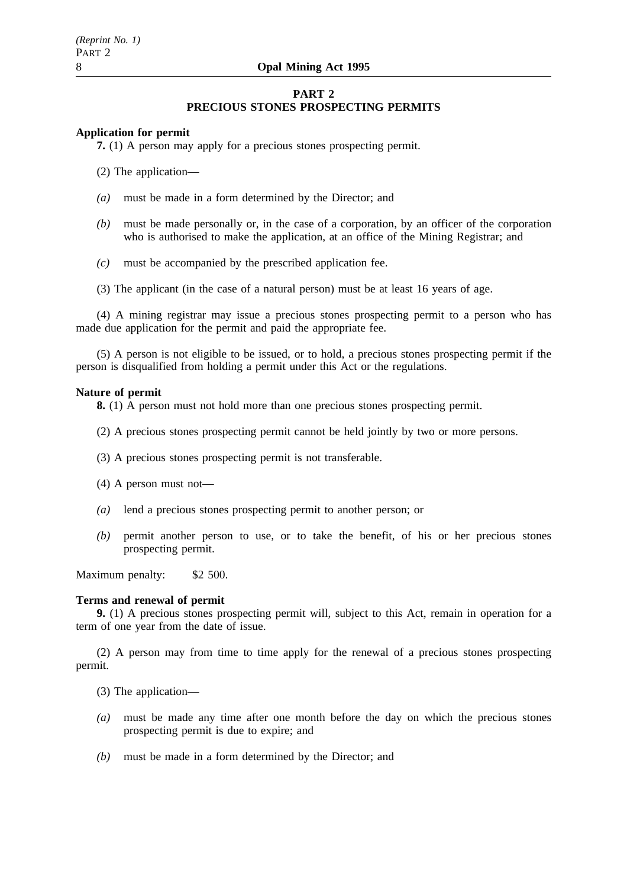### **PART 2 PRECIOUS STONES PROSPECTING PERMITS**

### **Application for permit**

**7.** (1) A person may apply for a precious stones prospecting permit.

(2) The application—

- *(a)* must be made in a form determined by the Director; and
- *(b)* must be made personally or, in the case of a corporation, by an officer of the corporation who is authorised to make the application, at an office of the Mining Registrar; and
- *(c)* must be accompanied by the prescribed application fee.
- (3) The applicant (in the case of a natural person) must be at least 16 years of age.

(4) A mining registrar may issue a precious stones prospecting permit to a person who has made due application for the permit and paid the appropriate fee.

(5) A person is not eligible to be issued, or to hold, a precious stones prospecting permit if the person is disqualified from holding a permit under this Act or the regulations.

#### **Nature of permit**

**8.** (1) A person must not hold more than one precious stones prospecting permit.

- (2) A precious stones prospecting permit cannot be held jointly by two or more persons.
- (3) A precious stones prospecting permit is not transferable.
- (4) A person must not—
- *(a)* lend a precious stones prospecting permit to another person; or
- *(b)* permit another person to use, or to take the benefit, of his or her precious stones prospecting permit.

Maximum penalty: \$2 500.

#### **Terms and renewal of permit**

**9.** (1) A precious stones prospecting permit will, subject to this Act, remain in operation for a term of one year from the date of issue.

(2) A person may from time to time apply for the renewal of a precious stones prospecting permit.

(3) The application—

- *(a)* must be made any time after one month before the day on which the precious stones prospecting permit is due to expire; and
- *(b)* must be made in a form determined by the Director; and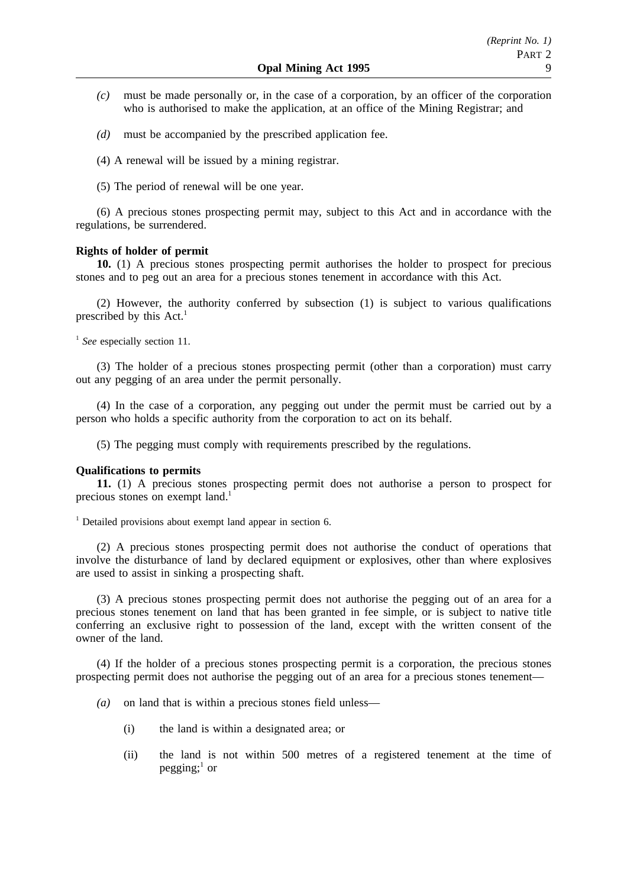- *(c)* must be made personally or, in the case of a corporation, by an officer of the corporation who is authorised to make the application, at an office of the Mining Registrar; and
- *(d)* must be accompanied by the prescribed application fee.
- (4) A renewal will be issued by a mining registrar.
- (5) The period of renewal will be one year.

(6) A precious stones prospecting permit may, subject to this Act and in accordance with the regulations, be surrendered.

### **Rights of holder of permit**

**10.** (1) A precious stones prospecting permit authorises the holder to prospect for precious stones and to peg out an area for a precious stones tenement in accordance with this Act.

(2) However, the authority conferred by subsection (1) is subject to various qualifications prescribed by this  $Act.$ <sup>1</sup>

<sup>1</sup> See especially section 11.

(3) The holder of a precious stones prospecting permit (other than a corporation) must carry out any pegging of an area under the permit personally.

(4) In the case of a corporation, any pegging out under the permit must be carried out by a person who holds a specific authority from the corporation to act on its behalf.

(5) The pegging must comply with requirements prescribed by the regulations.

### **Qualifications to permits**

**11.** (1) A precious stones prospecting permit does not authorise a person to prospect for precious stones on exempt land.<sup>1</sup>

 $1$  Detailed provisions about exempt land appear in section 6.

(2) A precious stones prospecting permit does not authorise the conduct of operations that involve the disturbance of land by declared equipment or explosives, other than where explosives are used to assist in sinking a prospecting shaft.

(3) A precious stones prospecting permit does not authorise the pegging out of an area for a precious stones tenement on land that has been granted in fee simple, or is subject to native title conferring an exclusive right to possession of the land, except with the written consent of the owner of the land.

(4) If the holder of a precious stones prospecting permit is a corporation, the precious stones prospecting permit does not authorise the pegging out of an area for a precious stones tenement—

- *(a)* on land that is within a precious stones field unless—
	- (i) the land is within a designated area; or
	- (ii) the land is not within 500 metres of a registered tenement at the time of pegging; $<sup>1</sup>$  or</sup>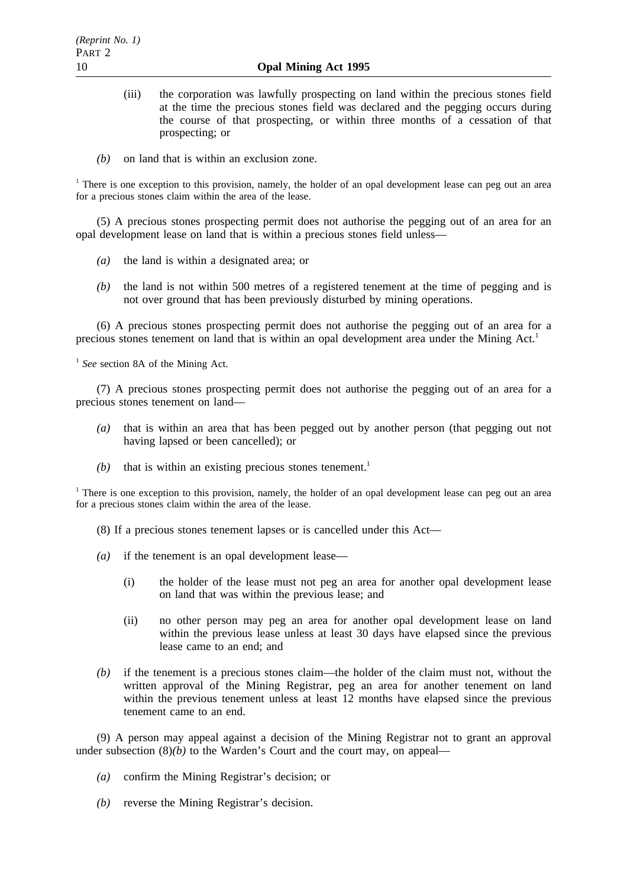- (iii) the corporation was lawfully prospecting on land within the precious stones field at the time the precious stones field was declared and the pegging occurs during the course of that prospecting, or within three months of a cessation of that prospecting; or
- *(b)* on land that is within an exclusion zone.

<sup>1</sup> There is one exception to this provision, namely, the holder of an opal development lease can peg out an area for a precious stones claim within the area of the lease.

(5) A precious stones prospecting permit does not authorise the pegging out of an area for an opal development lease on land that is within a precious stones field unless—

- *(a)* the land is within a designated area; or
- *(b)* the land is not within 500 metres of a registered tenement at the time of pegging and is not over ground that has been previously disturbed by mining operations.

(6) A precious stones prospecting permit does not authorise the pegging out of an area for a precious stones tenement on land that is within an opal development area under the Mining Act.<sup>1</sup>

<sup>1</sup> See section 8A of the Mining Act.

(7) A precious stones prospecting permit does not authorise the pegging out of an area for a precious stones tenement on land—

- *(a)* that is within an area that has been pegged out by another person (that pegging out not having lapsed or been cancelled); or
- $(b)$  that is within an existing precious stones tenement.<sup>1</sup>

<sup>1</sup> There is one exception to this provision, namely, the holder of an opal development lease can peg out an area for a precious stones claim within the area of the lease.

(8) If a precious stones tenement lapses or is cancelled under this Act—

- *(a)* if the tenement is an opal development lease—
	- (i) the holder of the lease must not peg an area for another opal development lease on land that was within the previous lease; and
	- (ii) no other person may peg an area for another opal development lease on land within the previous lease unless at least 30 days have elapsed since the previous lease came to an end; and
- *(b)* if the tenement is a precious stones claim—the holder of the claim must not, without the written approval of the Mining Registrar, peg an area for another tenement on land within the previous tenement unless at least 12 months have elapsed since the previous tenement came to an end.

(9) A person may appeal against a decision of the Mining Registrar not to grant an approval under subsection  $(8)(b)$  to the Warden's Court and the court may, on appeal—

- *(a)* confirm the Mining Registrar's decision; or
- *(b)* reverse the Mining Registrar's decision.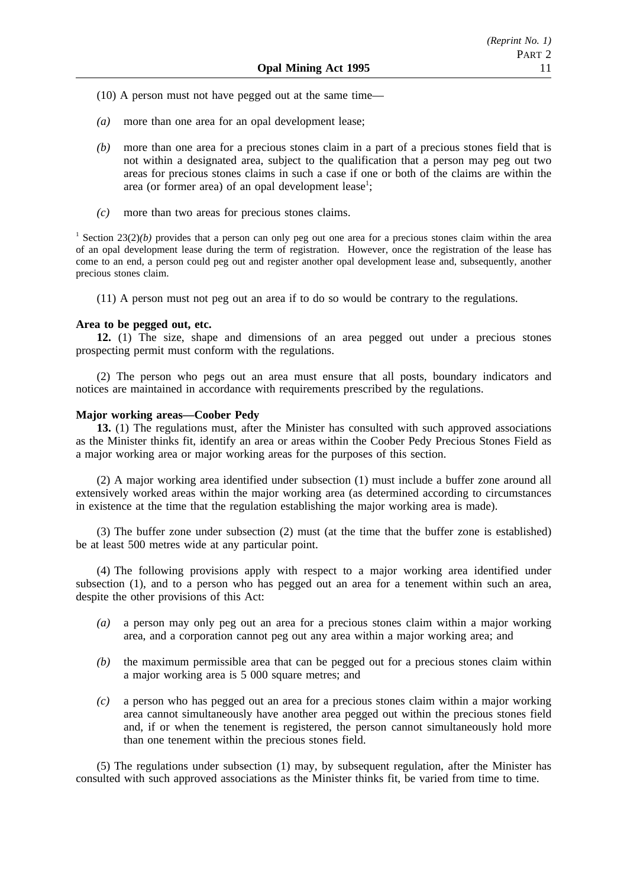- (10) A person must not have pegged out at the same time—
- *(a)* more than one area for an opal development lease;
- *(b)* more than one area for a precious stones claim in a part of a precious stones field that is not within a designated area, subject to the qualification that a person may peg out two areas for precious stones claims in such a case if one or both of the claims are within the area (or former area) of an opal development lease<sup>1</sup>;
- *(c)* more than two areas for precious stones claims.

<sup>1</sup> Section 23(2)(*b*) provides that a person can only peg out one area for a precious stones claim within the area of an opal development lease during the term of registration. However, once the registration of the lease has come to an end, a person could peg out and register another opal development lease and, subsequently, another precious stones claim.

(11) A person must not peg out an area if to do so would be contrary to the regulations.

### **Area to be pegged out, etc.**

**12.** (1) The size, shape and dimensions of an area pegged out under a precious stones prospecting permit must conform with the regulations.

(2) The person who pegs out an area must ensure that all posts, boundary indicators and notices are maintained in accordance with requirements prescribed by the regulations.

#### **Major working areas—Coober Pedy**

**13.** (1) The regulations must, after the Minister has consulted with such approved associations as the Minister thinks fit, identify an area or areas within the Coober Pedy Precious Stones Field as a major working area or major working areas for the purposes of this section.

(2) A major working area identified under subsection (1) must include a buffer zone around all extensively worked areas within the major working area (as determined according to circumstances in existence at the time that the regulation establishing the major working area is made).

(3) The buffer zone under subsection (2) must (at the time that the buffer zone is established) be at least 500 metres wide at any particular point.

(4) The following provisions apply with respect to a major working area identified under subsection (1), and to a person who has pegged out an area for a tenement within such an area, despite the other provisions of this Act:

- *(a)* a person may only peg out an area for a precious stones claim within a major working area, and a corporation cannot peg out any area within a major working area; and
- *(b)* the maximum permissible area that can be pegged out for a precious stones claim within a major working area is 5 000 square metres; and
- *(c)* a person who has pegged out an area for a precious stones claim within a major working area cannot simultaneously have another area pegged out within the precious stones field and, if or when the tenement is registered, the person cannot simultaneously hold more than one tenement within the precious stones field.

(5) The regulations under subsection (1) may, by subsequent regulation, after the Minister has consulted with such approved associations as the Minister thinks fit, be varied from time to time.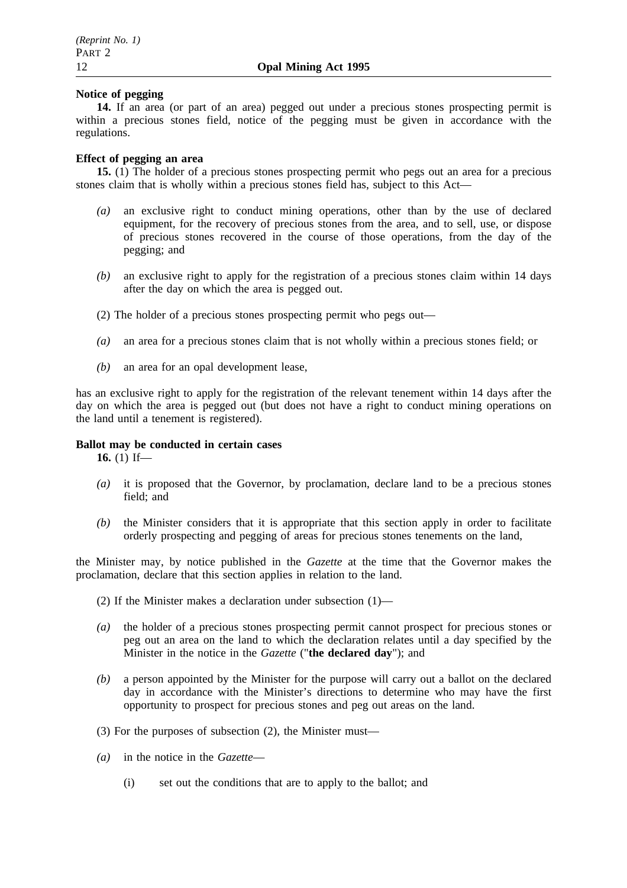### **Notice of pegging**

**14.** If an area (or part of an area) pegged out under a precious stones prospecting permit is within a precious stones field, notice of the pegging must be given in accordance with the regulations.

## **Effect of pegging an area**

**15.** (1) The holder of a precious stones prospecting permit who pegs out an area for a precious stones claim that is wholly within a precious stones field has, subject to this Act—

- *(a)* an exclusive right to conduct mining operations, other than by the use of declared equipment, for the recovery of precious stones from the area, and to sell, use, or dispose of precious stones recovered in the course of those operations, from the day of the pegging; and
- *(b)* an exclusive right to apply for the registration of a precious stones claim within 14 days after the day on which the area is pegged out.
- (2) The holder of a precious stones prospecting permit who pegs out—
- *(a)* an area for a precious stones claim that is not wholly within a precious stones field; or
- *(b)* an area for an opal development lease,

has an exclusive right to apply for the registration of the relevant tenement within 14 days after the day on which the area is pegged out (but does not have a right to conduct mining operations on the land until a tenement is registered).

## **Ballot may be conducted in certain cases**

**16.** (1) If—

- *(a)* it is proposed that the Governor, by proclamation, declare land to be a precious stones field; and
- *(b)* the Minister considers that it is appropriate that this section apply in order to facilitate orderly prospecting and pegging of areas for precious stones tenements on the land,

the Minister may, by notice published in the *Gazette* at the time that the Governor makes the proclamation, declare that this section applies in relation to the land.

- (2) If the Minister makes a declaration under subsection (1)—
- *(a)* the holder of a precious stones prospecting permit cannot prospect for precious stones or peg out an area on the land to which the declaration relates until a day specified by the Minister in the notice in the *Gazette* ("**the declared day**"); and
- *(b)* a person appointed by the Minister for the purpose will carry out a ballot on the declared day in accordance with the Minister's directions to determine who may have the first opportunity to prospect for precious stones and peg out areas on the land.
- (3) For the purposes of subsection (2), the Minister must—
- *(a)* in the notice in the *Gazette*
	- (i) set out the conditions that are to apply to the ballot; and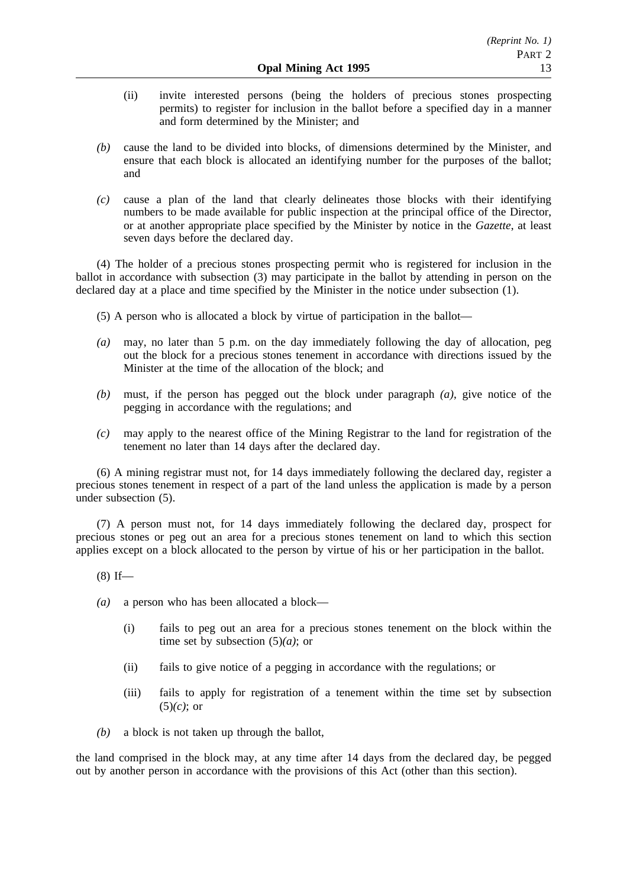- (ii) invite interested persons (being the holders of precious stones prospecting permits) to register for inclusion in the ballot before a specified day in a manner and form determined by the Minister; and
- *(b)* cause the land to be divided into blocks, of dimensions determined by the Minister, and ensure that each block is allocated an identifying number for the purposes of the ballot; and
- *(c)* cause a plan of the land that clearly delineates those blocks with their identifying numbers to be made available for public inspection at the principal office of the Director, or at another appropriate place specified by the Minister by notice in the *Gazette*, at least seven days before the declared day.

(4) The holder of a precious stones prospecting permit who is registered for inclusion in the ballot in accordance with subsection (3) may participate in the ballot by attending in person on the declared day at a place and time specified by the Minister in the notice under subsection (1).

- (5) A person who is allocated a block by virtue of participation in the ballot—
- *(a)* may, no later than 5 p.m. on the day immediately following the day of allocation, peg out the block for a precious stones tenement in accordance with directions issued by the Minister at the time of the allocation of the block; and
- *(b)* must, if the person has pegged out the block under paragraph *(a)*, give notice of the pegging in accordance with the regulations; and
- *(c)* may apply to the nearest office of the Mining Registrar to the land for registration of the tenement no later than 14 days after the declared day.

(6) A mining registrar must not, for 14 days immediately following the declared day, register a precious stones tenement in respect of a part of the land unless the application is made by a person under subsection (5).

(7) A person must not, for 14 days immediately following the declared day, prospect for precious stones or peg out an area for a precious stones tenement on land to which this section applies except on a block allocated to the person by virtue of his or her participation in the ballot.

- $(8)$  If—
- *(a)* a person who has been allocated a block—
	- (i) fails to peg out an area for a precious stones tenement on the block within the time set by subsection (5)*(a)*; or
	- (ii) fails to give notice of a pegging in accordance with the regulations; or
	- (iii) fails to apply for registration of a tenement within the time set by subsection (5)*(c)*; or
- *(b)* a block is not taken up through the ballot,

the land comprised in the block may, at any time after 14 days from the declared day, be pegged out by another person in accordance with the provisions of this Act (other than this section).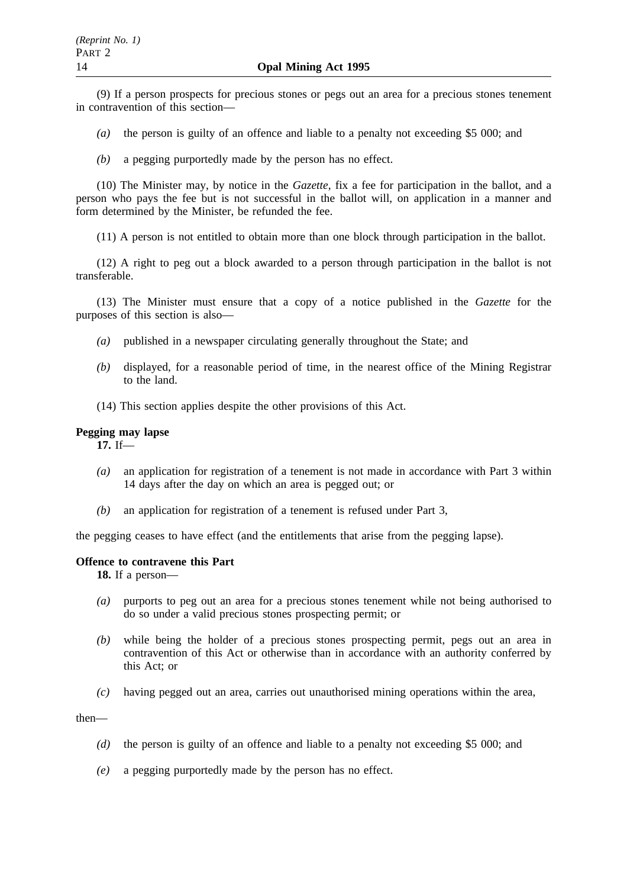(9) If a person prospects for precious stones or pegs out an area for a precious stones tenement in contravention of this section—

- *(a)* the person is guilty of an offence and liable to a penalty not exceeding \$5 000; and
- *(b)* a pegging purportedly made by the person has no effect.

(10) The Minister may, by notice in the *Gazette*, fix a fee for participation in the ballot, and a person who pays the fee but is not successful in the ballot will, on application in a manner and form determined by the Minister, be refunded the fee.

(11) A person is not entitled to obtain more than one block through participation in the ballot.

(12) A right to peg out a block awarded to a person through participation in the ballot is not transferable.

(13) The Minister must ensure that a copy of a notice published in the *Gazette* for the purposes of this section is also—

- *(a)* published in a newspaper circulating generally throughout the State; and
- *(b)* displayed, for a reasonable period of time, in the nearest office of the Mining Registrar to the land.
- (14) This section applies despite the other provisions of this Act.

## **Pegging may lapse**

**17.** If—

- *(a)* an application for registration of a tenement is not made in accordance with Part 3 within 14 days after the day on which an area is pegged out; or
- *(b)* an application for registration of a tenement is refused under Part 3,

the pegging ceases to have effect (and the entitlements that arise from the pegging lapse).

### **Offence to contravene this Part**

**18.** If a person—

- *(a)* purports to peg out an area for a precious stones tenement while not being authorised to do so under a valid precious stones prospecting permit; or
- *(b)* while being the holder of a precious stones prospecting permit, pegs out an area in contravention of this Act or otherwise than in accordance with an authority conferred by this Act; or
- *(c)* having pegged out an area, carries out unauthorised mining operations within the area,

then—

- *(d)* the person is guilty of an offence and liable to a penalty not exceeding \$5 000; and
- *(e)* a pegging purportedly made by the person has no effect.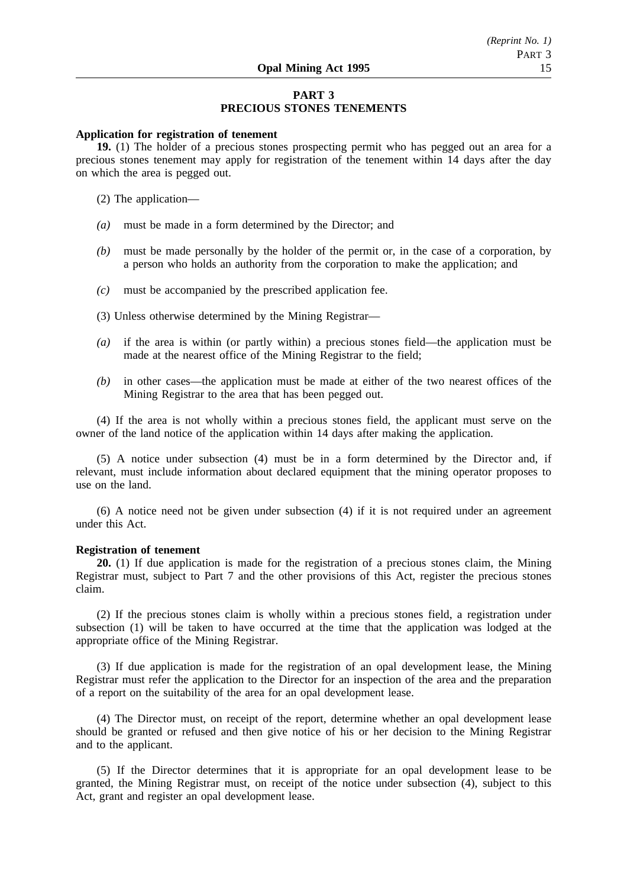## **PART 3 PRECIOUS STONES TENEMENTS**

#### **Application for registration of tenement**

**19.** (1) The holder of a precious stones prospecting permit who has pegged out an area for a precious stones tenement may apply for registration of the tenement within 14 days after the day on which the area is pegged out.

(2) The application—

- *(a)* must be made in a form determined by the Director; and
- *(b)* must be made personally by the holder of the permit or, in the case of a corporation, by a person who holds an authority from the corporation to make the application; and
- *(c)* must be accompanied by the prescribed application fee.
- (3) Unless otherwise determined by the Mining Registrar—
- *(a)* if the area is within (or partly within) a precious stones field—the application must be made at the nearest office of the Mining Registrar to the field;
- *(b)* in other cases—the application must be made at either of the two nearest offices of the Mining Registrar to the area that has been pegged out.

(4) If the area is not wholly within a precious stones field, the applicant must serve on the owner of the land notice of the application within 14 days after making the application.

(5) A notice under subsection (4) must be in a form determined by the Director and, if relevant, must include information about declared equipment that the mining operator proposes to use on the land.

(6) A notice need not be given under subsection (4) if it is not required under an agreement under this Act.

#### **Registration of tenement**

**20.** (1) If due application is made for the registration of a precious stones claim, the Mining Registrar must, subject to Part 7 and the other provisions of this Act, register the precious stones claim.

(2) If the precious stones claim is wholly within a precious stones field, a registration under subsection (1) will be taken to have occurred at the time that the application was lodged at the appropriate office of the Mining Registrar.

(3) If due application is made for the registration of an opal development lease, the Mining Registrar must refer the application to the Director for an inspection of the area and the preparation of a report on the suitability of the area for an opal development lease.

(4) The Director must, on receipt of the report, determine whether an opal development lease should be granted or refused and then give notice of his or her decision to the Mining Registrar and to the applicant.

(5) If the Director determines that it is appropriate for an opal development lease to be granted, the Mining Registrar must, on receipt of the notice under subsection (4), subject to this Act, grant and register an opal development lease.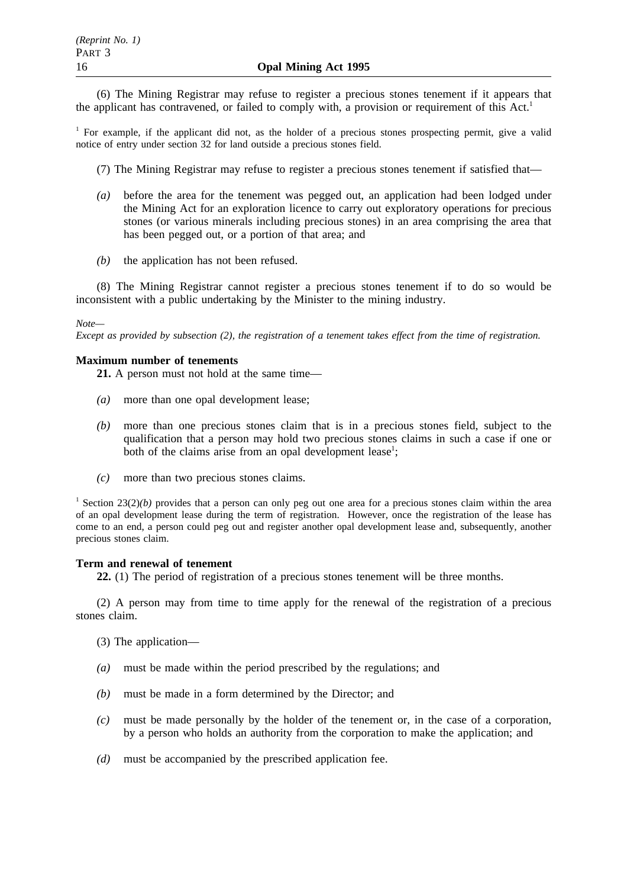(6) The Mining Registrar may refuse to register a precious stones tenement if it appears that the applicant has contravened, or failed to comply with, a provision or requirement of this  $Act<sup>1</sup>$ 

<sup>1</sup> For example, if the applicant did not, as the holder of a precious stones prospecting permit, give a valid notice of entry under section 32 for land outside a precious stones field.

(7) The Mining Registrar may refuse to register a precious stones tenement if satisfied that—

- *(a)* before the area for the tenement was pegged out, an application had been lodged under the Mining Act for an exploration licence to carry out exploratory operations for precious stones (or various minerals including precious stones) in an area comprising the area that has been pegged out, or a portion of that area; and
- *(b)* the application has not been refused.

(8) The Mining Registrar cannot register a precious stones tenement if to do so would be inconsistent with a public undertaking by the Minister to the mining industry.

### *Note—*

*Except as provided by subsection (2), the registration of a tenement takes effect from the time of registration.*

### **Maximum number of tenements**

**21.** A person must not hold at the same time—

- *(a)* more than one opal development lease;
- *(b)* more than one precious stones claim that is in a precious stones field, subject to the qualification that a person may hold two precious stones claims in such a case if one or both of the claims arise from an opal development lease<sup>1</sup>;
- *(c)* more than two precious stones claims.

<sup>1</sup> Section 23(2)(*b*) provides that a person can only peg out one area for a precious stones claim within the area of an opal development lease during the term of registration. However, once the registration of the lease has come to an end, a person could peg out and register another opal development lease and, subsequently, another precious stones claim.

### **Term and renewal of tenement**

**22.** (1) The period of registration of a precious stones tenement will be three months.

(2) A person may from time to time apply for the renewal of the registration of a precious stones claim.

(3) The application—

- *(a)* must be made within the period prescribed by the regulations; and
- *(b)* must be made in a form determined by the Director; and
- *(c)* must be made personally by the holder of the tenement or, in the case of a corporation, by a person who holds an authority from the corporation to make the application; and
- *(d)* must be accompanied by the prescribed application fee.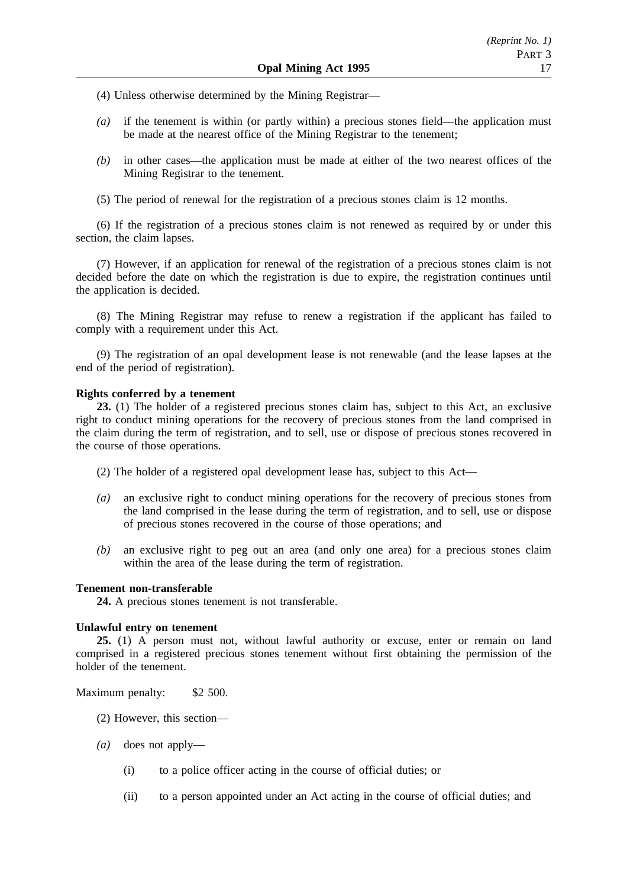(4) Unless otherwise determined by the Mining Registrar—

- *(a)* if the tenement is within (or partly within) a precious stones field—the application must be made at the nearest office of the Mining Registrar to the tenement;
- *(b)* in other cases—the application must be made at either of the two nearest offices of the Mining Registrar to the tenement.

(5) The period of renewal for the registration of a precious stones claim is 12 months.

(6) If the registration of a precious stones claim is not renewed as required by or under this section, the claim lapses.

(7) However, if an application for renewal of the registration of a precious stones claim is not decided before the date on which the registration is due to expire, the registration continues until the application is decided.

(8) The Mining Registrar may refuse to renew a registration if the applicant has failed to comply with a requirement under this Act.

(9) The registration of an opal development lease is not renewable (and the lease lapses at the end of the period of registration).

### **Rights conferred by a tenement**

**23.** (1) The holder of a registered precious stones claim has, subject to this Act, an exclusive right to conduct mining operations for the recovery of precious stones from the land comprised in the claim during the term of registration, and to sell, use or dispose of precious stones recovered in the course of those operations.

- (2) The holder of a registered opal development lease has, subject to this Act—
- *(a)* an exclusive right to conduct mining operations for the recovery of precious stones from the land comprised in the lease during the term of registration, and to sell, use or dispose of precious stones recovered in the course of those operations; and
- *(b)* an exclusive right to peg out an area (and only one area) for a precious stones claim within the area of the lease during the term of registration.

### **Tenement non-transferable**

**24.** A precious stones tenement is not transferable.

### **Unlawful entry on tenement**

**25.** (1) A person must not, without lawful authority or excuse, enter or remain on land comprised in a registered precious stones tenement without first obtaining the permission of the holder of the tenement.

Maximum penalty: \$2 500.

- (2) However, this section—
- *(a)* does not apply—
	- (i) to a police officer acting in the course of official duties; or
	- (ii) to a person appointed under an Act acting in the course of official duties; and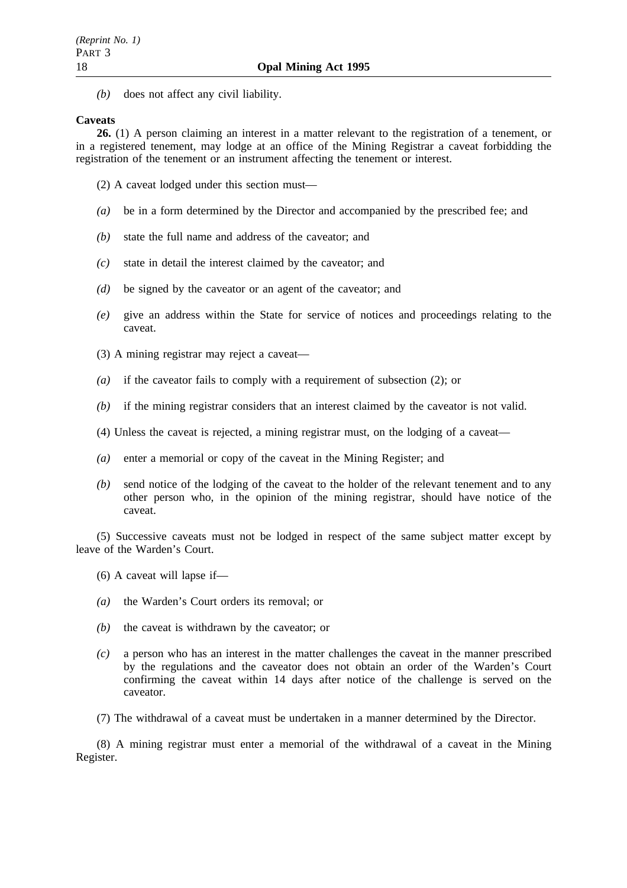*(b)* does not affect any civil liability.

### **Caveats**

**26.** (1) A person claiming an interest in a matter relevant to the registration of a tenement, or in a registered tenement, may lodge at an office of the Mining Registrar a caveat forbidding the registration of the tenement or an instrument affecting the tenement or interest.

- (2) A caveat lodged under this section must—
- *(a)* be in a form determined by the Director and accompanied by the prescribed fee; and
- *(b)* state the full name and address of the caveator; and
- *(c)* state in detail the interest claimed by the caveator; and
- *(d)* be signed by the caveator or an agent of the caveator; and
- *(e)* give an address within the State for service of notices and proceedings relating to the caveat.
- (3) A mining registrar may reject a caveat—
- *(a)* if the caveator fails to comply with a requirement of subsection (2); or
- *(b)* if the mining registrar considers that an interest claimed by the caveator is not valid.
- (4) Unless the caveat is rejected, a mining registrar must, on the lodging of a caveat—
- *(a)* enter a memorial or copy of the caveat in the Mining Register; and
- *(b)* send notice of the lodging of the caveat to the holder of the relevant tenement and to any other person who, in the opinion of the mining registrar, should have notice of the caveat.

(5) Successive caveats must not be lodged in respect of the same subject matter except by leave of the Warden's Court.

- (6) A caveat will lapse if—
- *(a)* the Warden's Court orders its removal; or
- *(b)* the caveat is withdrawn by the caveator; or
- *(c)* a person who has an interest in the matter challenges the caveat in the manner prescribed by the regulations and the caveator does not obtain an order of the Warden's Court confirming the caveat within 14 days after notice of the challenge is served on the caveator.
- (7) The withdrawal of a caveat must be undertaken in a manner determined by the Director.

(8) A mining registrar must enter a memorial of the withdrawal of a caveat in the Mining Register.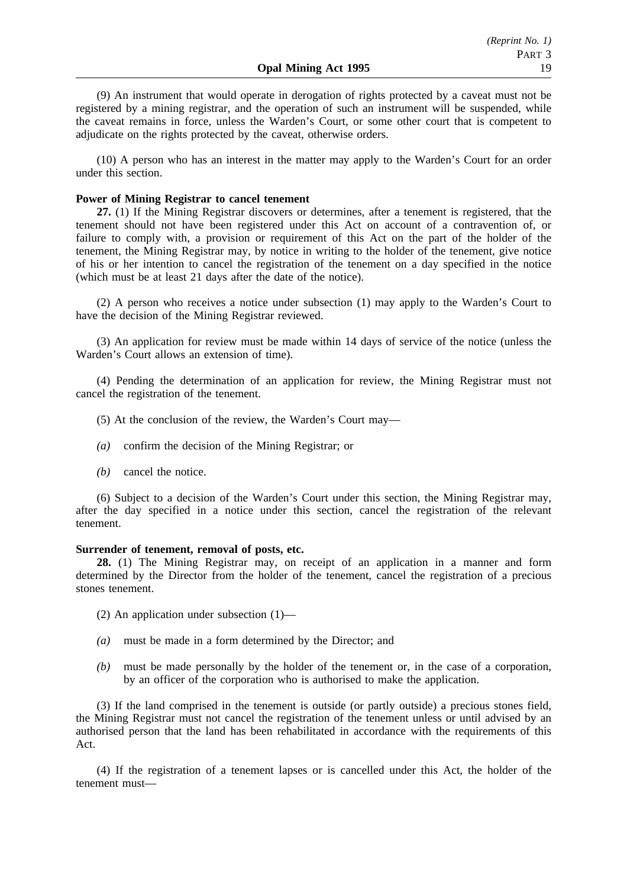(9) An instrument that would operate in derogation of rights protected by a caveat must not be registered by a mining registrar, and the operation of such an instrument will be suspended, while the caveat remains in force, unless the Warden's Court, or some other court that is competent to adjudicate on the rights protected by the caveat, otherwise orders.

(10) A person who has an interest in the matter may apply to the Warden's Court for an order under this section.

### **Power of Mining Registrar to cancel tenement**

**27.** (1) If the Mining Registrar discovers or determines, after a tenement is registered, that the tenement should not have been registered under this Act on account of a contravention of, or failure to comply with, a provision or requirement of this Act on the part of the holder of the tenement, the Mining Registrar may, by notice in writing to the holder of the tenement, give notice of his or her intention to cancel the registration of the tenement on a day specified in the notice (which must be at least 21 days after the date of the notice).

(2) A person who receives a notice under subsection (1) may apply to the Warden's Court to have the decision of the Mining Registrar reviewed.

(3) An application for review must be made within 14 days of service of the notice (unless the Warden's Court allows an extension of time).

(4) Pending the determination of an application for review, the Mining Registrar must not cancel the registration of the tenement.

- (5) At the conclusion of the review, the Warden's Court may—
- *(a)* confirm the decision of the Mining Registrar; or
- *(b)* cancel the notice.

(6) Subject to a decision of the Warden's Court under this section, the Mining Registrar may, after the day specified in a notice under this section, cancel the registration of the relevant tenement.

### **Surrender of tenement, removal of posts, etc.**

**28.** (1) The Mining Registrar may, on receipt of an application in a manner and form determined by the Director from the holder of the tenement, cancel the registration of a precious stones tenement.

- (2) An application under subsection (1)—
- *(a)* must be made in a form determined by the Director; and
- *(b)* must be made personally by the holder of the tenement or, in the case of a corporation, by an officer of the corporation who is authorised to make the application.

(3) If the land comprised in the tenement is outside (or partly outside) a precious stones field, the Mining Registrar must not cancel the registration of the tenement unless or until advised by an authorised person that the land has been rehabilitated in accordance with the requirements of this Act.

(4) If the registration of a tenement lapses or is cancelled under this Act, the holder of the tenement must—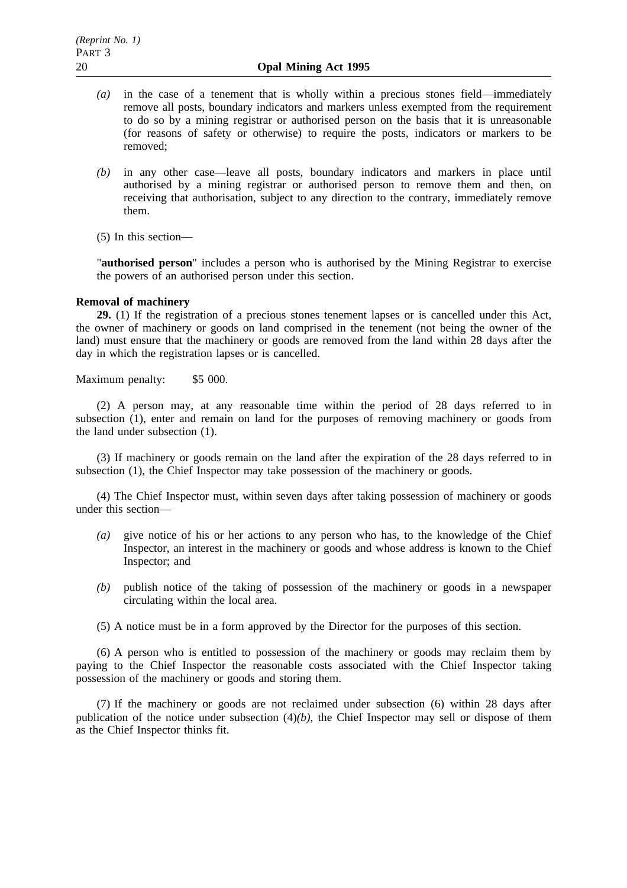- *(a)* in the case of a tenement that is wholly within a precious stones field—immediately remove all posts, boundary indicators and markers unless exempted from the requirement to do so by a mining registrar or authorised person on the basis that it is unreasonable (for reasons of safety or otherwise) to require the posts, indicators or markers to be removed;
- *(b)* in any other case—leave all posts, boundary indicators and markers in place until authorised by a mining registrar or authorised person to remove them and then, on receiving that authorisation, subject to any direction to the contrary, immediately remove them.
- (5) In this section—

"**authorised person**" includes a person who is authorised by the Mining Registrar to exercise the powers of an authorised person under this section.

### **Removal of machinery**

**29.** (1) If the registration of a precious stones tenement lapses or is cancelled under this Act, the owner of machinery or goods on land comprised in the tenement (not being the owner of the land) must ensure that the machinery or goods are removed from the land within 28 days after the day in which the registration lapses or is cancelled.

Maximum penalty: \$5 000.

(2) A person may, at any reasonable time within the period of 28 days referred to in subsection (1), enter and remain on land for the purposes of removing machinery or goods from the land under subsection (1).

(3) If machinery or goods remain on the land after the expiration of the 28 days referred to in subsection (1), the Chief Inspector may take possession of the machinery or goods.

(4) The Chief Inspector must, within seven days after taking possession of machinery or goods under this section—

- *(a)* give notice of his or her actions to any person who has, to the knowledge of the Chief Inspector, an interest in the machinery or goods and whose address is known to the Chief Inspector; and
- *(b)* publish notice of the taking of possession of the machinery or goods in a newspaper circulating within the local area.
- (5) A notice must be in a form approved by the Director for the purposes of this section.

(6) A person who is entitled to possession of the machinery or goods may reclaim them by paying to the Chief Inspector the reasonable costs associated with the Chief Inspector taking possession of the machinery or goods and storing them.

(7) If the machinery or goods are not reclaimed under subsection (6) within 28 days after publication of the notice under subsection (4)*(b)*, the Chief Inspector may sell or dispose of them as the Chief Inspector thinks fit.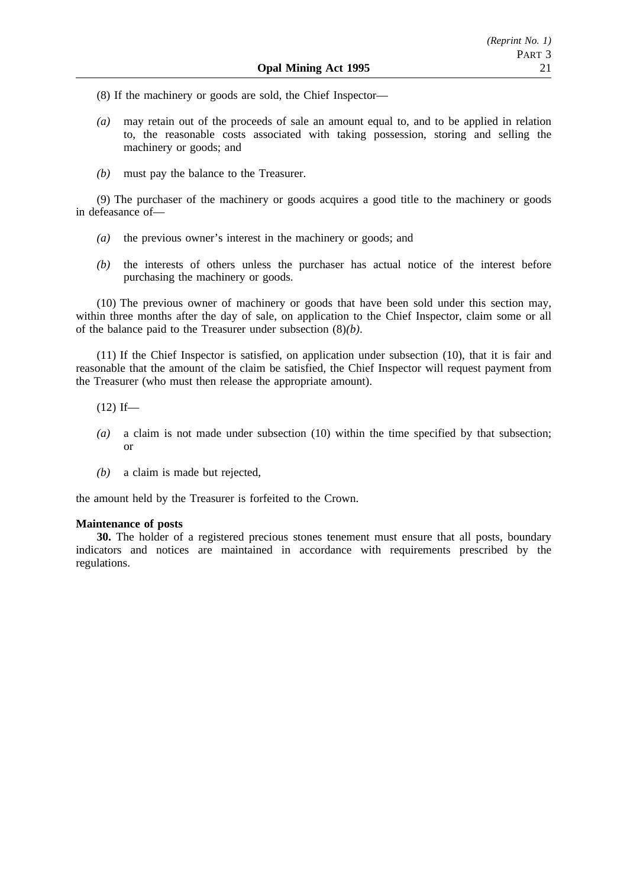(8) If the machinery or goods are sold, the Chief Inspector—

- *(a)* may retain out of the proceeds of sale an amount equal to, and to be applied in relation to, the reasonable costs associated with taking possession, storing and selling the machinery or goods; and
- *(b)* must pay the balance to the Treasurer.

(9) The purchaser of the machinery or goods acquires a good title to the machinery or goods in defeasance of—

- *(a)* the previous owner's interest in the machinery or goods; and
- *(b)* the interests of others unless the purchaser has actual notice of the interest before purchasing the machinery or goods.

(10) The previous owner of machinery or goods that have been sold under this section may, within three months after the day of sale, on application to the Chief Inspector, claim some or all of the balance paid to the Treasurer under subsection (8)*(b)*.

(11) If the Chief Inspector is satisfied, on application under subsection (10), that it is fair and reasonable that the amount of the claim be satisfied, the Chief Inspector will request payment from the Treasurer (who must then release the appropriate amount).

- $(12)$  If—
- *(a)* a claim is not made under subsection (10) within the time specified by that subsection; or
- *(b)* a claim is made but rejected,

the amount held by the Treasurer is forfeited to the Crown.

## **Maintenance of posts**

**30.** The holder of a registered precious stones tenement must ensure that all posts, boundary indicators and notices are maintained in accordance with requirements prescribed by the regulations.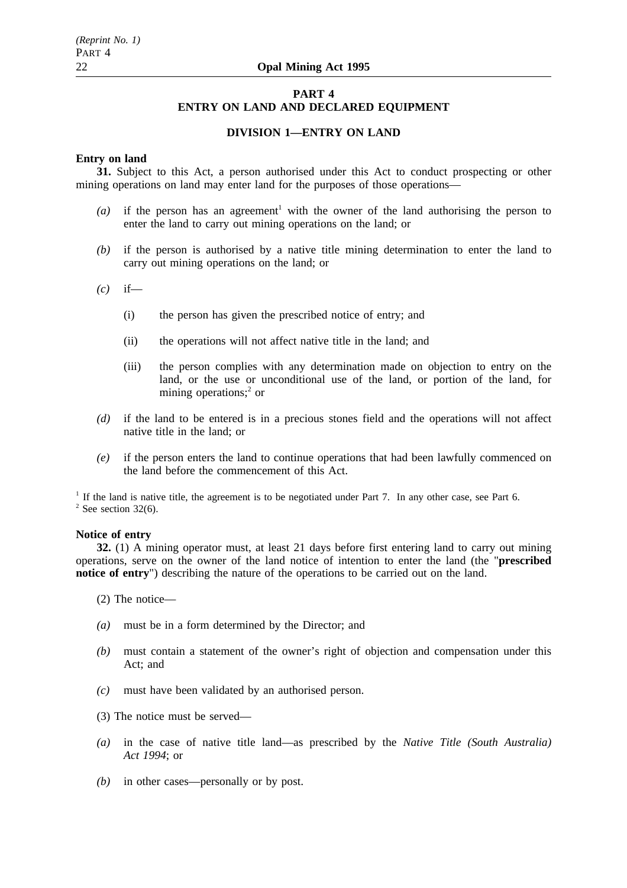## **PART 4 ENTRY ON LAND AND DECLARED EQUIPMENT**

### **DIVISION 1—ENTRY ON LAND**

### **Entry on land**

**31.** Subject to this Act, a person authorised under this Act to conduct prospecting or other mining operations on land may enter land for the purposes of those operations—

- $(a)$  if the person has an agreement<sup>1</sup> with the owner of the land authorising the person to enter the land to carry out mining operations on the land; or
- *(b)* if the person is authorised by a native title mining determination to enter the land to carry out mining operations on the land; or
- *(c)* if—
	- (i) the person has given the prescribed notice of entry; and
	- (ii) the operations will not affect native title in the land; and
	- (iii) the person complies with any determination made on objection to entry on the land, or the use or unconditional use of the land, or portion of the land, for mining operations;<sup>2</sup> or
- *(d)* if the land to be entered is in a precious stones field and the operations will not affect native title in the land; or
- *(e)* if the person enters the land to continue operations that had been lawfully commenced on the land before the commencement of this Act.

<sup>1</sup> If the land is native title, the agreement is to be negotiated under Part 7. In any other case, see Part 6.  $2$  See section 32(6).

### **Notice of entry**

**32.** (1) A mining operator must, at least 21 days before first entering land to carry out mining operations, serve on the owner of the land notice of intention to enter the land (the "**prescribed notice of entry**") describing the nature of the operations to be carried out on the land.

(2) The notice—

- *(a)* must be in a form determined by the Director; and
- *(b)* must contain a statement of the owner's right of objection and compensation under this Act; and
- *(c)* must have been validated by an authorised person.
- (3) The notice must be served—
- *(a)* in the case of native title land—as prescribed by the *Native Title (South Australia) Act 1994*; or
- *(b)* in other cases—personally or by post.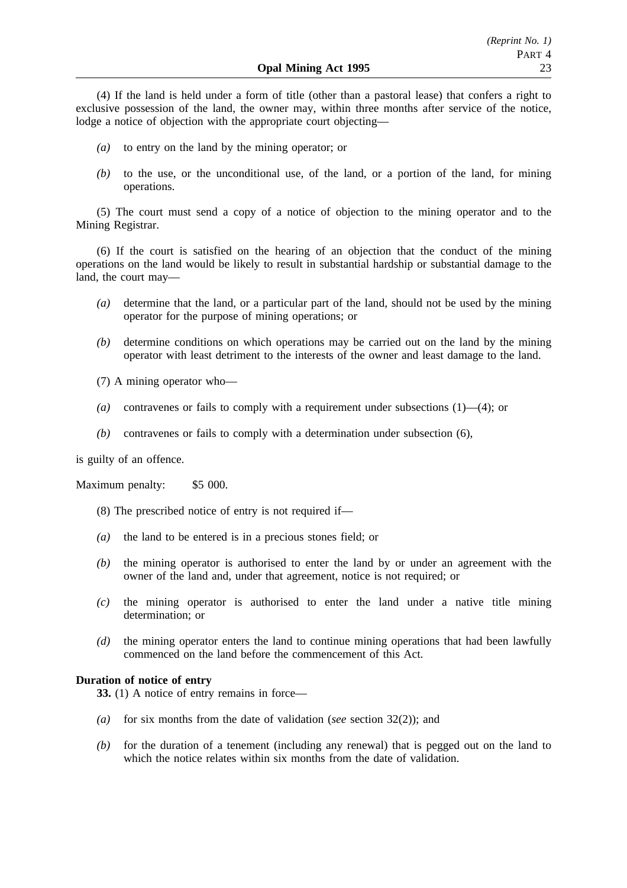(4) If the land is held under a form of title (other than a pastoral lease) that confers a right to exclusive possession of the land, the owner may, within three months after service of the notice, lodge a notice of objection with the appropriate court objecting—

- *(a)* to entry on the land by the mining operator; or
- *(b)* to the use, or the unconditional use, of the land, or a portion of the land, for mining operations.

(5) The court must send a copy of a notice of objection to the mining operator and to the Mining Registrar.

(6) If the court is satisfied on the hearing of an objection that the conduct of the mining operations on the land would be likely to result in substantial hardship or substantial damage to the land, the court may—

- *(a)* determine that the land, or a particular part of the land, should not be used by the mining operator for the purpose of mining operations; or
- *(b)* determine conditions on which operations may be carried out on the land by the mining operator with least detriment to the interests of the owner and least damage to the land.
- (7) A mining operator who—
- *(a)* contravenes or fails to comply with a requirement under subsections (1)—(4); or
- *(b)* contravenes or fails to comply with a determination under subsection (6),

is guilty of an offence.

Maximum penalty: \$5 000.

- (8) The prescribed notice of entry is not required if—
- *(a)* the land to be entered is in a precious stones field; or
- *(b)* the mining operator is authorised to enter the land by or under an agreement with the owner of the land and, under that agreement, notice is not required; or
- *(c)* the mining operator is authorised to enter the land under a native title mining determination; or
- *(d)* the mining operator enters the land to continue mining operations that had been lawfully commenced on the land before the commencement of this Act.

### **Duration of notice of entry**

**33.** (1) A notice of entry remains in force—

- *(a)* for six months from the date of validation (*see* section 32(2)); and
- *(b)* for the duration of a tenement (including any renewal) that is pegged out on the land to which the notice relates within six months from the date of validation.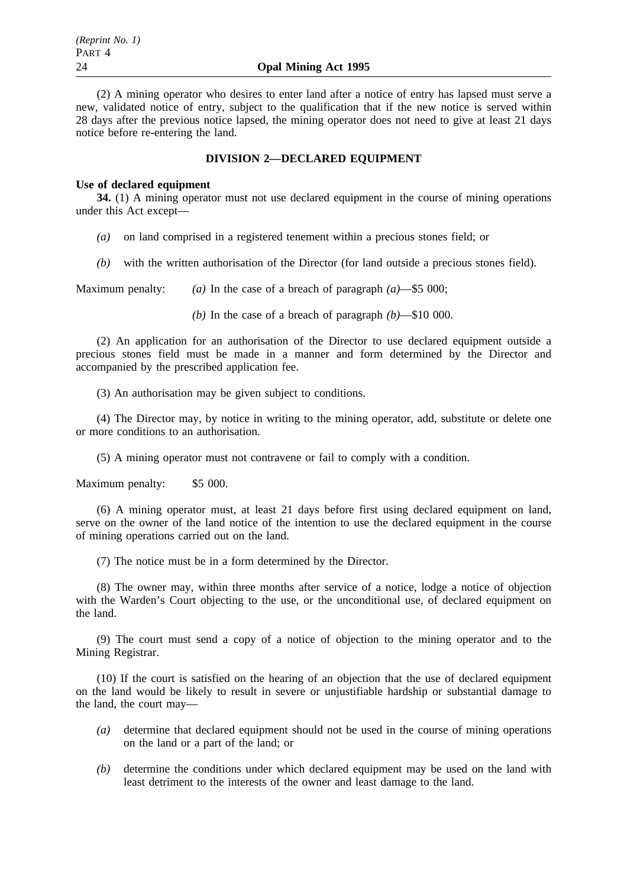(2) A mining operator who desires to enter land after a notice of entry has lapsed must serve a new, validated notice of entry, subject to the qualification that if the new notice is served within 28 days after the previous notice lapsed, the mining operator does not need to give at least 21 days notice before re-entering the land.

### **DIVISION 2—DECLARED EQUIPMENT**

### **Use of declared equipment**

**34.** (1) A mining operator must not use declared equipment in the course of mining operations under this Act except—

- *(a)* on land comprised in a registered tenement within a precious stones field; or
- *(b)* with the written authorisation of the Director (for land outside a precious stones field).

Maximum penalty: *(a)* In the case of a breach of paragraph *(a)*—\$5 000;

*(b)* In the case of a breach of paragraph *(b)*—\$10 000.

(2) An application for an authorisation of the Director to use declared equipment outside a precious stones field must be made in a manner and form determined by the Director and accompanied by the prescribed application fee.

(3) An authorisation may be given subject to conditions.

(4) The Director may, by notice in writing to the mining operator, add, substitute or delete one or more conditions to an authorisation.

(5) A mining operator must not contravene or fail to comply with a condition.

Maximum penalty: \$5 000.

(6) A mining operator must, at least 21 days before first using declared equipment on land, serve on the owner of the land notice of the intention to use the declared equipment in the course of mining operations carried out on the land.

(7) The notice must be in a form determined by the Director.

(8) The owner may, within three months after service of a notice, lodge a notice of objection with the Warden's Court objecting to the use, or the unconditional use, of declared equipment on the land.

(9) The court must send a copy of a notice of objection to the mining operator and to the Mining Registrar.

(10) If the court is satisfied on the hearing of an objection that the use of declared equipment on the land would be likely to result in severe or unjustifiable hardship or substantial damage to the land, the court may—

- *(a)* determine that declared equipment should not be used in the course of mining operations on the land or a part of the land; or
- *(b)* determine the conditions under which declared equipment may be used on the land with least detriment to the interests of the owner and least damage to the land.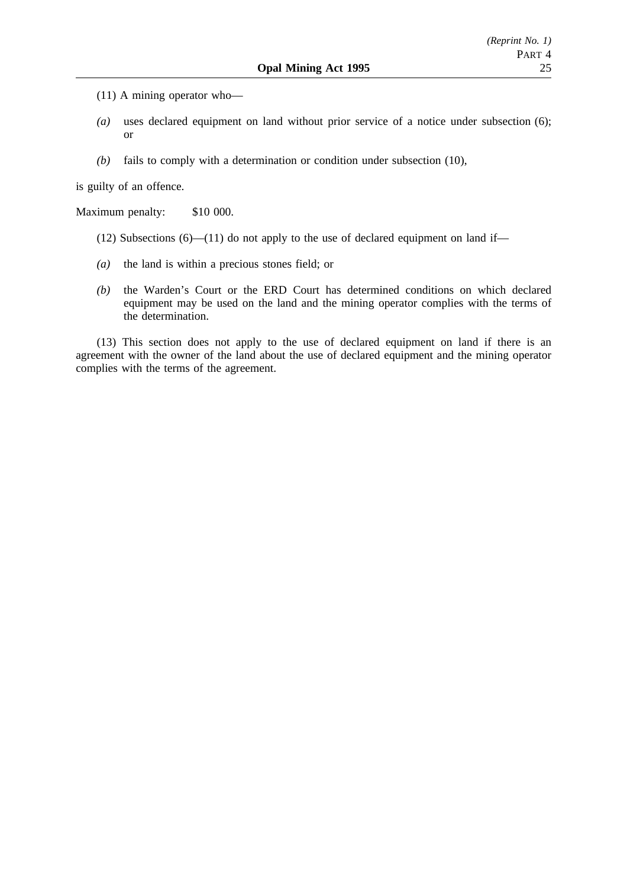- (11) A mining operator who—
- *(a)* uses declared equipment on land without prior service of a notice under subsection (6); or
- *(b)* fails to comply with a determination or condition under subsection (10),

is guilty of an offence.

Maximum penalty: \$10 000.

- (12) Subsections  $(6)$ —(11) do not apply to the use of declared equipment on land if—
- *(a)* the land is within a precious stones field; or
- *(b)* the Warden's Court or the ERD Court has determined conditions on which declared equipment may be used on the land and the mining operator complies with the terms of the determination.

(13) This section does not apply to the use of declared equipment on land if there is an agreement with the owner of the land about the use of declared equipment and the mining operator complies with the terms of the agreement.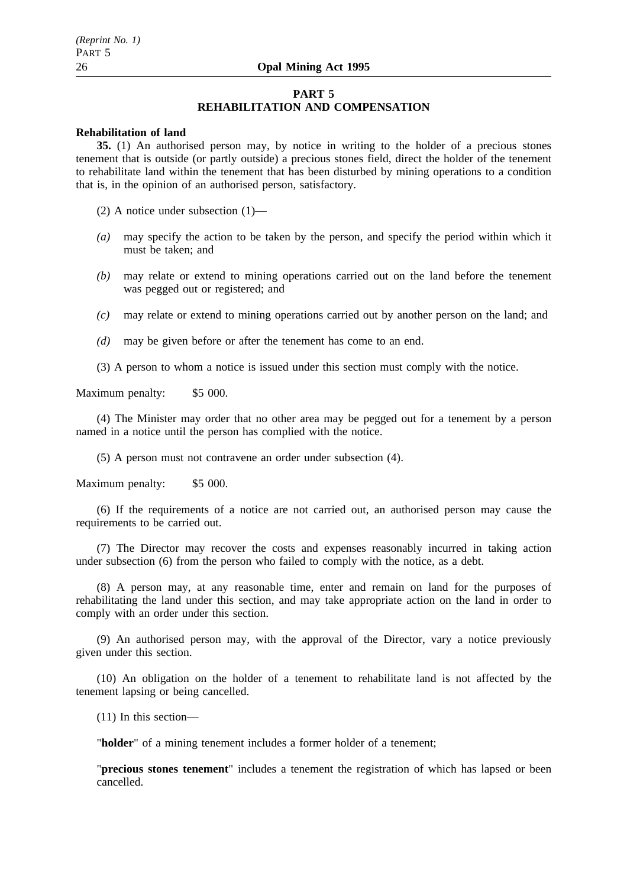### **PART 5 REHABILITATION AND COMPENSATION**

### **Rehabilitation of land**

**35.** (1) An authorised person may, by notice in writing to the holder of a precious stones tenement that is outside (or partly outside) a precious stones field, direct the holder of the tenement to rehabilitate land within the tenement that has been disturbed by mining operations to a condition that is, in the opinion of an authorised person, satisfactory.

(2) A notice under subsection (1)—

- *(a)* may specify the action to be taken by the person, and specify the period within which it must be taken; and
- *(b)* may relate or extend to mining operations carried out on the land before the tenement was pegged out or registered; and
- *(c)* may relate or extend to mining operations carried out by another person on the land; and
- *(d)* may be given before or after the tenement has come to an end.
- (3) A person to whom a notice is issued under this section must comply with the notice.

Maximum penalty: \$5 000.

(4) The Minister may order that no other area may be pegged out for a tenement by a person named in a notice until the person has complied with the notice.

(5) A person must not contravene an order under subsection (4).

Maximum penalty: \$5 000.

(6) If the requirements of a notice are not carried out, an authorised person may cause the requirements to be carried out.

(7) The Director may recover the costs and expenses reasonably incurred in taking action under subsection (6) from the person who failed to comply with the notice, as a debt.

(8) A person may, at any reasonable time, enter and remain on land for the purposes of rehabilitating the land under this section, and may take appropriate action on the land in order to comply with an order under this section.

(9) An authorised person may, with the approval of the Director, vary a notice previously given under this section.

(10) An obligation on the holder of a tenement to rehabilitate land is not affected by the tenement lapsing or being cancelled.

(11) In this section—

"**holder**" of a mining tenement includes a former holder of a tenement;

"**precious stones tenement**" includes a tenement the registration of which has lapsed or been cancelled.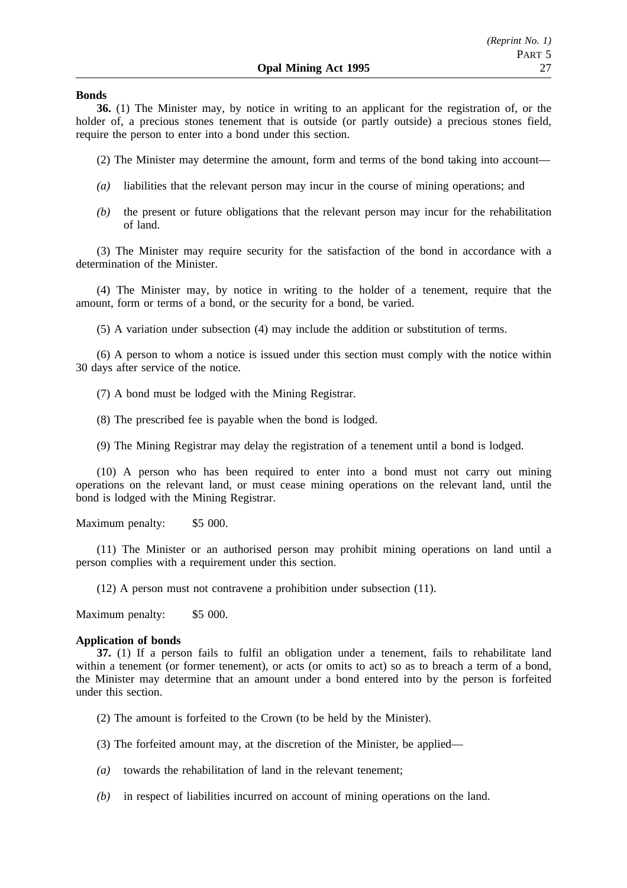### **Bonds**

**36.** (1) The Minister may, by notice in writing to an applicant for the registration of, or the holder of, a precious stones tenement that is outside (or partly outside) a precious stones field, require the person to enter into a bond under this section.

(2) The Minister may determine the amount, form and terms of the bond taking into account—

- *(a)* liabilities that the relevant person may incur in the course of mining operations; and
- *(b)* the present or future obligations that the relevant person may incur for the rehabilitation of land.

(3) The Minister may require security for the satisfaction of the bond in accordance with a determination of the Minister.

(4) The Minister may, by notice in writing to the holder of a tenement, require that the amount, form or terms of a bond, or the security for a bond, be varied.

(5) A variation under subsection (4) may include the addition or substitution of terms.

(6) A person to whom a notice is issued under this section must comply with the notice within 30 days after service of the notice.

(7) A bond must be lodged with the Mining Registrar.

(8) The prescribed fee is payable when the bond is lodged.

(9) The Mining Registrar may delay the registration of a tenement until a bond is lodged.

(10) A person who has been required to enter into a bond must not carry out mining operations on the relevant land, or must cease mining operations on the relevant land, until the bond is lodged with the Mining Registrar.

Maximum penalty: \$5 000.

(11) The Minister or an authorised person may prohibit mining operations on land until a person complies with a requirement under this section.

(12) A person must not contravene a prohibition under subsection (11).

Maximum penalty: \$5 000.

#### **Application of bonds**

**37.** (1) If a person fails to fulfil an obligation under a tenement, fails to rehabilitate land within a tenement (or former tenement), or acts (or omits to act) so as to breach a term of a bond, the Minister may determine that an amount under a bond entered into by the person is forfeited under this section.

(2) The amount is forfeited to the Crown (to be held by the Minister).

(3) The forfeited amount may, at the discretion of the Minister, be applied—

- *(a)* towards the rehabilitation of land in the relevant tenement;
- *(b)* in respect of liabilities incurred on account of mining operations on the land.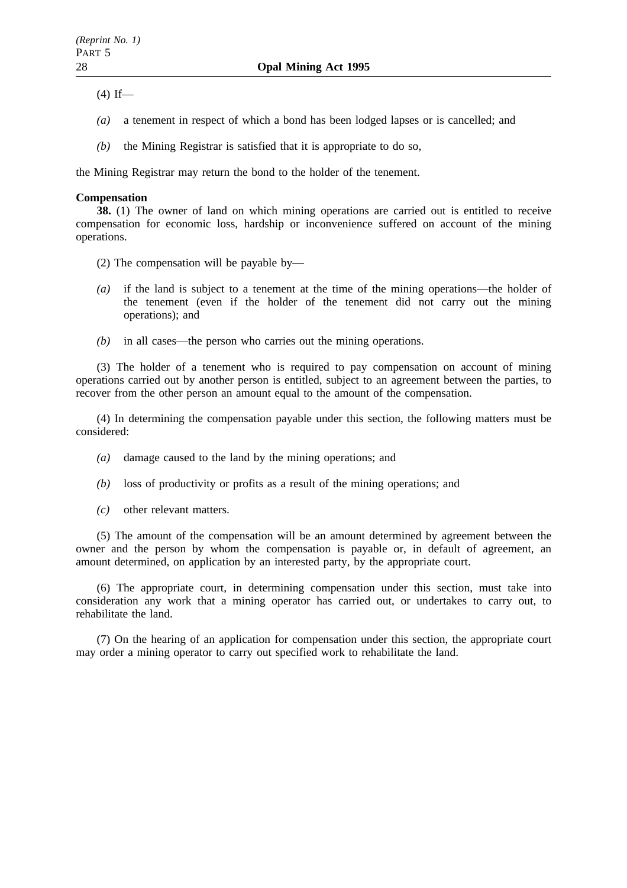$(4)$  If—

- *(a)* a tenement in respect of which a bond has been lodged lapses or is cancelled; and
- *(b)* the Mining Registrar is satisfied that it is appropriate to do so,

the Mining Registrar may return the bond to the holder of the tenement.

### **Compensation**

**38.** (1) The owner of land on which mining operations are carried out is entitled to receive compensation for economic loss, hardship or inconvenience suffered on account of the mining operations.

- (2) The compensation will be payable by—
- *(a)* if the land is subject to a tenement at the time of the mining operations—the holder of the tenement (even if the holder of the tenement did not carry out the mining operations); and
- *(b)* in all cases—the person who carries out the mining operations.

(3) The holder of a tenement who is required to pay compensation on account of mining operations carried out by another person is entitled, subject to an agreement between the parties, to recover from the other person an amount equal to the amount of the compensation.

(4) In determining the compensation payable under this section, the following matters must be considered:

- *(a)* damage caused to the land by the mining operations; and
- *(b)* loss of productivity or profits as a result of the mining operations; and
- *(c)* other relevant matters.

(5) The amount of the compensation will be an amount determined by agreement between the owner and the person by whom the compensation is payable or, in default of agreement, an amount determined, on application by an interested party, by the appropriate court.

(6) The appropriate court, in determining compensation under this section, must take into consideration any work that a mining operator has carried out, or undertakes to carry out, to rehabilitate the land.

(7) On the hearing of an application for compensation under this section, the appropriate court may order a mining operator to carry out specified work to rehabilitate the land.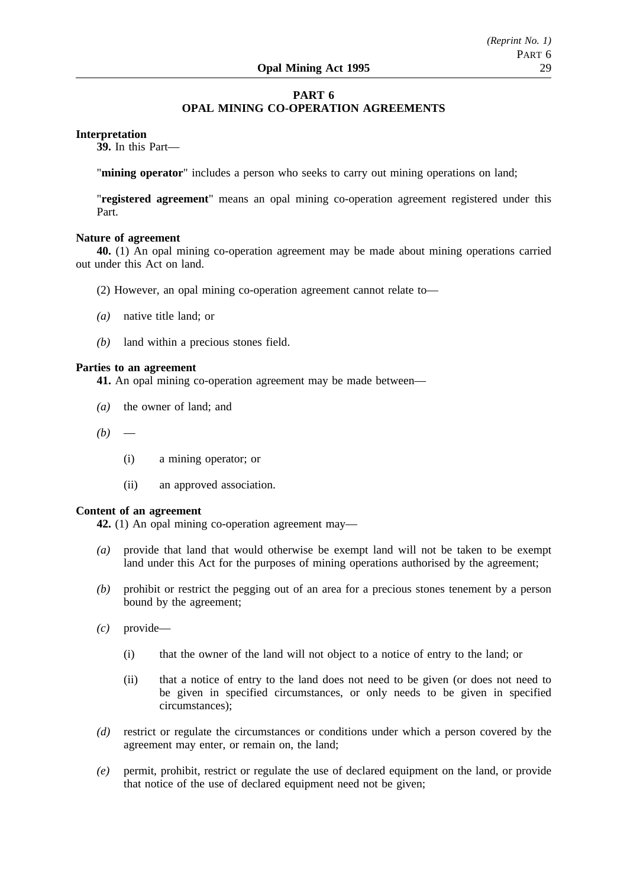## **PART 6 OPAL MINING CO-OPERATION AGREEMENTS**

### **Interpretation**

**39.** In this Part—

"**mining operator**" includes a person who seeks to carry out mining operations on land;

"**registered agreement**" means an opal mining co-operation agreement registered under this Part.

#### **Nature of agreement**

**40.** (1) An opal mining co-operation agreement may be made about mining operations carried out under this Act on land.

- (2) However, an opal mining co-operation agreement cannot relate to—
- *(a)* native title land; or
- *(b)* land within a precious stones field.

### **Parties to an agreement**

**41.** An opal mining co-operation agreement may be made between—

- *(a)* the owner of land; and
- $(b)$ 
	- (i) a mining operator; or
	- (ii) an approved association.

#### **Content of an agreement**

**42.** (1) An opal mining co-operation agreement may—

- *(a)* provide that land that would otherwise be exempt land will not be taken to be exempt land under this Act for the purposes of mining operations authorised by the agreement;
- *(b)* prohibit or restrict the pegging out of an area for a precious stones tenement by a person bound by the agreement;
- *(c)* provide—
	- (i) that the owner of the land will not object to a notice of entry to the land; or
	- (ii) that a notice of entry to the land does not need to be given (or does not need to be given in specified circumstances, or only needs to be given in specified circumstances);
- *(d)* restrict or regulate the circumstances or conditions under which a person covered by the agreement may enter, or remain on, the land;
- *(e)* permit, prohibit, restrict or regulate the use of declared equipment on the land, or provide that notice of the use of declared equipment need not be given;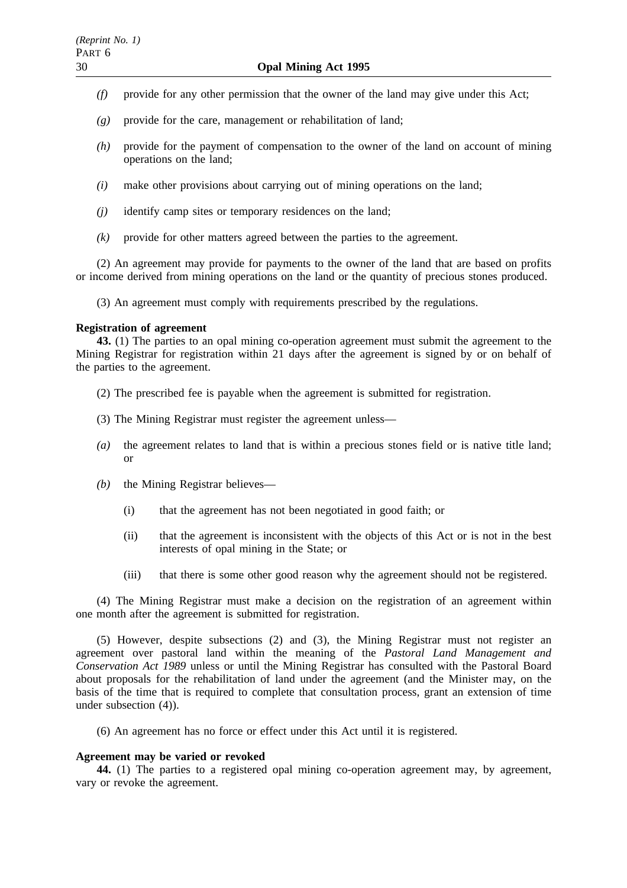- *(f)* provide for any other permission that the owner of the land may give under this Act;
- *(g)* provide for the care, management or rehabilitation of land;
- *(h)* provide for the payment of compensation to the owner of the land on account of mining operations on the land;
- *(i)* make other provisions about carrying out of mining operations on the land;
- *(j)* identify camp sites or temporary residences on the land;
- *(k)* provide for other matters agreed between the parties to the agreement.

(2) An agreement may provide for payments to the owner of the land that are based on profits or income derived from mining operations on the land or the quantity of precious stones produced.

(3) An agreement must comply with requirements prescribed by the regulations.

### **Registration of agreement**

**43.** (1) The parties to an opal mining co-operation agreement must submit the agreement to the Mining Registrar for registration within 21 days after the agreement is signed by or on behalf of the parties to the agreement.

- (2) The prescribed fee is payable when the agreement is submitted for registration.
- (3) The Mining Registrar must register the agreement unless—
- *(a)* the agreement relates to land that is within a precious stones field or is native title land; or
- *(b)* the Mining Registrar believes—
	- (i) that the agreement has not been negotiated in good faith; or
	- (ii) that the agreement is inconsistent with the objects of this Act or is not in the best interests of opal mining in the State; or
	- (iii) that there is some other good reason why the agreement should not be registered.

(4) The Mining Registrar must make a decision on the registration of an agreement within one month after the agreement is submitted for registration.

(5) However, despite subsections (2) and (3), the Mining Registrar must not register an agreement over pastoral land within the meaning of the *Pastoral Land Management and Conservation Act 1989* unless or until the Mining Registrar has consulted with the Pastoral Board about proposals for the rehabilitation of land under the agreement (and the Minister may, on the basis of the time that is required to complete that consultation process, grant an extension of time under subsection (4)).

(6) An agreement has no force or effect under this Act until it is registered.

### **Agreement may be varied or revoked**

**44.** (1) The parties to a registered opal mining co-operation agreement may, by agreement, vary or revoke the agreement.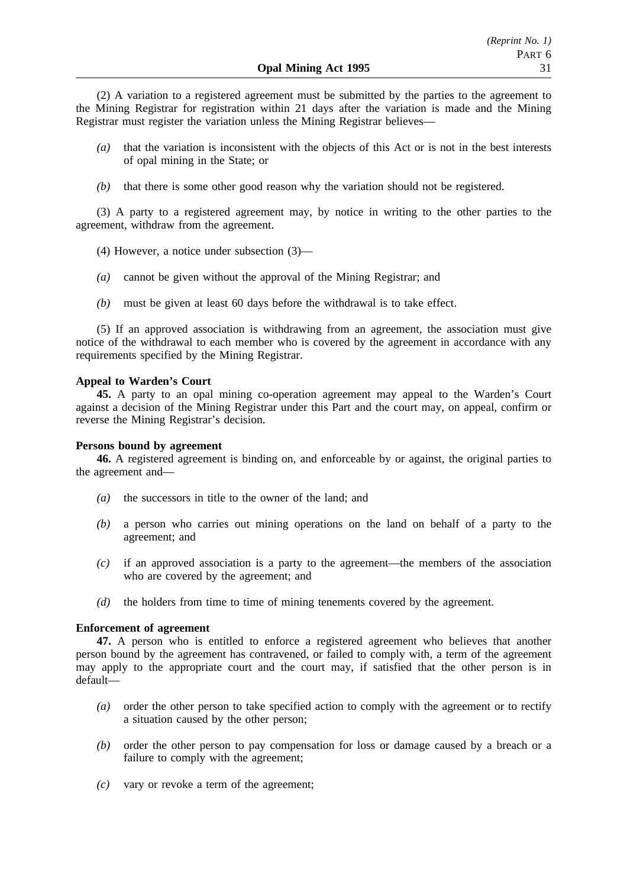(2) A variation to a registered agreement must be submitted by the parties to the agreement to the Mining Registrar for registration within 21 days after the variation is made and the Mining Registrar must register the variation unless the Mining Registrar believes—

- *(a)* that the variation is inconsistent with the objects of this Act or is not in the best interests of opal mining in the State; or
- *(b)* that there is some other good reason why the variation should not be registered.

(3) A party to a registered agreement may, by notice in writing to the other parties to the agreement, withdraw from the agreement.

- (4) However, a notice under subsection (3)—
- *(a)* cannot be given without the approval of the Mining Registrar; and
- *(b)* must be given at least 60 days before the withdrawal is to take effect.

(5) If an approved association is withdrawing from an agreement, the association must give notice of the withdrawal to each member who is covered by the agreement in accordance with any requirements specified by the Mining Registrar.

### **Appeal to Warden's Court**

**45.** A party to an opal mining co-operation agreement may appeal to the Warden's Court against a decision of the Mining Registrar under this Part and the court may, on appeal, confirm or reverse the Mining Registrar's decision.

### **Persons bound by agreement**

**46.** A registered agreement is binding on, and enforceable by or against, the original parties to the agreement and—

- *(a)* the successors in title to the owner of the land; and
- *(b)* a person who carries out mining operations on the land on behalf of a party to the agreement; and
- *(c)* if an approved association is a party to the agreement—the members of the association who are covered by the agreement; and
- *(d)* the holders from time to time of mining tenements covered by the agreement.

### **Enforcement of agreement**

**47.** A person who is entitled to enforce a registered agreement who believes that another person bound by the agreement has contravened, or failed to comply with, a term of the agreement may apply to the appropriate court and the court may, if satisfied that the other person is in default—

- *(a)* order the other person to take specified action to comply with the agreement or to rectify a situation caused by the other person;
- *(b)* order the other person to pay compensation for loss or damage caused by a breach or a failure to comply with the agreement;
- *(c)* vary or revoke a term of the agreement;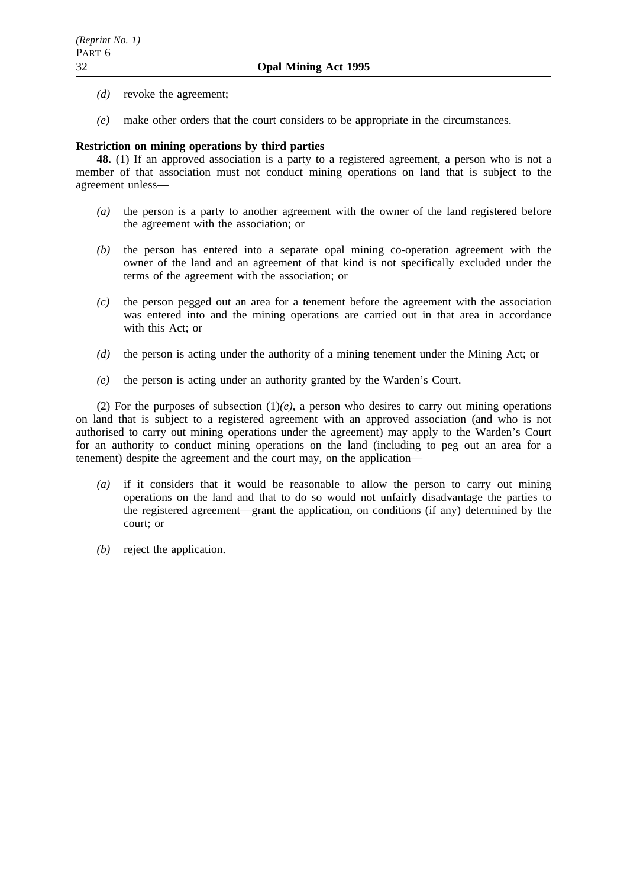- *(d)* revoke the agreement;
- *(e)* make other orders that the court considers to be appropriate in the circumstances.

## **Restriction on mining operations by third parties**

**48.** (1) If an approved association is a party to a registered agreement, a person who is not a member of that association must not conduct mining operations on land that is subject to the agreement unless—

- *(a)* the person is a party to another agreement with the owner of the land registered before the agreement with the association; or
- *(b)* the person has entered into a separate opal mining co-operation agreement with the owner of the land and an agreement of that kind is not specifically excluded under the terms of the agreement with the association; or
- *(c)* the person pegged out an area for a tenement before the agreement with the association was entered into and the mining operations are carried out in that area in accordance with this Act; or
- *(d)* the person is acting under the authority of a mining tenement under the Mining Act; or
- *(e)* the person is acting under an authority granted by the Warden's Court.

(2) For the purposes of subsection  $(1)(e)$ , a person who desires to carry out mining operations on land that is subject to a registered agreement with an approved association (and who is not authorised to carry out mining operations under the agreement) may apply to the Warden's Court for an authority to conduct mining operations on the land (including to peg out an area for a tenement) despite the agreement and the court may, on the application—

- *(a)* if it considers that it would be reasonable to allow the person to carry out mining operations on the land and that to do so would not unfairly disadvantage the parties to the registered agreement—grant the application, on conditions (if any) determined by the court; or
- *(b)* reject the application.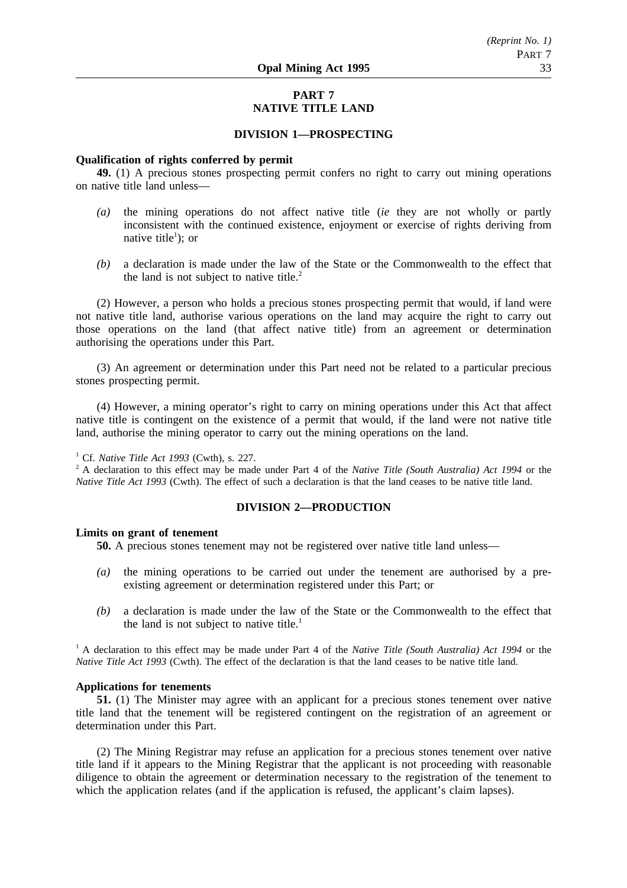## **PART 7 NATIVE TITLE LAND**

### **DIVISION 1—PROSPECTING**

### **Qualification of rights conferred by permit**

**49.** (1) A precious stones prospecting permit confers no right to carry out mining operations on native title land unless—

- *(a)* the mining operations do not affect native title (*ie* they are not wholly or partly inconsistent with the continued existence, enjoyment or exercise of rights deriving from native title<sup>1</sup>); or
- *(b)* a declaration is made under the law of the State or the Commonwealth to the effect that the land is not subject to native title.<sup>2</sup>

(2) However, a person who holds a precious stones prospecting permit that would, if land were not native title land, authorise various operations on the land may acquire the right to carry out those operations on the land (that affect native title) from an agreement or determination authorising the operations under this Part.

(3) An agreement or determination under this Part need not be related to a particular precious stones prospecting permit.

(4) However, a mining operator's right to carry on mining operations under this Act that affect native title is contingent on the existence of a permit that would, if the land were not native title land, authorise the mining operator to carry out the mining operations on the land.

## <sup>1</sup> Cf. *Native Title Act 1993* (Cwth), s. 227.

<sup>2</sup> A declaration to this effect may be made under Part 4 of the *Native Title (South Australia) Act 1994* or the *Native Title Act 1993* (Cwth). The effect of such a declaration is that the land ceases to be native title land.

### **DIVISION 2—PRODUCTION**

#### **Limits on grant of tenement**

**50.** A precious stones tenement may not be registered over native title land unless—

- *(a)* the mining operations to be carried out under the tenement are authorised by a preexisting agreement or determination registered under this Part; or
- *(b)* a declaration is made under the law of the State or the Commonwealth to the effect that the land is not subject to native title.<sup>1</sup>

<sup>1</sup> A declaration to this effect may be made under Part 4 of the *Native Title (South Australia) Act 1994* or the *Native Title Act 1993* (Cwth). The effect of the declaration is that the land ceases to be native title land.

### **Applications for tenements**

**51.** (1) The Minister may agree with an applicant for a precious stones tenement over native title land that the tenement will be registered contingent on the registration of an agreement or determination under this Part.

(2) The Mining Registrar may refuse an application for a precious stones tenement over native title land if it appears to the Mining Registrar that the applicant is not proceeding with reasonable diligence to obtain the agreement or determination necessary to the registration of the tenement to which the application relates (and if the application is refused, the applicant's claim lapses).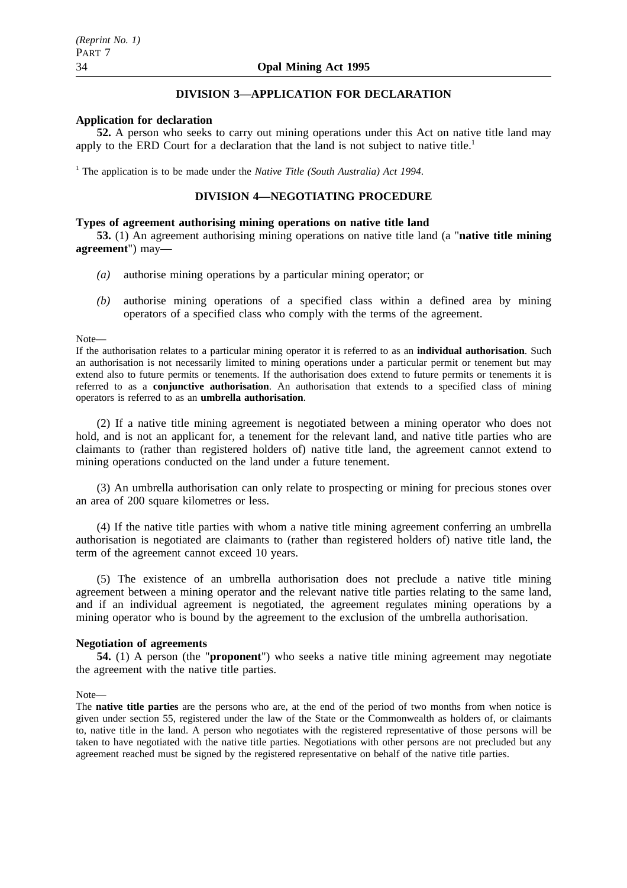## **DIVISION 3—APPLICATION FOR DECLARATION**

### **Application for declaration**

**52.** A person who seeks to carry out mining operations under this Act on native title land may apply to the ERD Court for a declaration that the land is not subject to native title.<sup>1</sup>

<sup>1</sup> The application is to be made under the *Native Title (South Australia) Act 1994*.

### **DIVISION 4—NEGOTIATING PROCEDURE**

### **Types of agreement authorising mining operations on native title land**

**53.** (1) An agreement authorising mining operations on native title land (a "**native title mining agreement**") may—

- *(a)* authorise mining operations by a particular mining operator; or
- *(b)* authorise mining operations of a specified class within a defined area by mining operators of a specified class who comply with the terms of the agreement.

#### Note—

If the authorisation relates to a particular mining operator it is referred to as an **individual authorisation**. Such an authorisation is not necessarily limited to mining operations under a particular permit or tenement but may extend also to future permits or tenements. If the authorisation does extend to future permits or tenements it is referred to as a **conjunctive authorisation**. An authorisation that extends to a specified class of mining operators is referred to as an **umbrella authorisation**.

(2) If a native title mining agreement is negotiated between a mining operator who does not hold, and is not an applicant for, a tenement for the relevant land, and native title parties who are claimants to (rather than registered holders of) native title land, the agreement cannot extend to mining operations conducted on the land under a future tenement.

(3) An umbrella authorisation can only relate to prospecting or mining for precious stones over an area of 200 square kilometres or less.

(4) If the native title parties with whom a native title mining agreement conferring an umbrella authorisation is negotiated are claimants to (rather than registered holders of) native title land, the term of the agreement cannot exceed 10 years.

(5) The existence of an umbrella authorisation does not preclude a native title mining agreement between a mining operator and the relevant native title parties relating to the same land, and if an individual agreement is negotiated, the agreement regulates mining operations by a mining operator who is bound by the agreement to the exclusion of the umbrella authorisation.

#### **Negotiation of agreements**

**54.** (1) A person (the "**proponent**") who seeks a native title mining agreement may negotiate the agreement with the native title parties.

#### Note—

The **native title parties** are the persons who are, at the end of the period of two months from when notice is given under section 55, registered under the law of the State or the Commonwealth as holders of, or claimants to, native title in the land. A person who negotiates with the registered representative of those persons will be taken to have negotiated with the native title parties. Negotiations with other persons are not precluded but any agreement reached must be signed by the registered representative on behalf of the native title parties.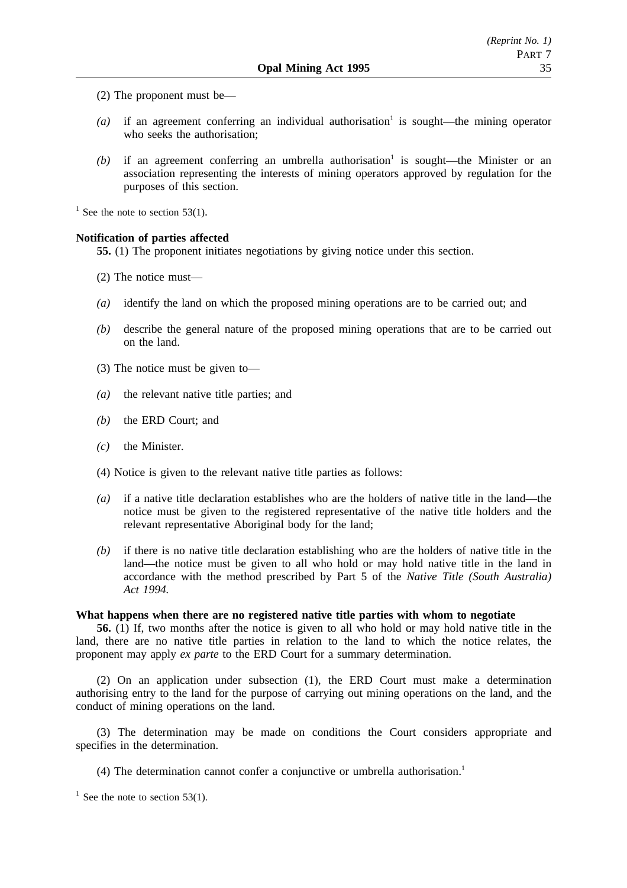- (2) The proponent must be—
- $(a)$  if an agreement conferring an individual authorisation<sup>1</sup> is sought—the mining operator who seeks the authorisation;
- $(b)$  if an agreement conferring an umbrella authorisation<sup>1</sup> is sought—the Minister or an association representing the interests of mining operators approved by regulation for the purposes of this section.

 $1$  See the note to section 53(1).

### **Notification of parties affected**

**55.** (1) The proponent initiates negotiations by giving notice under this section.

- (2) The notice must—
- *(a)* identify the land on which the proposed mining operations are to be carried out; and
- *(b)* describe the general nature of the proposed mining operations that are to be carried out on the land.
- (3) The notice must be given to—
- *(a)* the relevant native title parties; and
- *(b)* the ERD Court; and
- *(c)* the Minister.
- (4) Notice is given to the relevant native title parties as follows:
- *(a)* if a native title declaration establishes who are the holders of native title in the land—the notice must be given to the registered representative of the native title holders and the relevant representative Aboriginal body for the land;
- *(b)* if there is no native title declaration establishing who are the holders of native title in the land—the notice must be given to all who hold or may hold native title in the land in accordance with the method prescribed by Part 5 of the *Native Title (South Australia) Act 1994.*

#### **What happens when there are no registered native title parties with whom to negotiate**

**56.** (1) If, two months after the notice is given to all who hold or may hold native title in the land, there are no native title parties in relation to the land to which the notice relates, the proponent may apply *ex parte* to the ERD Court for a summary determination.

(2) On an application under subsection (1), the ERD Court must make a determination authorising entry to the land for the purpose of carrying out mining operations on the land, and the conduct of mining operations on the land.

(3) The determination may be made on conditions the Court considers appropriate and specifies in the determination.

(4) The determination cannot confer a conjunctive or umbrella authorisation.<sup>1</sup>

 $1$  See the note to section 53(1).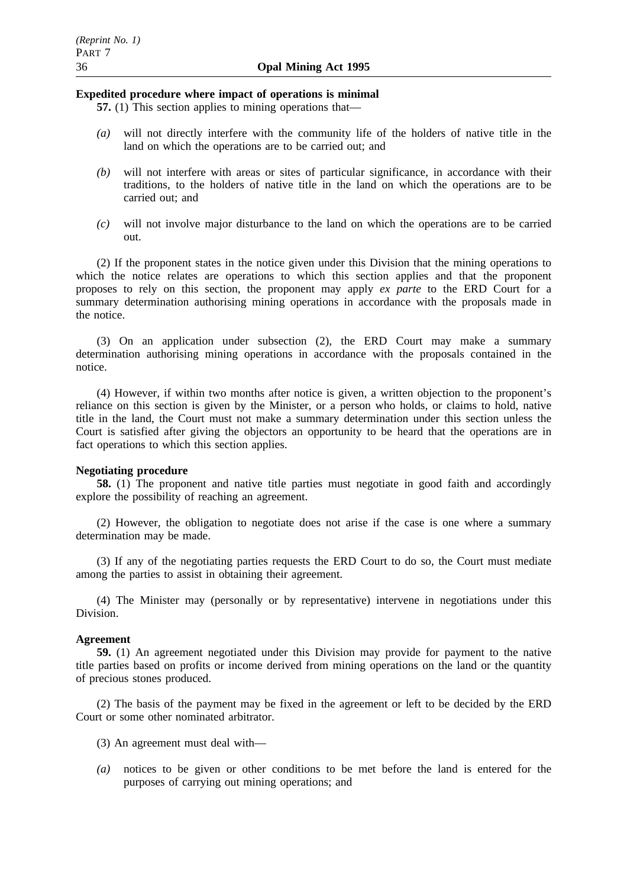### **Expedited procedure where impact of operations is minimal**

- **57.** (1) This section applies to mining operations that—
- *(a)* will not directly interfere with the community life of the holders of native title in the land on which the operations are to be carried out; and
- *(b)* will not interfere with areas or sites of particular significance, in accordance with their traditions, to the holders of native title in the land on which the operations are to be carried out; and
- *(c)* will not involve major disturbance to the land on which the operations are to be carried out.

(2) If the proponent states in the notice given under this Division that the mining operations to which the notice relates are operations to which this section applies and that the proponent proposes to rely on this section, the proponent may apply *ex parte* to the ERD Court for a summary determination authorising mining operations in accordance with the proposals made in the notice.

(3) On an application under subsection (2), the ERD Court may make a summary determination authorising mining operations in accordance with the proposals contained in the notice.

(4) However, if within two months after notice is given, a written objection to the proponent's reliance on this section is given by the Minister, or a person who holds, or claims to hold, native title in the land, the Court must not make a summary determination under this section unless the Court is satisfied after giving the objectors an opportunity to be heard that the operations are in fact operations to which this section applies.

#### **Negotiating procedure**

**58.** (1) The proponent and native title parties must negotiate in good faith and accordingly explore the possibility of reaching an agreement.

(2) However, the obligation to negotiate does not arise if the case is one where a summary determination may be made.

(3) If any of the negotiating parties requests the ERD Court to do so, the Court must mediate among the parties to assist in obtaining their agreement.

(4) The Minister may (personally or by representative) intervene in negotiations under this Division.

#### **Agreement**

**59.** (1) An agreement negotiated under this Division may provide for payment to the native title parties based on profits or income derived from mining operations on the land or the quantity of precious stones produced.

(2) The basis of the payment may be fixed in the agreement or left to be decided by the ERD Court or some other nominated arbitrator.

- (3) An agreement must deal with—
- *(a)* notices to be given or other conditions to be met before the land is entered for the purposes of carrying out mining operations; and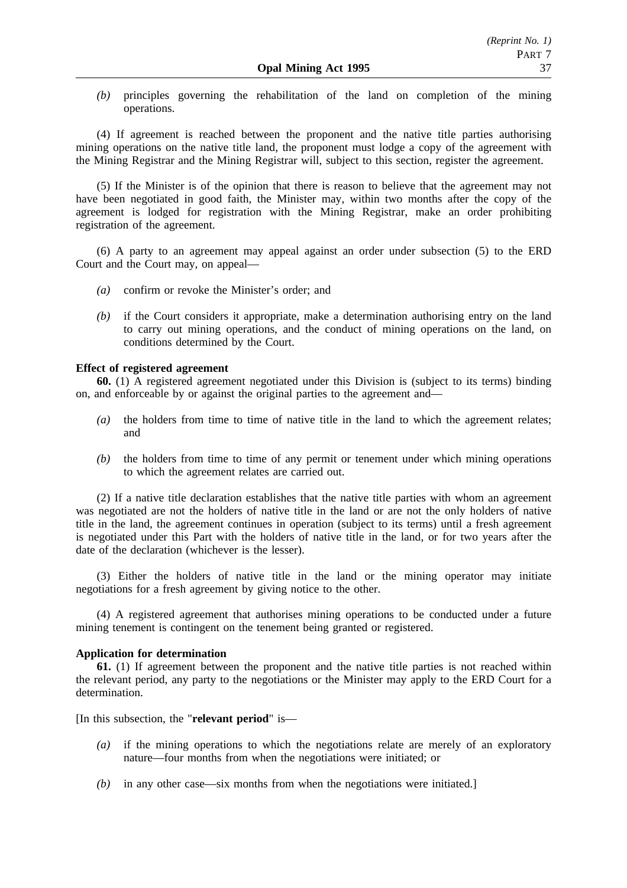*(b)* principles governing the rehabilitation of the land on completion of the mining operations.

(4) If agreement is reached between the proponent and the native title parties authorising mining operations on the native title land, the proponent must lodge a copy of the agreement with the Mining Registrar and the Mining Registrar will, subject to this section, register the agreement.

(5) If the Minister is of the opinion that there is reason to believe that the agreement may not have been negotiated in good faith, the Minister may, within two months after the copy of the agreement is lodged for registration with the Mining Registrar, make an order prohibiting registration of the agreement.

(6) A party to an agreement may appeal against an order under subsection (5) to the ERD Court and the Court may, on appeal—

- *(a)* confirm or revoke the Minister's order; and
- *(b)* if the Court considers it appropriate, make a determination authorising entry on the land to carry out mining operations, and the conduct of mining operations on the land, on conditions determined by the Court.

## **Effect of registered agreement**

**60.** (1) A registered agreement negotiated under this Division is (subject to its terms) binding on, and enforceable by or against the original parties to the agreement and—

- *(a)* the holders from time to time of native title in the land to which the agreement relates; and
- *(b)* the holders from time to time of any permit or tenement under which mining operations to which the agreement relates are carried out.

(2) If a native title declaration establishes that the native title parties with whom an agreement was negotiated are not the holders of native title in the land or are not the only holders of native title in the land, the agreement continues in operation (subject to its terms) until a fresh agreement is negotiated under this Part with the holders of native title in the land, or for two years after the date of the declaration (whichever is the lesser).

(3) Either the holders of native title in the land or the mining operator may initiate negotiations for a fresh agreement by giving notice to the other.

(4) A registered agreement that authorises mining operations to be conducted under a future mining tenement is contingent on the tenement being granted or registered.

### **Application for determination**

**61.** (1) If agreement between the proponent and the native title parties is not reached within the relevant period, any party to the negotiations or the Minister may apply to the ERD Court for a determination.

[In this subsection, the "**relevant period**" is—

- *(a)* if the mining operations to which the negotiations relate are merely of an exploratory nature—four months from when the negotiations were initiated; or
- *(b)* in any other case—six months from when the negotiations were initiated.]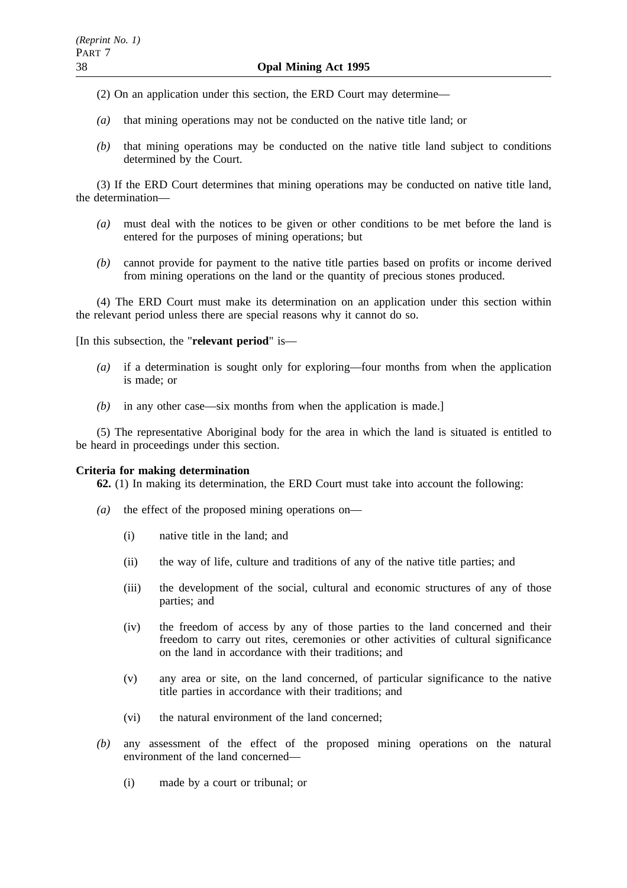(2) On an application under this section, the ERD Court may determine—

- *(a)* that mining operations may not be conducted on the native title land; or
- *(b)* that mining operations may be conducted on the native title land subject to conditions determined by the Court.

(3) If the ERD Court determines that mining operations may be conducted on native title land, the determination—

- *(a)* must deal with the notices to be given or other conditions to be met before the land is entered for the purposes of mining operations; but
- *(b)* cannot provide for payment to the native title parties based on profits or income derived from mining operations on the land or the quantity of precious stones produced.

(4) The ERD Court must make its determination on an application under this section within the relevant period unless there are special reasons why it cannot do so.

[In this subsection, the "**relevant period**" is—

- *(a)* if a determination is sought only for exploring—four months from when the application is made; or
- *(b)* in any other case—six months from when the application is made.]

(5) The representative Aboriginal body for the area in which the land is situated is entitled to be heard in proceedings under this section.

### **Criteria for making determination**

**62.** (1) In making its determination, the ERD Court must take into account the following:

- *(a)* the effect of the proposed mining operations on—
	- (i) native title in the land; and
	- (ii) the way of life, culture and traditions of any of the native title parties; and
	- (iii) the development of the social, cultural and economic structures of any of those parties; and
	- (iv) the freedom of access by any of those parties to the land concerned and their freedom to carry out rites, ceremonies or other activities of cultural significance on the land in accordance with their traditions; and
	- (v) any area or site, on the land concerned, of particular significance to the native title parties in accordance with their traditions; and
	- (vi) the natural environment of the land concerned;
- *(b)* any assessment of the effect of the proposed mining operations on the natural environment of the land concerned—
	- (i) made by a court or tribunal; or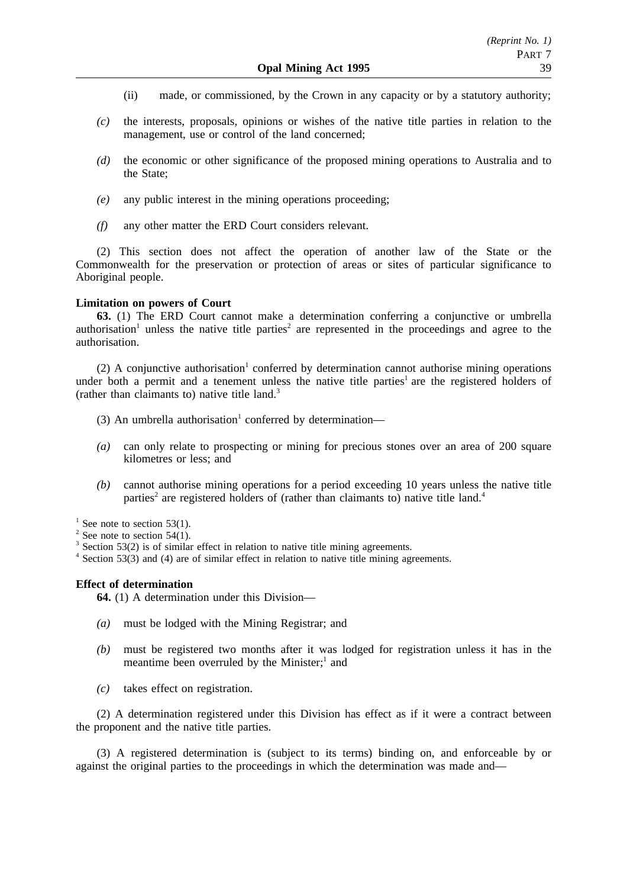- (ii) made, or commissioned, by the Crown in any capacity or by a statutory authority;
- *(c)* the interests, proposals, opinions or wishes of the native title parties in relation to the management, use or control of the land concerned;
- *(d)* the economic or other significance of the proposed mining operations to Australia and to the State;
- *(e)* any public interest in the mining operations proceeding;
- *(f)* any other matter the ERD Court considers relevant.

(2) This section does not affect the operation of another law of the State or the Commonwealth for the preservation or protection of areas or sites of particular significance to Aboriginal people.

### **Limitation on powers of Court**

**63.** (1) The ERD Court cannot make a determination conferring a conjunctive or umbrella authorisation<sup>1</sup> unless the native title parties<sup>2</sup> are represented in the proceedings and agree to the authorisation.

(2) A conjunctive authorisation<sup>1</sup> conferred by determination cannot authorise mining operations under both a permit and a tenement unless the native title parties<sup>1</sup> are the registered holders of (rather than claimants to) native title land.3

- (3) An umbrella authorisation<sup>1</sup> conferred by determination—
- *(a)* can only relate to prospecting or mining for precious stones over an area of 200 square kilometres or less; and
- *(b)* cannot authorise mining operations for a period exceeding 10 years unless the native title parties<sup>2</sup> are registered holders of (rather than claimants to) native title land.<sup>4</sup>

 $1$  See note to section 53(1).

- $2$  See note to section 54(1).
- Section 53(2) is of similar effect in relation to native title mining agreements.
- <sup>4</sup> Section 53(3) and (4) are of similar effect in relation to native title mining agreements.

### **Effect of determination**

**64.** (1) A determination under this Division—

- *(a)* must be lodged with the Mining Registrar; and
- *(b)* must be registered two months after it was lodged for registration unless it has in the meantime been overruled by the Minister; $<sup>1</sup>$  and</sup>
- *(c)* takes effect on registration.

(2) A determination registered under this Division has effect as if it were a contract between the proponent and the native title parties.

(3) A registered determination is (subject to its terms) binding on, and enforceable by or against the original parties to the proceedings in which the determination was made and—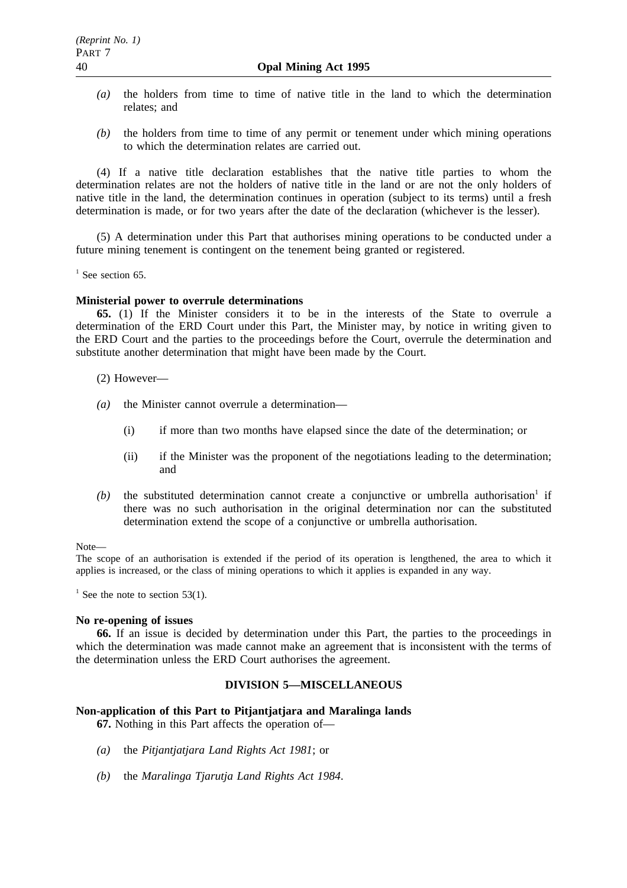- *(a)* the holders from time to time of native title in the land to which the determination relates; and
- *(b)* the holders from time to time of any permit or tenement under which mining operations to which the determination relates are carried out.

(4) If a native title declaration establishes that the native title parties to whom the determination relates are not the holders of native title in the land or are not the only holders of native title in the land, the determination continues in operation (subject to its terms) until a fresh determination is made, or for two years after the date of the declaration (whichever is the lesser).

(5) A determination under this Part that authorises mining operations to be conducted under a future mining tenement is contingent on the tenement being granted or registered.

 $<sup>1</sup>$  See section 65.</sup>

### **Ministerial power to overrule determinations**

**65.** (1) If the Minister considers it to be in the interests of the State to overrule a determination of the ERD Court under this Part, the Minister may, by notice in writing given to the ERD Court and the parties to the proceedings before the Court, overrule the determination and substitute another determination that might have been made by the Court.

(2) However—

- *(a)* the Minister cannot overrule a determination—
	- (i) if more than two months have elapsed since the date of the determination; or
	- (ii) if the Minister was the proponent of the negotiations leading to the determination; and
- $(b)$  the substituted determination cannot create a conjunctive or umbrella authorisation<sup>1</sup> if there was no such authorisation in the original determination nor can the substituted determination extend the scope of a conjunctive or umbrella authorisation.

Note—

The scope of an authorisation is extended if the period of its operation is lengthened, the area to which it applies is increased, or the class of mining operations to which it applies is expanded in any way.

<sup>1</sup> See the note to section 53(1).

### **No re-opening of issues**

**66.** If an issue is decided by determination under this Part, the parties to the proceedings in which the determination was made cannot make an agreement that is inconsistent with the terms of the determination unless the ERD Court authorises the agreement.

### **DIVISION 5—MISCELLANEOUS**

### **Non-application of this Part to Pitjantjatjara and Maralinga lands**

**67.** Nothing in this Part affects the operation of—

- *(a)* the *Pitjantjatjara Land Rights Act 1981*; or
- *(b)* the *Maralinga Tjarutja Land Rights Act 1984*.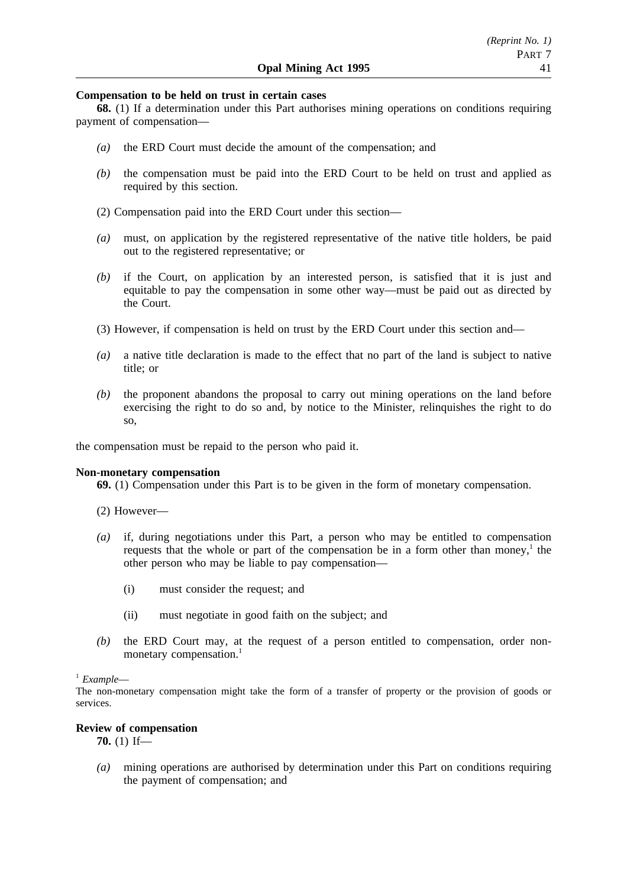### **Compensation to be held on trust in certain cases**

**68.** (1) If a determination under this Part authorises mining operations on conditions requiring payment of compensation—

- *(a)* the ERD Court must decide the amount of the compensation; and
- *(b)* the compensation must be paid into the ERD Court to be held on trust and applied as required by this section.
- (2) Compensation paid into the ERD Court under this section—
- *(a)* must, on application by the registered representative of the native title holders, be paid out to the registered representative; or
- *(b)* if the Court, on application by an interested person, is satisfied that it is just and equitable to pay the compensation in some other way—must be paid out as directed by the Court.
- (3) However, if compensation is held on trust by the ERD Court under this section and—
- *(a)* a native title declaration is made to the effect that no part of the land is subject to native title; or
- *(b)* the proponent abandons the proposal to carry out mining operations on the land before exercising the right to do so and, by notice to the Minister, relinquishes the right to do so,

the compensation must be repaid to the person who paid it.

### **Non-monetary compensation**

**69.** (1) Compensation under this Part is to be given in the form of monetary compensation.

- (2) However—
- *(a)* if, during negotiations under this Part, a person who may be entitled to compensation requests that the whole or part of the compensation be in a form other than money, $<sup>1</sup>$  the</sup> other person who may be liable to pay compensation—
	- (i) must consider the request; and
	- (ii) must negotiate in good faith on the subject; and
- *(b)* the ERD Court may, at the request of a person entitled to compensation, order nonmonetary compensation.<sup>1</sup>

## <sup>1</sup> *Example*—

The non-monetary compensation might take the form of a transfer of property or the provision of goods or services.

### **Review of compensation**

**70.** (1) If—

*(a)* mining operations are authorised by determination under this Part on conditions requiring the payment of compensation; and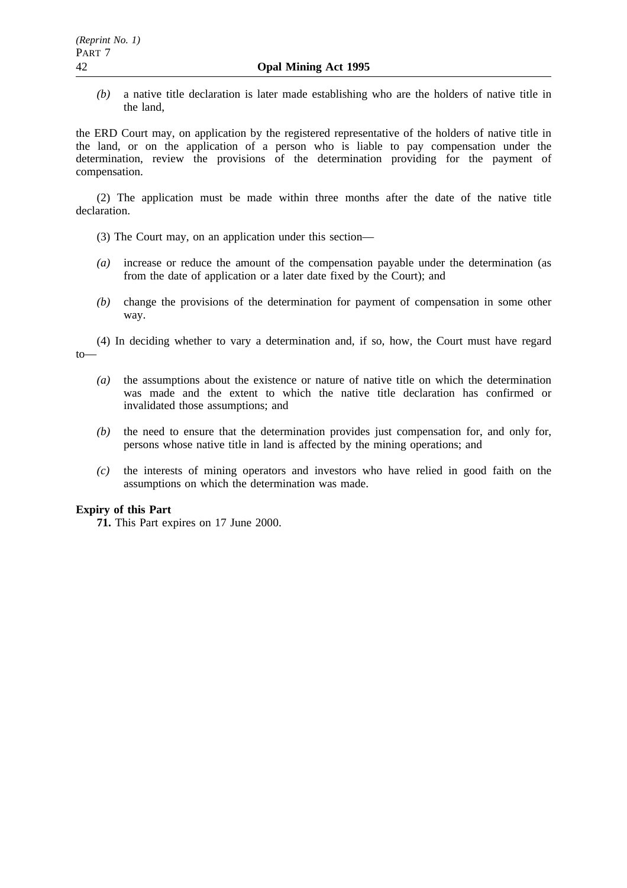*(b)* a native title declaration is later made establishing who are the holders of native title in the land,

the ERD Court may, on application by the registered representative of the holders of native title in the land, or on the application of a person who is liable to pay compensation under the determination, review the provisions of the determination providing for the payment of compensation.

(2) The application must be made within three months after the date of the native title declaration.

- (3) The Court may, on an application under this section—
- *(a)* increase or reduce the amount of the compensation payable under the determination (as from the date of application or a later date fixed by the Court); and
- *(b)* change the provisions of the determination for payment of compensation in some other way.

(4) In deciding whether to vary a determination and, if so, how, the Court must have regard to—

- *(a)* the assumptions about the existence or nature of native title on which the determination was made and the extent to which the native title declaration has confirmed or invalidated those assumptions; and
- *(b)* the need to ensure that the determination provides just compensation for, and only for, persons whose native title in land is affected by the mining operations; and
- *(c)* the interests of mining operators and investors who have relied in good faith on the assumptions on which the determination was made.

## **Expiry of this Part**

**71.** This Part expires on 17 June 2000.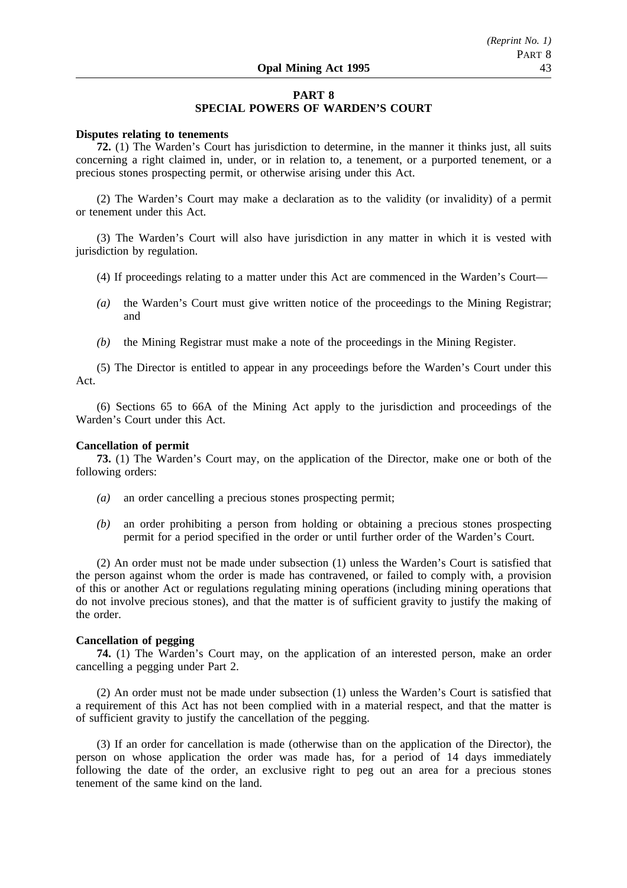### **PART 8**

### **SPECIAL POWERS OF WARDEN'S COURT**

### **Disputes relating to tenements**

**72.** (1) The Warden's Court has jurisdiction to determine, in the manner it thinks just, all suits concerning a right claimed in, under, or in relation to, a tenement, or a purported tenement, or a precious stones prospecting permit, or otherwise arising under this Act.

(2) The Warden's Court may make a declaration as to the validity (or invalidity) of a permit or tenement under this Act.

(3) The Warden's Court will also have jurisdiction in any matter in which it is vested with jurisdiction by regulation.

- (4) If proceedings relating to a matter under this Act are commenced in the Warden's Court—
- *(a)* the Warden's Court must give written notice of the proceedings to the Mining Registrar; and
- *(b)* the Mining Registrar must make a note of the proceedings in the Mining Register.

(5) The Director is entitled to appear in any proceedings before the Warden's Court under this Act.

(6) Sections 65 to 66A of the Mining Act apply to the jurisdiction and proceedings of the Warden's Court under this Act.

### **Cancellation of permit**

**73.** (1) The Warden's Court may, on the application of the Director, make one or both of the following orders:

- *(a)* an order cancelling a precious stones prospecting permit;
- *(b)* an order prohibiting a person from holding or obtaining a precious stones prospecting permit for a period specified in the order or until further order of the Warden's Court.

(2) An order must not be made under subsection (1) unless the Warden's Court is satisfied that the person against whom the order is made has contravened, or failed to comply with, a provision of this or another Act or regulations regulating mining operations (including mining operations that do not involve precious stones), and that the matter is of sufficient gravity to justify the making of the order.

### **Cancellation of pegging**

**74.** (1) The Warden's Court may, on the application of an interested person, make an order cancelling a pegging under Part 2.

(2) An order must not be made under subsection (1) unless the Warden's Court is satisfied that a requirement of this Act has not been complied with in a material respect, and that the matter is of sufficient gravity to justify the cancellation of the pegging.

(3) If an order for cancellation is made (otherwise than on the application of the Director), the person on whose application the order was made has, for a period of 14 days immediately following the date of the order, an exclusive right to peg out an area for a precious stones tenement of the same kind on the land.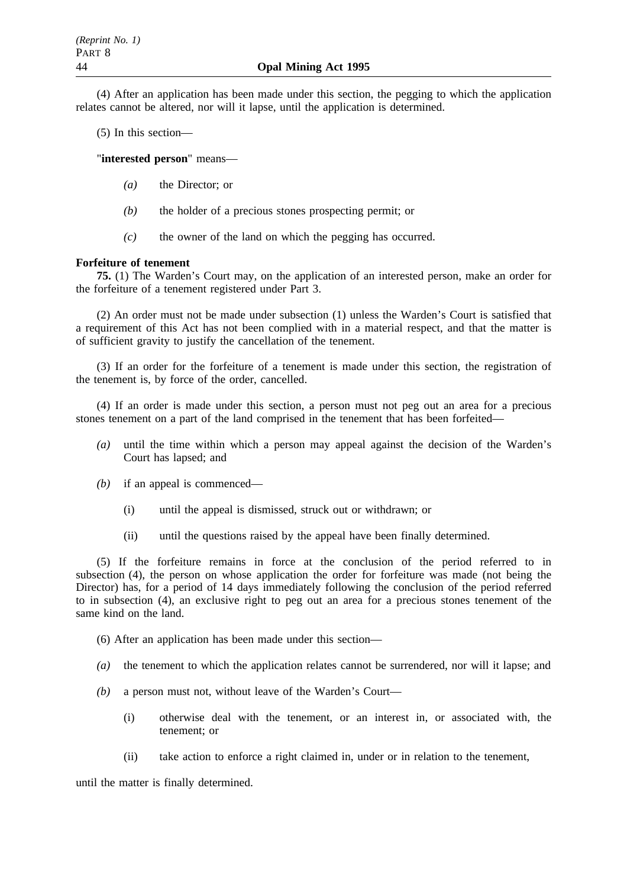(4) After an application has been made under this section, the pegging to which the application relates cannot be altered, nor will it lapse, until the application is determined.

(5) In this section—

"**interested person**" means—

- *(a)* the Director; or
- *(b)* the holder of a precious stones prospecting permit; or
- *(c)* the owner of the land on which the pegging has occurred.

### **Forfeiture of tenement**

**75.** (1) The Warden's Court may, on the application of an interested person, make an order for the forfeiture of a tenement registered under Part 3.

(2) An order must not be made under subsection (1) unless the Warden's Court is satisfied that a requirement of this Act has not been complied with in a material respect, and that the matter is of sufficient gravity to justify the cancellation of the tenement.

(3) If an order for the forfeiture of a tenement is made under this section, the registration of the tenement is, by force of the order, cancelled.

(4) If an order is made under this section, a person must not peg out an area for a precious stones tenement on a part of the land comprised in the tenement that has been forfeited—

- *(a)* until the time within which a person may appeal against the decision of the Warden's Court has lapsed; and
- *(b)* if an appeal is commenced—
	- (i) until the appeal is dismissed, struck out or withdrawn; or
	- (ii) until the questions raised by the appeal have been finally determined.

(5) If the forfeiture remains in force at the conclusion of the period referred to in subsection (4), the person on whose application the order for forfeiture was made (not being the Director) has, for a period of 14 days immediately following the conclusion of the period referred to in subsection (4), an exclusive right to peg out an area for a precious stones tenement of the same kind on the land.

(6) After an application has been made under this section—

- *(a)* the tenement to which the application relates cannot be surrendered, nor will it lapse; and
- *(b)* a person must not, without leave of the Warden's Court—
	- (i) otherwise deal with the tenement, or an interest in, or associated with, the tenement; or
	- (ii) take action to enforce a right claimed in, under or in relation to the tenement,

until the matter is finally determined.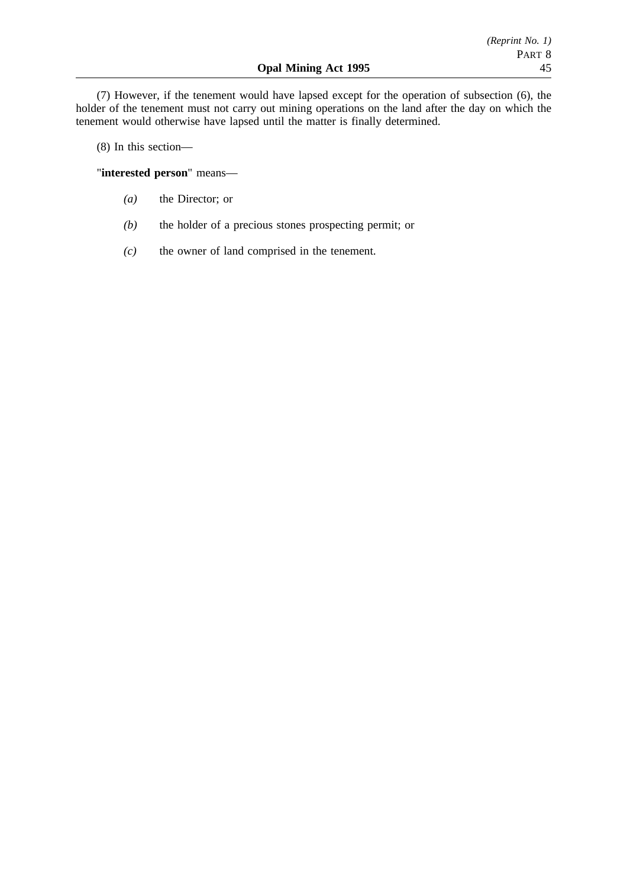(7) However, if the tenement would have lapsed except for the operation of subsection (6), the holder of the tenement must not carry out mining operations on the land after the day on which the tenement would otherwise have lapsed until the matter is finally determined.

(8) In this section—

"**interested person**" means—

- *(a)* the Director; or
- *(b)* the holder of a precious stones prospecting permit; or
- *(c)* the owner of land comprised in the tenement.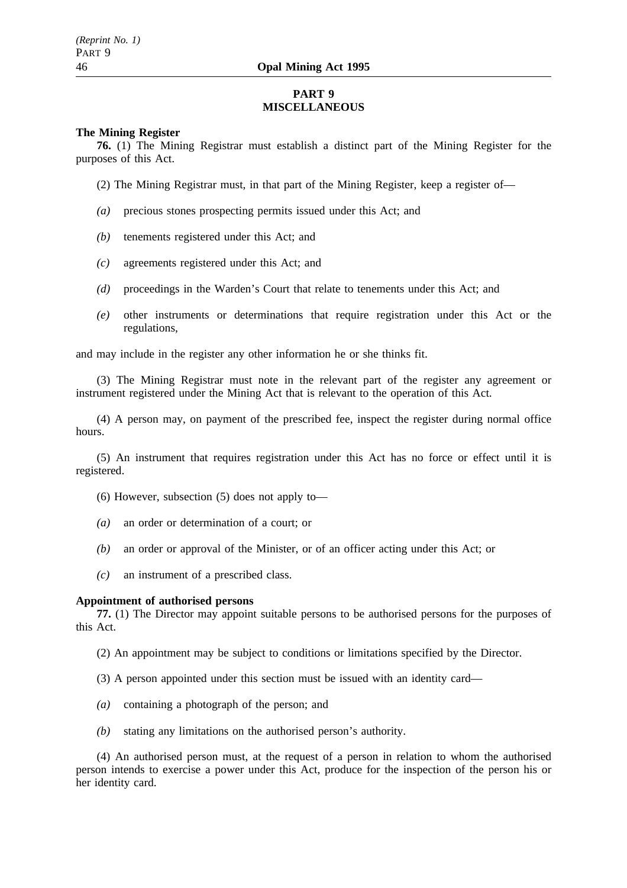## **PART 9 MISCELLANEOUS**

### **The Mining Register**

**76.** (1) The Mining Registrar must establish a distinct part of the Mining Register for the purposes of this Act.

(2) The Mining Registrar must, in that part of the Mining Register, keep a register of—

- *(a)* precious stones prospecting permits issued under this Act; and
- *(b)* tenements registered under this Act; and
- *(c)* agreements registered under this Act; and
- *(d)* proceedings in the Warden's Court that relate to tenements under this Act; and
- *(e)* other instruments or determinations that require registration under this Act or the regulations,

and may include in the register any other information he or she thinks fit.

(3) The Mining Registrar must note in the relevant part of the register any agreement or instrument registered under the Mining Act that is relevant to the operation of this Act.

(4) A person may, on payment of the prescribed fee, inspect the register during normal office hours.

(5) An instrument that requires registration under this Act has no force or effect until it is registered.

- (6) However, subsection (5) does not apply to—
- *(a)* an order or determination of a court; or
- *(b)* an order or approval of the Minister, or of an officer acting under this Act; or
- *(c)* an instrument of a prescribed class.

### **Appointment of authorised persons**

**77.** (1) The Director may appoint suitable persons to be authorised persons for the purposes of this Act.

(2) An appointment may be subject to conditions or limitations specified by the Director.

- (3) A person appointed under this section must be issued with an identity card—
- *(a)* containing a photograph of the person; and
- *(b)* stating any limitations on the authorised person's authority.

(4) An authorised person must, at the request of a person in relation to whom the authorised person intends to exercise a power under this Act, produce for the inspection of the person his or her identity card.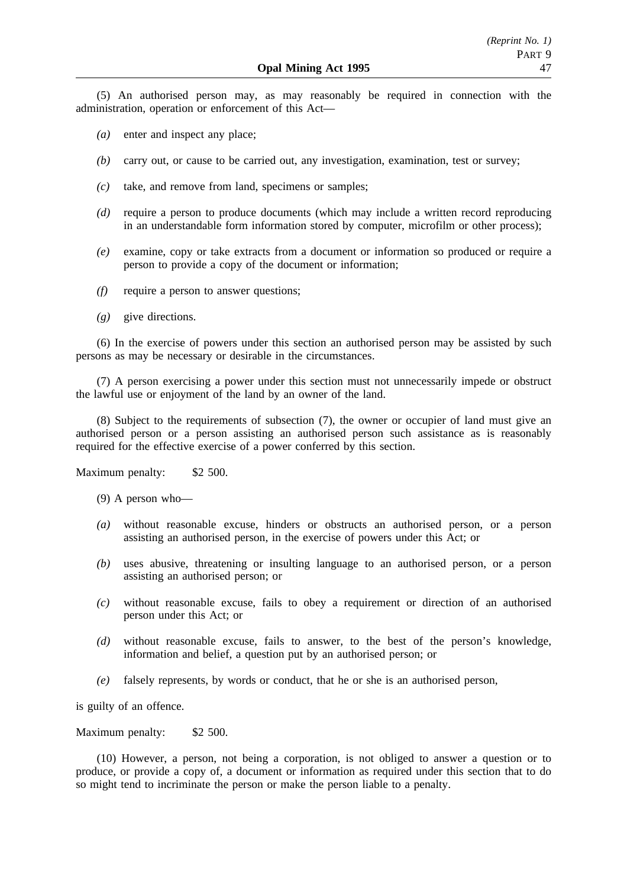(5) An authorised person may, as may reasonably be required in connection with the administration, operation or enforcement of this Act—

- *(a)* enter and inspect any place;
- *(b)* carry out, or cause to be carried out, any investigation, examination, test or survey;
- *(c)* take, and remove from land, specimens or samples;
- *(d)* require a person to produce documents (which may include a written record reproducing in an understandable form information stored by computer, microfilm or other process);
- *(e)* examine, copy or take extracts from a document or information so produced or require a person to provide a copy of the document or information;
- *(f)* require a person to answer questions;
- *(g)* give directions.

(6) In the exercise of powers under this section an authorised person may be assisted by such persons as may be necessary or desirable in the circumstances.

(7) A person exercising a power under this section must not unnecessarily impede or obstruct the lawful use or enjoyment of the land by an owner of the land.

(8) Subject to the requirements of subsection (7), the owner or occupier of land must give an authorised person or a person assisting an authorised person such assistance as is reasonably required for the effective exercise of a power conferred by this section.

Maximum penalty: \$2 500.

- (9) A person who—
- *(a)* without reasonable excuse, hinders or obstructs an authorised person, or a person assisting an authorised person, in the exercise of powers under this Act; or
- *(b)* uses abusive, threatening or insulting language to an authorised person, or a person assisting an authorised person; or
- *(c)* without reasonable excuse, fails to obey a requirement or direction of an authorised person under this Act; or
- *(d)* without reasonable excuse, fails to answer, to the best of the person's knowledge, information and belief, a question put by an authorised person; or
- *(e)* falsely represents, by words or conduct, that he or she is an authorised person,

is guilty of an offence.

Maximum penalty: \$2 500.

(10) However, a person, not being a corporation, is not obliged to answer a question or to produce, or provide a copy of, a document or information as required under this section that to do so might tend to incriminate the person or make the person liable to a penalty.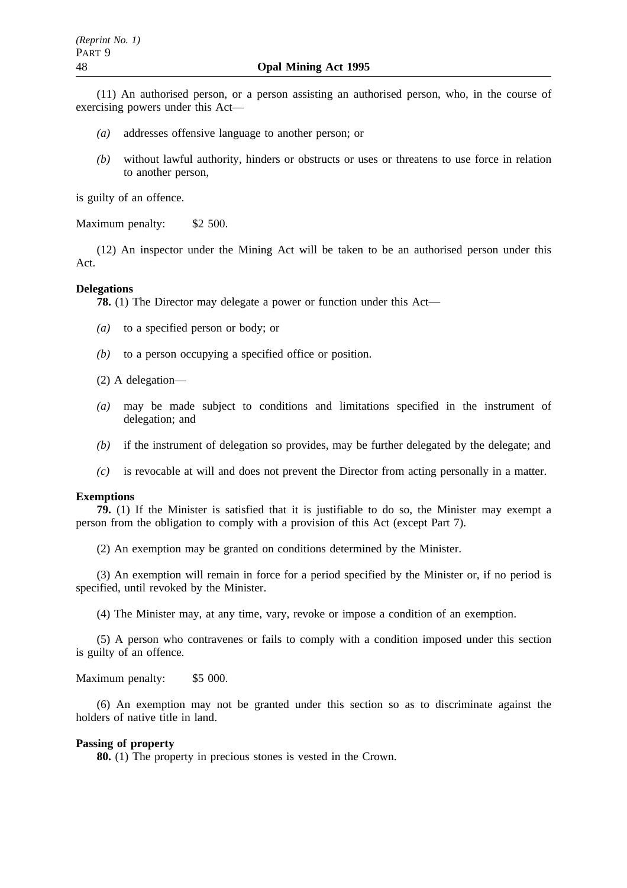(11) An authorised person, or a person assisting an authorised person, who, in the course of exercising powers under this Act—

- *(a)* addresses offensive language to another person; or
- *(b)* without lawful authority, hinders or obstructs or uses or threatens to use force in relation to another person,

is guilty of an offence.

Maximum penalty: \$2 500.

(12) An inspector under the Mining Act will be taken to be an authorised person under this Act.

### **Delegations**

**78.** (1) The Director may delegate a power or function under this Act—

- *(a)* to a specified person or body; or
- *(b)* to a person occupying a specified office or position.
- (2) A delegation—
- *(a)* may be made subject to conditions and limitations specified in the instrument of delegation; and
- *(b)* if the instrument of delegation so provides, may be further delegated by the delegate; and
- *(c)* is revocable at will and does not prevent the Director from acting personally in a matter.

#### **Exemptions**

**79.** (1) If the Minister is satisfied that it is justifiable to do so, the Minister may exempt a person from the obligation to comply with a provision of this Act (except Part 7).

(2) An exemption may be granted on conditions determined by the Minister.

(3) An exemption will remain in force for a period specified by the Minister or, if no period is specified, until revoked by the Minister.

(4) The Minister may, at any time, vary, revoke or impose a condition of an exemption.

(5) A person who contravenes or fails to comply with a condition imposed under this section is guilty of an offence.

#### Maximum penalty: \$5 000.

(6) An exemption may not be granted under this section so as to discriminate against the holders of native title in land.

### **Passing of property**

**80.** (1) The property in precious stones is vested in the Crown.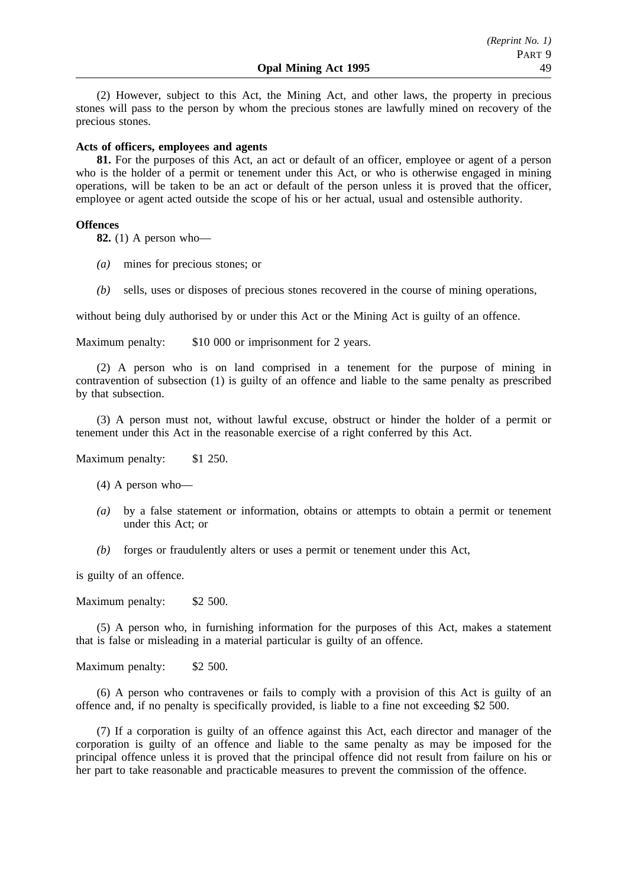(2) However, subject to this Act, the Mining Act, and other laws, the property in precious stones will pass to the person by whom the precious stones are lawfully mined on recovery of the precious stones.

### **Acts of officers, employees and agents**

**81.** For the purposes of this Act, an act or default of an officer, employee or agent of a person who is the holder of a permit or tenement under this Act, or who is otherwise engaged in mining operations, will be taken to be an act or default of the person unless it is proved that the officer, employee or agent acted outside the scope of his or her actual, usual and ostensible authority.

### **Offences**

**82.** (1) A person who—

- *(a)* mines for precious stones; or
- *(b)* sells, uses or disposes of precious stones recovered in the course of mining operations,

without being duly authorised by or under this Act or the Mining Act is guilty of an offence.

Maximum penalty: \$10 000 or imprisonment for 2 years.

(2) A person who is on land comprised in a tenement for the purpose of mining in contravention of subsection (1) is guilty of an offence and liable to the same penalty as prescribed by that subsection.

(3) A person must not, without lawful excuse, obstruct or hinder the holder of a permit or tenement under this Act in the reasonable exercise of a right conferred by this Act.

Maximum penalty: \$1 250.

- (4) A person who—
- *(a)* by a false statement or information, obtains or attempts to obtain a permit or tenement under this Act; or
- *(b)* forges or fraudulently alters or uses a permit or tenement under this Act,

is guilty of an offence.

Maximum penalty: \$2 500.

(5) A person who, in furnishing information for the purposes of this Act, makes a statement that is false or misleading in a material particular is guilty of an offence.

Maximum penalty: \$2 500.

(6) A person who contravenes or fails to comply with a provision of this Act is guilty of an offence and, if no penalty is specifically provided, is liable to a fine not exceeding \$2 500.

(7) If a corporation is guilty of an offence against this Act, each director and manager of the corporation is guilty of an offence and liable to the same penalty as may be imposed for the principal offence unless it is proved that the principal offence did not result from failure on his or her part to take reasonable and practicable measures to prevent the commission of the offence.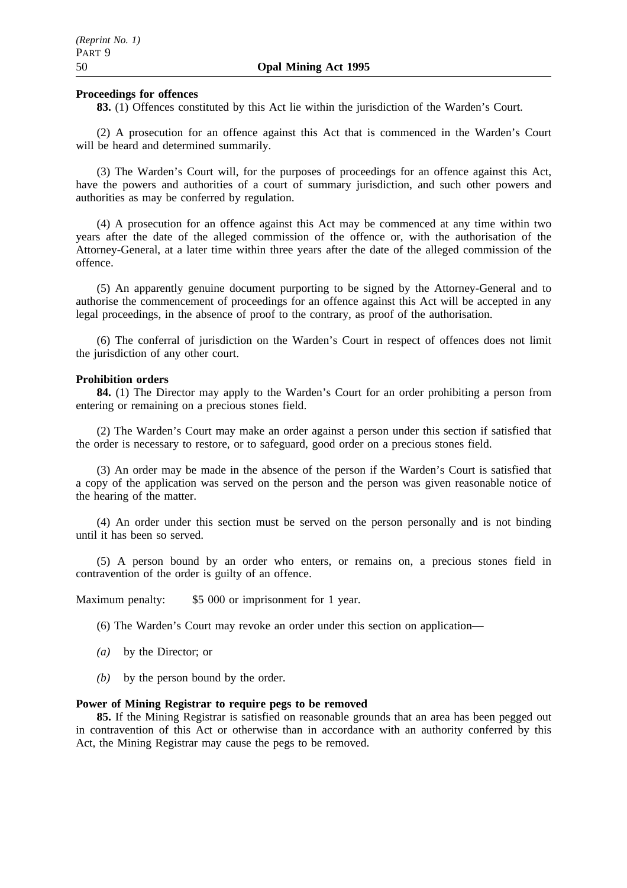#### **Proceedings for offences**

**83.** (1) Offences constituted by this Act lie within the jurisdiction of the Warden's Court.

(2) A prosecution for an offence against this Act that is commenced in the Warden's Court will be heard and determined summarily.

(3) The Warden's Court will, for the purposes of proceedings for an offence against this Act, have the powers and authorities of a court of summary jurisdiction, and such other powers and authorities as may be conferred by regulation.

(4) A prosecution for an offence against this Act may be commenced at any time within two years after the date of the alleged commission of the offence or, with the authorisation of the Attorney-General, at a later time within three years after the date of the alleged commission of the offence.

(5) An apparently genuine document purporting to be signed by the Attorney-General and to authorise the commencement of proceedings for an offence against this Act will be accepted in any legal proceedings, in the absence of proof to the contrary, as proof of the authorisation.

(6) The conferral of jurisdiction on the Warden's Court in respect of offences does not limit the jurisdiction of any other court.

### **Prohibition orders**

**84.** (1) The Director may apply to the Warden's Court for an order prohibiting a person from entering or remaining on a precious stones field.

(2) The Warden's Court may make an order against a person under this section if satisfied that the order is necessary to restore, or to safeguard, good order on a precious stones field.

(3) An order may be made in the absence of the person if the Warden's Court is satisfied that a copy of the application was served on the person and the person was given reasonable notice of the hearing of the matter.

(4) An order under this section must be served on the person personally and is not binding until it has been so served.

(5) A person bound by an order who enters, or remains on, a precious stones field in contravention of the order is guilty of an offence.

Maximum penalty: \$5 000 or imprisonment for 1 year.

(6) The Warden's Court may revoke an order under this section on application—

- *(a)* by the Director; or
- *(b)* by the person bound by the order.

#### **Power of Mining Registrar to require pegs to be removed**

**85.** If the Mining Registrar is satisfied on reasonable grounds that an area has been pegged out in contravention of this Act or otherwise than in accordance with an authority conferred by this Act, the Mining Registrar may cause the pegs to be removed.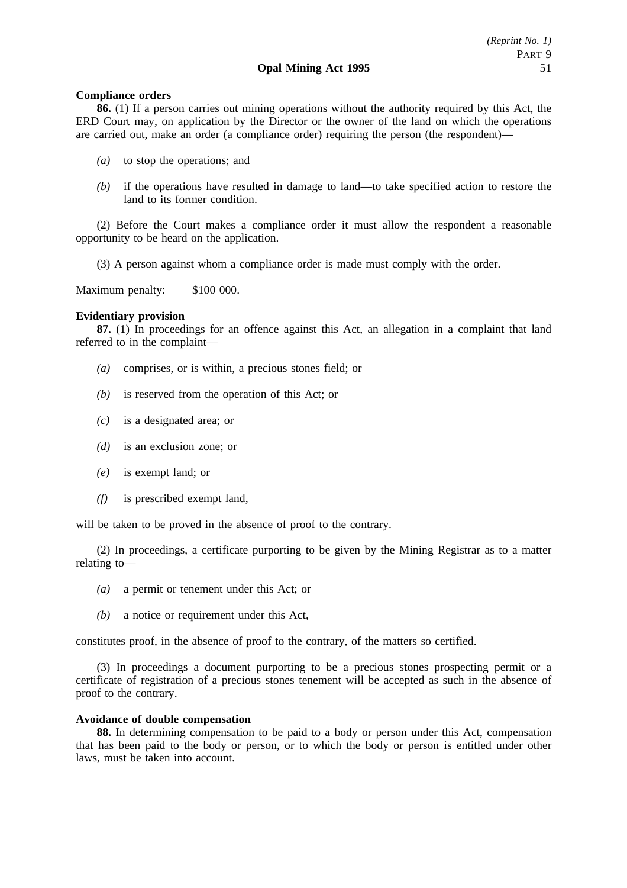### **Compliance orders**

**86.** (1) If a person carries out mining operations without the authority required by this Act, the ERD Court may, on application by the Director or the owner of the land on which the operations are carried out, make an order (a compliance order) requiring the person (the respondent)—

- *(a)* to stop the operations; and
- *(b)* if the operations have resulted in damage to land—to take specified action to restore the land to its former condition.

(2) Before the Court makes a compliance order it must allow the respondent a reasonable opportunity to be heard on the application.

(3) A person against whom a compliance order is made must comply with the order.

Maximum penalty: \$100 000.

## **Evidentiary provision**

**87.** (1) In proceedings for an offence against this Act, an allegation in a complaint that land referred to in the complaint—

- *(a)* comprises, or is within, a precious stones field; or
- *(b)* is reserved from the operation of this Act; or
- *(c)* is a designated area; or
- *(d)* is an exclusion zone; or
- *(e)* is exempt land; or
- *(f)* is prescribed exempt land,

will be taken to be proved in the absence of proof to the contrary.

(2) In proceedings, a certificate purporting to be given by the Mining Registrar as to a matter relating to—

- *(a)* a permit or tenement under this Act; or
- *(b)* a notice or requirement under this Act,

constitutes proof, in the absence of proof to the contrary, of the matters so certified.

(3) In proceedings a document purporting to be a precious stones prospecting permit or a certificate of registration of a precious stones tenement will be accepted as such in the absence of proof to the contrary.

### **Avoidance of double compensation**

**88.** In determining compensation to be paid to a body or person under this Act, compensation that has been paid to the body or person, or to which the body or person is entitled under other laws, must be taken into account.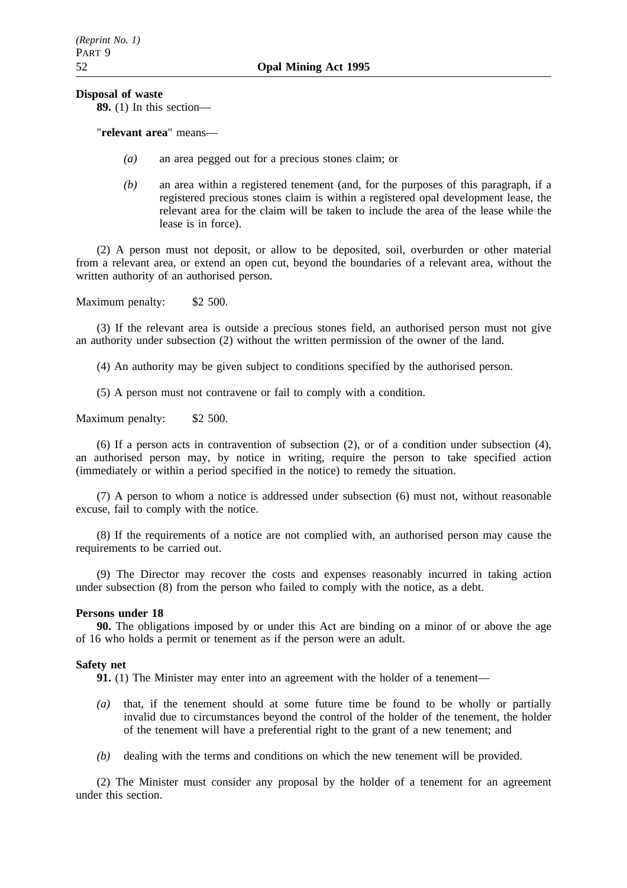### **Disposal of waste**

**89.** (1) In this section—

"**relevant area**" means—

- *(a)* an area pegged out for a precious stones claim; or
- *(b)* an area within a registered tenement (and, for the purposes of this paragraph, if a registered precious stones claim is within a registered opal development lease, the relevant area for the claim will be taken to include the area of the lease while the lease is in force).

(2) A person must not deposit, or allow to be deposited, soil, overburden or other material from a relevant area, or extend an open cut, beyond the boundaries of a relevant area, without the written authority of an authorised person.

Maximum penalty: \$2 500.

(3) If the relevant area is outside a precious stones field, an authorised person must not give an authority under subsection (2) without the written permission of the owner of the land.

(4) An authority may be given subject to conditions specified by the authorised person.

(5) A person must not contravene or fail to comply with a condition.

Maximum penalty: \$2 500.

(6) If a person acts in contravention of subsection (2), or of a condition under subsection (4), an authorised person may, by notice in writing, require the person to take specified action (immediately or within a period specified in the notice) to remedy the situation.

(7) A person to whom a notice is addressed under subsection (6) must not, without reasonable excuse, fail to comply with the notice.

(8) If the requirements of a notice are not complied with, an authorised person may cause the requirements to be carried out.

(9) The Director may recover the costs and expenses reasonably incurred in taking action under subsection (8) from the person who failed to comply with the notice, as a debt.

### **Persons under 18**

**90.** The obligations imposed by or under this Act are binding on a minor of or above the age of 16 who holds a permit or tenement as if the person were an adult.

### **Safety net**

**91.** (1) The Minister may enter into an agreement with the holder of a tenement—

- *(a)* that, if the tenement should at some future time be found to be wholly or partially invalid due to circumstances beyond the control of the holder of the tenement, the holder of the tenement will have a preferential right to the grant of a new tenement; and
- *(b)* dealing with the terms and conditions on which the new tenement will be provided.

(2) The Minister must consider any proposal by the holder of a tenement for an agreement under this section.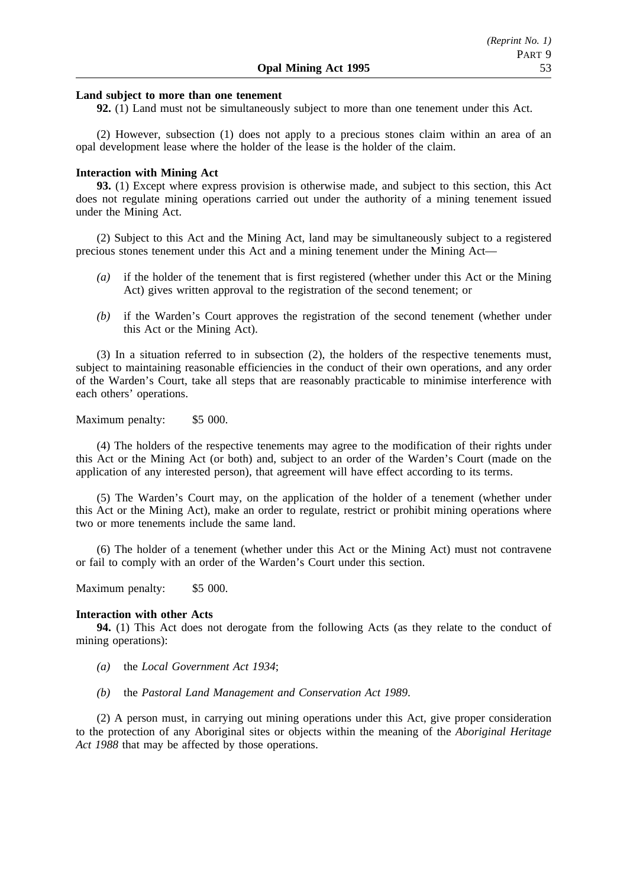### **Land subject to more than one tenement**

**92.** (1) Land must not be simultaneously subject to more than one tenement under this Act.

(2) However, subsection (1) does not apply to a precious stones claim within an area of an opal development lease where the holder of the lease is the holder of the claim.

#### **Interaction with Mining Act**

**93.** (1) Except where express provision is otherwise made, and subject to this section, this Act does not regulate mining operations carried out under the authority of a mining tenement issued under the Mining Act.

(2) Subject to this Act and the Mining Act, land may be simultaneously subject to a registered precious stones tenement under this Act and a mining tenement under the Mining Act—

- *(a)* if the holder of the tenement that is first registered (whether under this Act or the Mining Act) gives written approval to the registration of the second tenement; or
- *(b)* if the Warden's Court approves the registration of the second tenement (whether under this Act or the Mining Act).

(3) In a situation referred to in subsection (2), the holders of the respective tenements must, subject to maintaining reasonable efficiencies in the conduct of their own operations, and any order of the Warden's Court, take all steps that are reasonably practicable to minimise interference with each others' operations.

Maximum penalty: \$5 000.

(4) The holders of the respective tenements may agree to the modification of their rights under this Act or the Mining Act (or both) and, subject to an order of the Warden's Court (made on the application of any interested person), that agreement will have effect according to its terms.

(5) The Warden's Court may, on the application of the holder of a tenement (whether under this Act or the Mining Act), make an order to regulate, restrict or prohibit mining operations where two or more tenements include the same land.

(6) The holder of a tenement (whether under this Act or the Mining Act) must not contravene or fail to comply with an order of the Warden's Court under this section.

Maximum penalty: \$5 000.

#### **Interaction with other Acts**

**94.** (1) This Act does not derogate from the following Acts (as they relate to the conduct of mining operations):

- *(a)* the *Local Government Act 1934*;
- *(b)* the *Pastoral Land Management and Conservation Act 1989*.

(2) A person must, in carrying out mining operations under this Act, give proper consideration to the protection of any Aboriginal sites or objects within the meaning of the *Aboriginal Heritage Act 1988* that may be affected by those operations.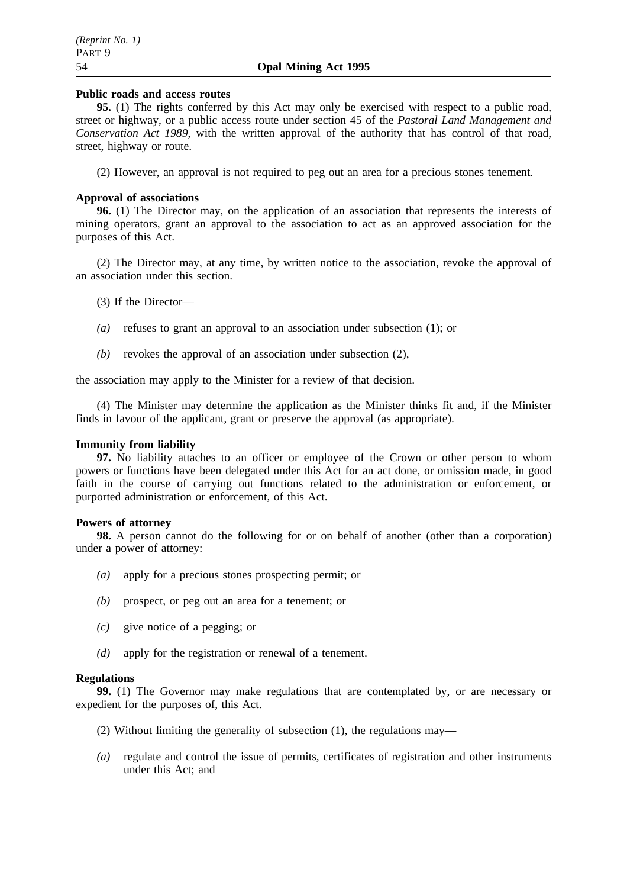### **Public roads and access routes**

**95.** (1) The rights conferred by this Act may only be exercised with respect to a public road, street or highway, or a public access route under section 45 of the *Pastoral Land Management and Conservation Act 1989*, with the written approval of the authority that has control of that road, street, highway or route.

(2) However, an approval is not required to peg out an area for a precious stones tenement.

## **Approval of associations**

**96.** (1) The Director may, on the application of an association that represents the interests of mining operators, grant an approval to the association to act as an approved association for the purposes of this Act.

(2) The Director may, at any time, by written notice to the association, revoke the approval of an association under this section.

(3) If the Director—

- *(a)* refuses to grant an approval to an association under subsection (1); or
- *(b)* revokes the approval of an association under subsection (2),

the association may apply to the Minister for a review of that decision.

(4) The Minister may determine the application as the Minister thinks fit and, if the Minister finds in favour of the applicant, grant or preserve the approval (as appropriate).

### **Immunity from liability**

**97.** No liability attaches to an officer or employee of the Crown or other person to whom powers or functions have been delegated under this Act for an act done, or omission made, in good faith in the course of carrying out functions related to the administration or enforcement, or purported administration or enforcement, of this Act.

### **Powers of attorney**

**98.** A person cannot do the following for or on behalf of another (other than a corporation) under a power of attorney:

- *(a)* apply for a precious stones prospecting permit; or
- *(b)* prospect, or peg out an area for a tenement; or
- *(c)* give notice of a pegging; or
- *(d)* apply for the registration or renewal of a tenement.

### **Regulations**

**99.** (1) The Governor may make regulations that are contemplated by, or are necessary or expedient for the purposes of, this Act.

- (2) Without limiting the generality of subsection (1), the regulations may—
- *(a)* regulate and control the issue of permits, certificates of registration and other instruments under this Act; and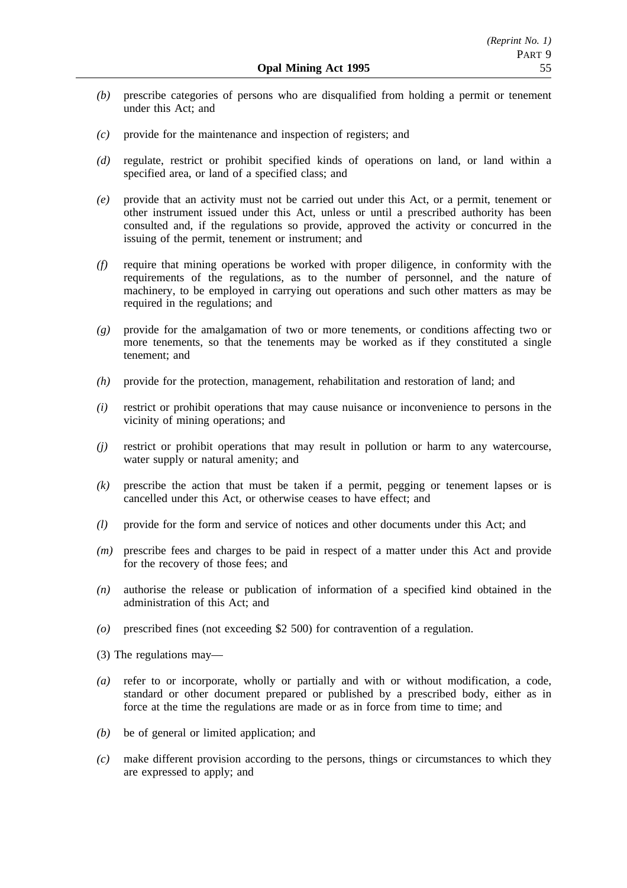- *(b)* prescribe categories of persons who are disqualified from holding a permit or tenement under this Act; and
- *(c)* provide for the maintenance and inspection of registers; and
- *(d)* regulate, restrict or prohibit specified kinds of operations on land, or land within a specified area, or land of a specified class; and
- *(e)* provide that an activity must not be carried out under this Act, or a permit, tenement or other instrument issued under this Act, unless or until a prescribed authority has been consulted and, if the regulations so provide, approved the activity or concurred in the issuing of the permit, tenement or instrument; and
- *(f)* require that mining operations be worked with proper diligence, in conformity with the requirements of the regulations, as to the number of personnel, and the nature of machinery, to be employed in carrying out operations and such other matters as may be required in the regulations; and
- *(g)* provide for the amalgamation of two or more tenements, or conditions affecting two or more tenements, so that the tenements may be worked as if they constituted a single tenement; and
- *(h)* provide for the protection, management, rehabilitation and restoration of land; and
- *(i)* restrict or prohibit operations that may cause nuisance or inconvenience to persons in the vicinity of mining operations; and
- *(j)* restrict or prohibit operations that may result in pollution or harm to any watercourse, water supply or natural amenity; and
- *(k)* prescribe the action that must be taken if a permit, pegging or tenement lapses or is cancelled under this Act, or otherwise ceases to have effect; and
- *(l)* provide for the form and service of notices and other documents under this Act; and
- *(m)* prescribe fees and charges to be paid in respect of a matter under this Act and provide for the recovery of those fees; and
- *(n)* authorise the release or publication of information of a specified kind obtained in the administration of this Act; and
- *(o)* prescribed fines (not exceeding \$2 500) for contravention of a regulation.
- (3) The regulations may—
- *(a)* refer to or incorporate, wholly or partially and with or without modification, a code, standard or other document prepared or published by a prescribed body, either as in force at the time the regulations are made or as in force from time to time; and
- *(b)* be of general or limited application; and
- *(c)* make different provision according to the persons, things or circumstances to which they are expressed to apply; and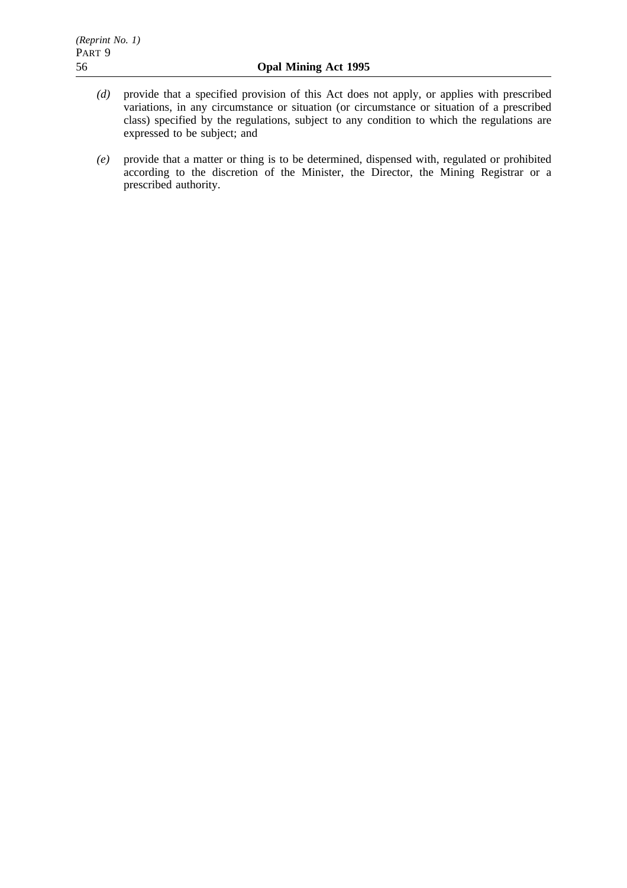- *(d)* provide that a specified provision of this Act does not apply, or applies with prescribed variations, in any circumstance or situation (or circumstance or situation of a prescribed class) specified by the regulations, subject to any condition to which the regulations are expressed to be subject; and
- *(e)* provide that a matter or thing is to be determined, dispensed with, regulated or prohibited according to the discretion of the Minister, the Director, the Mining Registrar or a prescribed authority.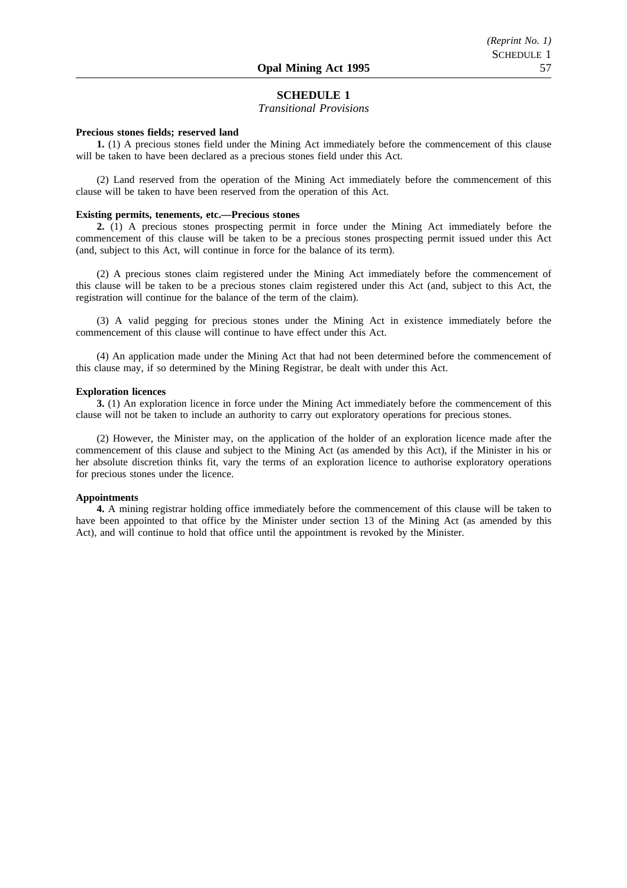### **SCHEDULE 1**

*Transitional Provisions*

#### **Precious stones fields; reserved land**

**1.** (1) A precious stones field under the Mining Act immediately before the commencement of this clause will be taken to have been declared as a precious stones field under this Act.

(2) Land reserved from the operation of the Mining Act immediately before the commencement of this clause will be taken to have been reserved from the operation of this Act.

#### **Existing permits, tenements, etc.—Precious stones**

**2.** (1) A precious stones prospecting permit in force under the Mining Act immediately before the commencement of this clause will be taken to be a precious stones prospecting permit issued under this Act (and, subject to this Act, will continue in force for the balance of its term).

(2) A precious stones claim registered under the Mining Act immediately before the commencement of this clause will be taken to be a precious stones claim registered under this Act (and, subject to this Act, the registration will continue for the balance of the term of the claim).

(3) A valid pegging for precious stones under the Mining Act in existence immediately before the commencement of this clause will continue to have effect under this Act.

(4) An application made under the Mining Act that had not been determined before the commencement of this clause may, if so determined by the Mining Registrar, be dealt with under this Act.

#### **Exploration licences**

**3.** (1) An exploration licence in force under the Mining Act immediately before the commencement of this clause will not be taken to include an authority to carry out exploratory operations for precious stones.

(2) However, the Minister may, on the application of the holder of an exploration licence made after the commencement of this clause and subject to the Mining Act (as amended by this Act), if the Minister in his or her absolute discretion thinks fit, vary the terms of an exploration licence to authorise exploratory operations for precious stones under the licence.

#### **Appointments**

**4.** A mining registrar holding office immediately before the commencement of this clause will be taken to have been appointed to that office by the Minister under section 13 of the Mining Act (as amended by this Act), and will continue to hold that office until the appointment is revoked by the Minister.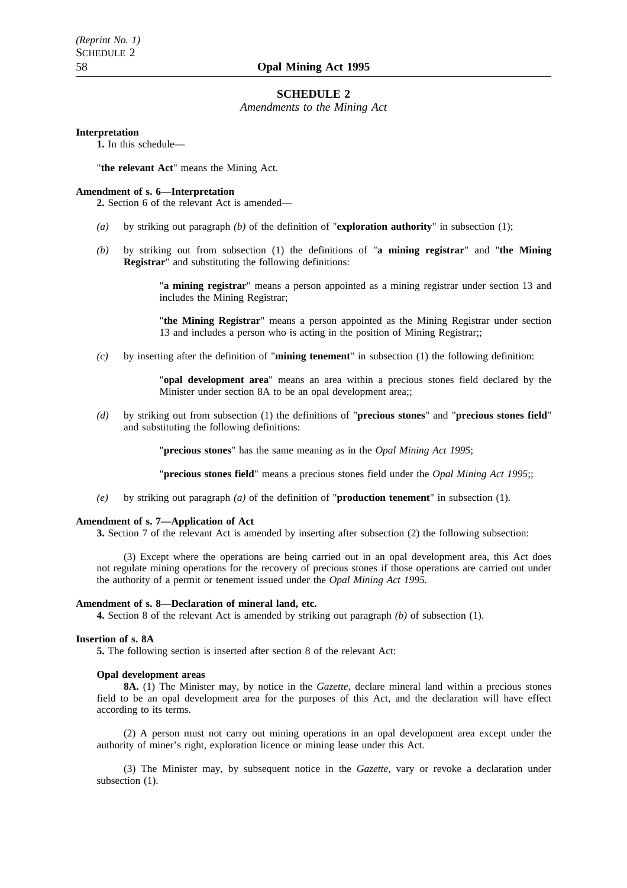#### **SCHEDULE 2**

*Amendments to the Mining Act*

#### **Interpretation**

**1.** In this schedule—

"**the relevant Act**" means the Mining Act.

#### **Amendment of s. 6—Interpretation**

**2.** Section 6 of the relevant Act is amended—

- *(a)* by striking out paragraph *(b)* of the definition of "**exploration authority**" in subsection (1);
- *(b)* by striking out from subsection (1) the definitions of "**a mining registrar**" and "**the Mining Registrar**" and substituting the following definitions:

"**a mining registrar**" means a person appointed as a mining registrar under section 13 and includes the Mining Registrar;

"**the Mining Registrar**" means a person appointed as the Mining Registrar under section 13 and includes a person who is acting in the position of Mining Registrar;;

*(c)* by inserting after the definition of "**mining tenement**" in subsection (1) the following definition:

"**opal development area**" means an area within a precious stones field declared by the Minister under section 8A to be an opal development area;;

*(d)* by striking out from subsection (1) the definitions of "**precious stones**" and "**precious stones field**" and substituting the following definitions:

"**precious stones**" has the same meaning as in the *Opal Mining Act 1995*;

"**precious stones field**" means a precious stones field under the *Opal Mining Act 1995*;;

*(e)* by striking out paragraph *(a)* of the definition of "**production tenement**" in subsection (1).

#### **Amendment of s. 7—Application of Act**

**3.** Section 7 of the relevant Act is amended by inserting after subsection (2) the following subsection:

(3) Except where the operations are being carried out in an opal development area, this Act does not regulate mining operations for the recovery of precious stones if those operations are carried out under the authority of a permit or tenement issued under the *Opal Mining Act 1995*.

#### **Amendment of s. 8—Declaration of mineral land, etc.**

**4.** Section 8 of the relevant Act is amended by striking out paragraph *(b)* of subsection (1).

#### **Insertion of s. 8A**

**5.** The following section is inserted after section 8 of the relevant Act:

#### **Opal development areas**

**8A.** (1) The Minister may, by notice in the *Gazette*, declare mineral land within a precious stones field to be an opal development area for the purposes of this Act, and the declaration will have effect according to its terms.

(2) A person must not carry out mining operations in an opal development area except under the authority of miner's right, exploration licence or mining lease under this Act.

(3) The Minister may, by subsequent notice in the *Gazette*, vary or revoke a declaration under subsection  $(1)$ .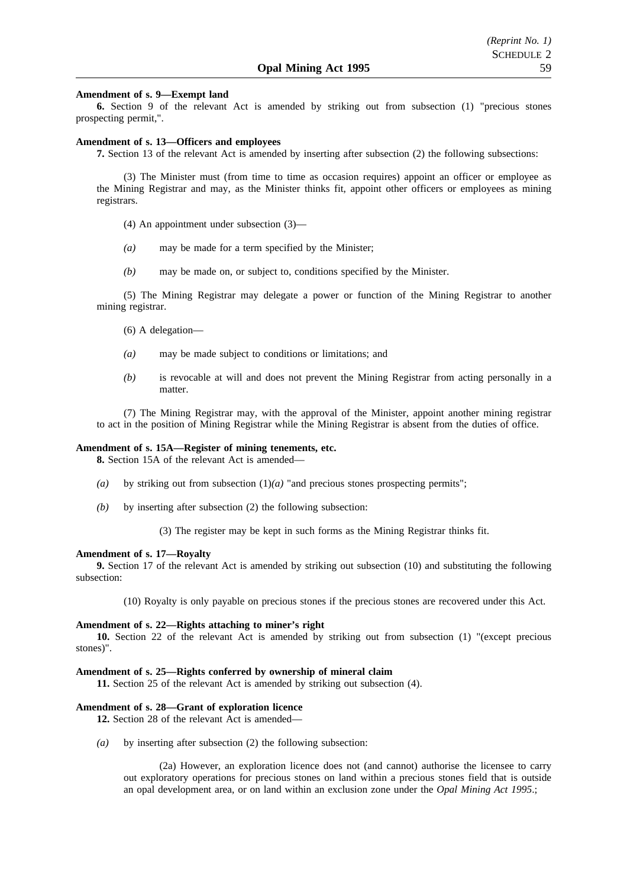#### **Amendment of s. 9—Exempt land**

**6.** Section 9 of the relevant Act is amended by striking out from subsection (1) "precious stones prospecting permit,".

#### **Amendment of s. 13—Officers and employees**

**7.** Section 13 of the relevant Act is amended by inserting after subsection (2) the following subsections:

(3) The Minister must (from time to time as occasion requires) appoint an officer or employee as the Mining Registrar and may, as the Minister thinks fit, appoint other officers or employees as mining registrars.

- (4) An appointment under subsection (3)—
- *(a)* may be made for a term specified by the Minister;
- *(b)* may be made on, or subject to, conditions specified by the Minister.

(5) The Mining Registrar may delegate a power or function of the Mining Registrar to another mining registrar.

- (6) A delegation—
- *(a)* may be made subject to conditions or limitations; and
- *(b)* is revocable at will and does not prevent the Mining Registrar from acting personally in a matter.

(7) The Mining Registrar may, with the approval of the Minister, appoint another mining registrar to act in the position of Mining Registrar while the Mining Registrar is absent from the duties of office.

#### **Amendment of s. 15A—Register of mining tenements, etc.**

**8.** Section 15A of the relevant Act is amended—

- *(a)* by striking out from subsection (1)*(a)* "and precious stones prospecting permits";
- *(b)* by inserting after subsection (2) the following subsection:

(3) The register may be kept in such forms as the Mining Registrar thinks fit.

#### **Amendment of s. 17—Royalty**

**9.** Section 17 of the relevant Act is amended by striking out subsection (10) and substituting the following subsection:

(10) Royalty is only payable on precious stones if the precious stones are recovered under this Act.

#### **Amendment of s. 22—Rights attaching to miner's right**

**10.** Section 22 of the relevant Act is amended by striking out from subsection (1) "(except precious stones)".

#### **Amendment of s. 25—Rights conferred by ownership of mineral claim**

**11.** Section 25 of the relevant Act is amended by striking out subsection (4).

#### **Amendment of s. 28—Grant of exploration licence**

**12.** Section 28 of the relevant Act is amended—

*(a)* by inserting after subsection (2) the following subsection:

(2a) However, an exploration licence does not (and cannot) authorise the licensee to carry out exploratory operations for precious stones on land within a precious stones field that is outside an opal development area, or on land within an exclusion zone under the *Opal Mining Act 1995*.;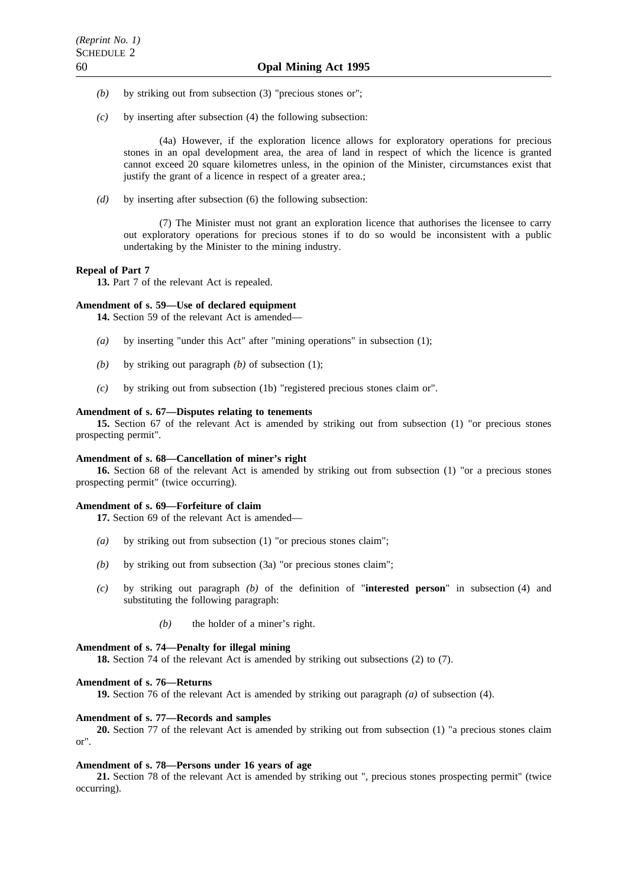- *(b)* by striking out from subsection (3) "precious stones or";
- *(c)* by inserting after subsection (4) the following subsection:

(4a) However, if the exploration licence allows for exploratory operations for precious stones in an opal development area, the area of land in respect of which the licence is granted cannot exceed 20 square kilometres unless, in the opinion of the Minister, circumstances exist that justify the grant of a licence in respect of a greater area.;

*(d)* by inserting after subsection (6) the following subsection:

(7) The Minister must not grant an exploration licence that authorises the licensee to carry out exploratory operations for precious stones if to do so would be inconsistent with a public undertaking by the Minister to the mining industry.

## **Repeal of Part 7**

**13.** Part 7 of the relevant Act is repealed.

## **Amendment of s. 59—Use of declared equipment**

**14.** Section 59 of the relevant Act is amended—

- *(a)* by inserting "under this Act" after "mining operations" in subsection (1);
- *(b)* by striking out paragraph *(b)* of subsection (1);
- *(c)* by striking out from subsection (1b) "registered precious stones claim or".

#### **Amendment of s. 67—Disputes relating to tenements**

**15.** Section 67 of the relevant Act is amended by striking out from subsection (1) "or precious stones prospecting permit".

#### **Amendment of s. 68—Cancellation of miner's right**

**16.** Section 68 of the relevant Act is amended by striking out from subsection (1) "or a precious stones prospecting permit" (twice occurring).

#### **Amendment of s. 69—Forfeiture of claim**

**17.** Section 69 of the relevant Act is amended—

- *(a)* by striking out from subsection (1) "or precious stones claim";
- *(b)* by striking out from subsection (3a) "or precious stones claim";
- *(c)* by striking out paragraph *(b)* of the definition of "**interested person**" in subsection (4) and substituting the following paragraph:
	- *(b)* the holder of a miner's right.

#### **Amendment of s. 74—Penalty for illegal mining**

**18.** Section 74 of the relevant Act is amended by striking out subsections (2) to (7).

#### **Amendment of s. 76—Returns**

**19.** Section 76 of the relevant Act is amended by striking out paragraph *(a)* of subsection (4).

#### **Amendment of s. 77—Records and samples**

**20.** Section 77 of the relevant Act is amended by striking out from subsection (1) "a precious stones claim or".

#### **Amendment of s. 78—Persons under 16 years of age**

**21.** Section 78 of the relevant Act is amended by striking out ", precious stones prospecting permit" (twice occurring).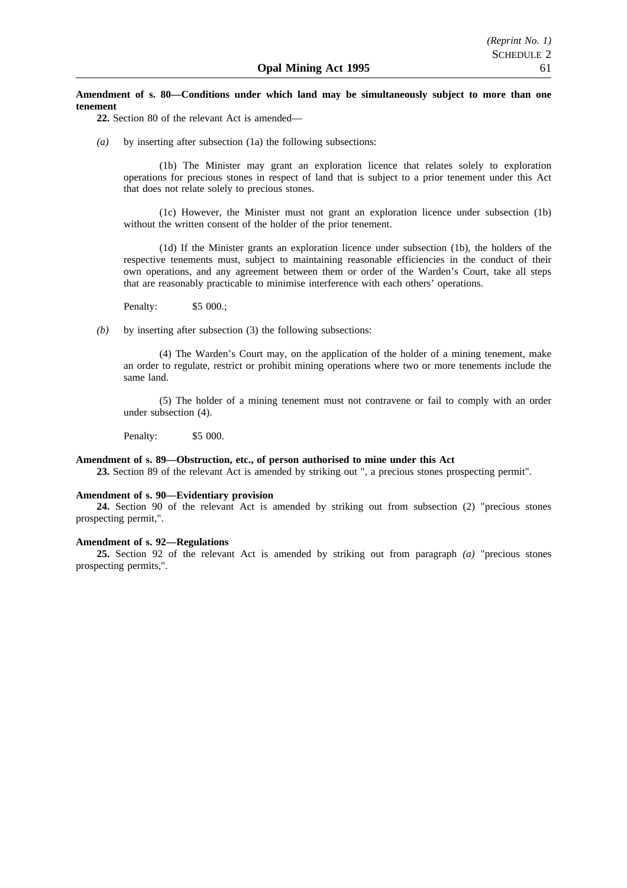#### **Amendment of s. 80—Conditions under which land may be simultaneously subject to more than one tenement**

**22.** Section 80 of the relevant Act is amended—

*(a)* by inserting after subsection (1a) the following subsections:

(1b) The Minister may grant an exploration licence that relates solely to exploration operations for precious stones in respect of land that is subject to a prior tenement under this Act that does not relate solely to precious stones.

(1c) However, the Minister must not grant an exploration licence under subsection (1b) without the written consent of the holder of the prior tenement.

(1d) If the Minister grants an exploration licence under subsection (1b), the holders of the respective tenements must, subject to maintaining reasonable efficiencies in the conduct of their own operations, and any agreement between them or order of the Warden's Court, take all steps that are reasonably practicable to minimise interference with each others' operations.

Penalty: \$5 000.;

*(b)* by inserting after subsection (3) the following subsections:

(4) The Warden's Court may, on the application of the holder of a mining tenement, make an order to regulate, restrict or prohibit mining operations where two or more tenements include the same land.

(5) The holder of a mining tenement must not contravene or fail to comply with an order under subsection (4).

Penalty: \$5 000.

#### **Amendment of s. 89—Obstruction, etc., of person authorised to mine under this Act**

**23.** Section 89 of the relevant Act is amended by striking out ", a precious stones prospecting permit".

#### **Amendment of s. 90—Evidentiary provision**

**24.** Section 90 of the relevant Act is amended by striking out from subsection (2) "precious stones prospecting permit,".

#### **Amendment of s. 92—Regulations**

**25.** Section 92 of the relevant Act is amended by striking out from paragraph *(a)* "precious stones prospecting permits,".